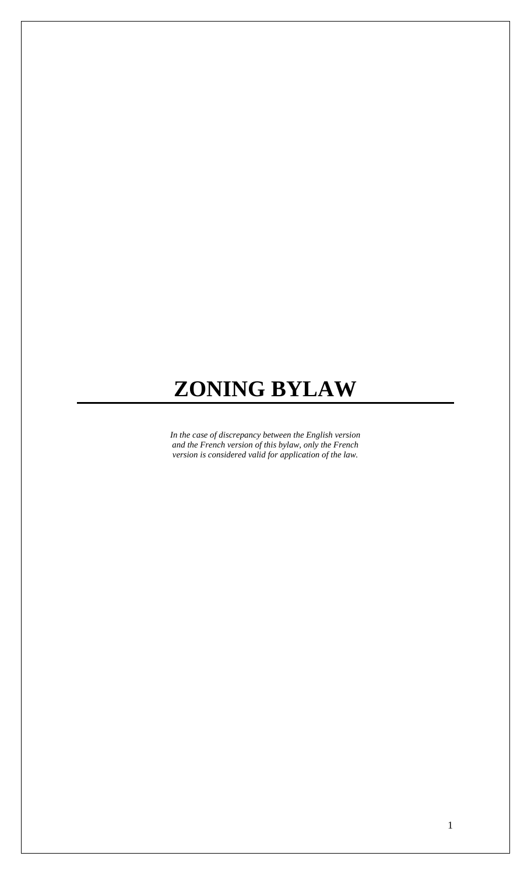# **ZONING BYLAW**

*In the case of discrepancy between the English version and the French version of this bylaw, only the French version is considered valid for application of the law.*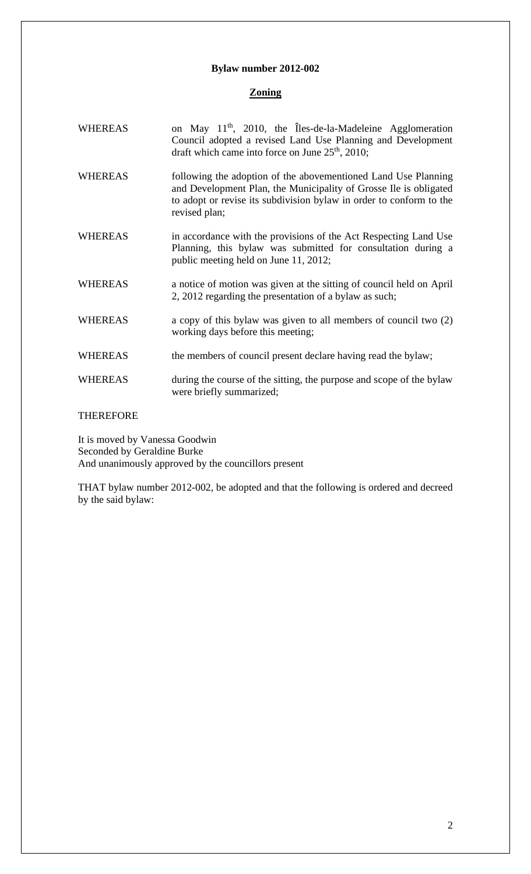# **Bylaw number 2012-002**

# **Zoning**

| <b>WHEREAS</b> | on May 11 <sup>th</sup> , 2010, the Îles-de-la-Madeleine Agglomeration<br>Council adopted a revised Land Use Planning and Development<br>draft which came into force on June $25th$ , 2010;                                 |
|----------------|-----------------------------------------------------------------------------------------------------------------------------------------------------------------------------------------------------------------------------|
| <b>WHEREAS</b> | following the adoption of the abovementioned Land Use Planning<br>and Development Plan, the Municipality of Grosse Ile is obligated<br>to adopt or revise its subdivision bylaw in order to conform to the<br>revised plan; |
| <b>WHEREAS</b> | in accordance with the provisions of the Act Respecting Land Use<br>Planning, this bylaw was submitted for consultation during a<br>public meeting held on June 11, 2012;                                                   |
| <b>WHEREAS</b> | a notice of motion was given at the sitting of council held on April<br>2, 2012 regarding the presentation of a bylaw as such;                                                                                              |
| <b>WHEREAS</b> | a copy of this bylaw was given to all members of council two (2)<br>working days before this meeting;                                                                                                                       |
| <b>WHEREAS</b> | the members of council present declare having read the bylaw;                                                                                                                                                               |
| <b>WHEREAS</b> | during the course of the sitting, the purpose and scope of the bylaw<br>were briefly summarized;                                                                                                                            |

# THEREFORE

It is moved by Vanessa Goodwin Seconded by Geraldine Burke And unanimously approved by the councillors present

THAT bylaw number 2012-002, be adopted and that the following is ordered and decreed by the said bylaw: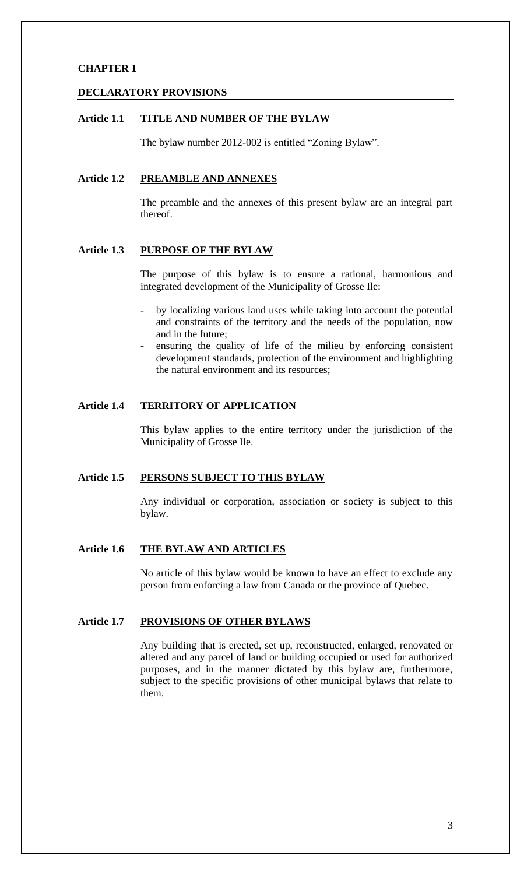# **CHAPTER 1**

### **DECLARATORY PROVISIONS**

# **Article 1.1 TITLE AND NUMBER OF THE BYLAW**

The bylaw number 2012-002 is entitled "Zoning Bylaw".

# **Article 1.2 PREAMBLE AND ANNEXES**

The preamble and the annexes of this present bylaw are an integral part thereof.

# **Article 1.3 PURPOSE OF THE BYLAW**

The purpose of this bylaw is to ensure a rational, harmonious and integrated development of the Municipality of Grosse Ile:

- by localizing various land uses while taking into account the potential and constraints of the territory and the needs of the population, now and in the future;
- ensuring the quality of life of the milieu by enforcing consistent development standards, protection of the environment and highlighting the natural environment and its resources;

# **Article 1.4 TERRITORY OF APPLICATION**

This bylaw applies to the entire territory under the jurisdiction of the Municipality of Grosse Ile.

# **Article 1.5 PERSONS SUBJECT TO THIS BYLAW**

Any individual or corporation, association or society is subject to this bylaw.

# **Article 1.6 THE BYLAW AND ARTICLES**

No article of this bylaw would be known to have an effect to exclude any person from enforcing a law from Canada or the province of Quebec.

# **Article 1.7 PROVISIONS OF OTHER BYLAWS**

Any building that is erected, set up, reconstructed, enlarged, renovated or altered and any parcel of land or building occupied or used for authorized purposes, and in the manner dictated by this bylaw are, furthermore, subject to the specific provisions of other municipal bylaws that relate to them.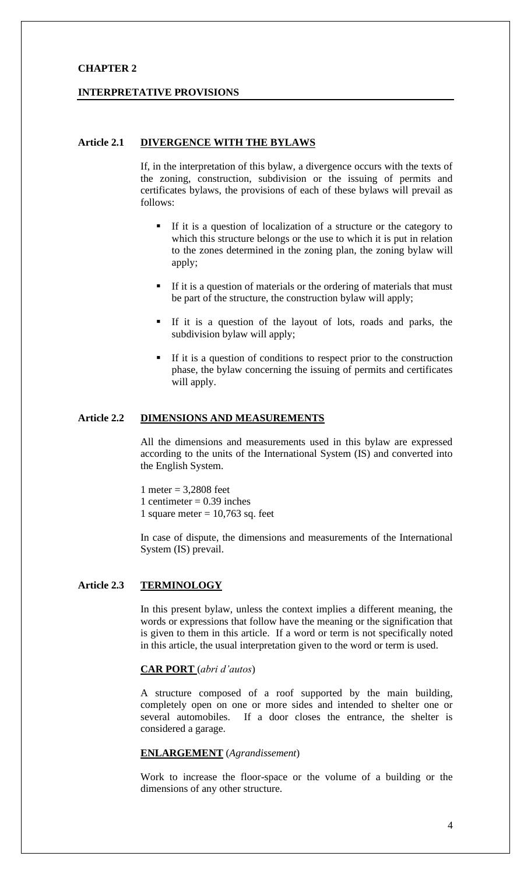# **CHAPTER 2**

### **INTERPRETATIVE PROVISIONS**

# **Article 2.1 DIVERGENCE WITH THE BYLAWS**

If, in the interpretation of this bylaw, a divergence occurs with the texts of the zoning, construction, subdivision or the issuing of permits and certificates bylaws, the provisions of each of these bylaws will prevail as follows:

- If it is a question of localization of a structure or the category to which this structure belongs or the use to which it is put in relation to the zones determined in the zoning plan, the zoning bylaw will apply;
- **If it is a question of materials or the ordering of materials that must** be part of the structure, the construction bylaw will apply;
- If it is a question of the layout of lots, roads and parks, the subdivision bylaw will apply;
- If it is a question of conditions to respect prior to the construction phase, the bylaw concerning the issuing of permits and certificates will apply.

# **Article 2.2 DIMENSIONS AND MEASUREMENTS**

All the dimensions and measurements used in this bylaw are expressed according to the units of the International System (IS) and converted into the English System.

1 meter = 3,2808 feet 1 centimeter  $= 0.39$  inches 1 square meter  $= 10,763$  sq. feet

In case of dispute, the dimensions and measurements of the International System (IS) prevail.

# **Article 2.3 TERMINOLOGY**

In this present bylaw, unless the context implies a different meaning, the words or expressions that follow have the meaning or the signification that is given to them in this article. If a word or term is not specifically noted in this article, the usual interpretation given to the word or term is used.

#### **CAR PORT** (*abri d'autos*)

A structure composed of a roof supported by the main building, completely open on one or more sides and intended to shelter one or several automobiles. If a door closes the entrance, the shelter is considered a garage.

# **ENLARGEMENT** (*Agrandissement*)

Work to increase the floor-space or the volume of a building or the dimensions of any other structure.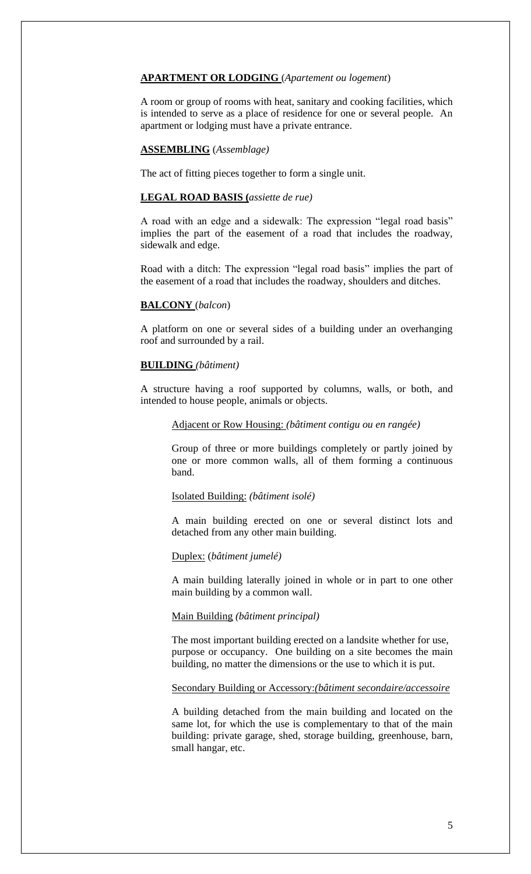### **APARTMENT OR LODGING** (*Apartement ou logement*)

A room or group of rooms with heat, sanitary and cooking facilities, which is intended to serve as a place of residence for one or several people. An apartment or lodging must have a private entrance.

# **ASSEMBLING** (*Assemblage)*

The act of fitting pieces together to form a single unit.

# **LEGAL ROAD BASIS (***assiette de rue)*

A road with an edge and a sidewalk: The expression "legal road basis" implies the part of the easement of a road that includes the roadway, sidewalk and edge.

Road with a ditch: The expression "legal road basis" implies the part of the easement of a road that includes the roadway, shoulders and ditches.

### **BALCONY** (*balcon*)

A platform on one or several sides of a building under an overhanging roof and surrounded by a rail.

### **BUILDING** *(bâtiment)*

A structure having a roof supported by columns, walls, or both, and intended to house people, animals or objects.

# Adjacent or Row Housing: *(bâtiment contigu ou en rangée)*

Group of three or more buildings completely or partly joined by one or more common walls, all of them forming a continuous band.

#### Isolated Building: *(bâtiment isolé)*

A main building erected on one or several distinct lots and detached from any other main building.

# Duplex: (*bâtiment jumelé)*

A main building laterally joined in whole or in part to one other main building by a common wall.

# Main Building *(bâtiment principal)*

The most important building erected on a landsite whether for use, purpose or occupancy. One building on a site becomes the main building, no matter the dimensions or the use to which it is put.

# Secondary Building or Accessory:*(bâtiment secondaire/accessoire*

A building detached from the main building and located on the same lot, for which the use is complementary to that of the main building: private garage, shed, storage building, greenhouse, barn, small hangar, etc.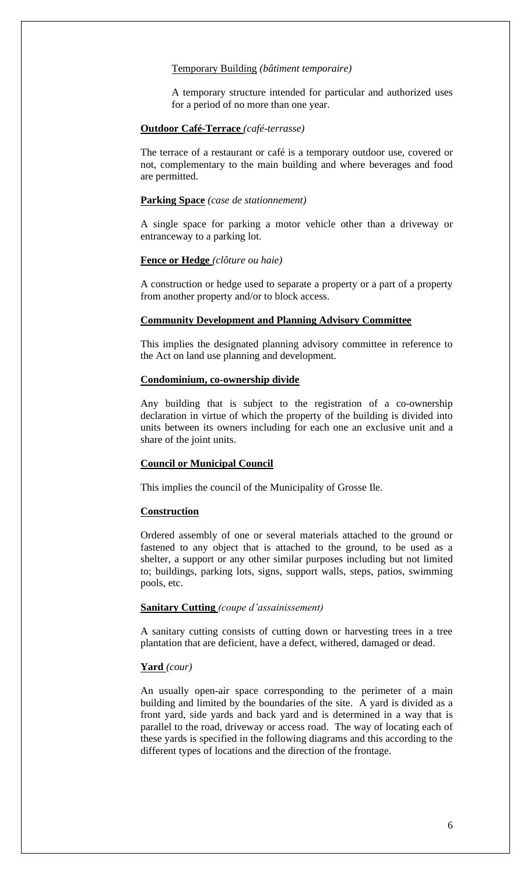#### Temporary Building *(bâtiment temporaire)*

A temporary structure intended for particular and authorized uses for a period of no more than one year.

# **Outdoor Café-Terrace** *(café-terrasse)*

The terrace of a restaurant or café is a temporary outdoor use, covered or not, complementary to the main building and where beverages and food are permitted.

### **Parking Space** *(case de stationnement)*

A single space for parking a motor vehicle other than a driveway or entranceway to a parking lot.

#### **Fence or Hedge** *(clôture ou haie)*

A construction or hedge used to separate a property or a part of a property from another property and/or to block access.

### **Community Development and Planning Advisory Committee**

This implies the designated planning advisory committee in reference to the Act on land use planning and development.

# **Condominium, co-ownership divide**

Any building that is subject to the registration of a co-ownership declaration in virtue of which the property of the building is divided into units between its owners including for each one an exclusive unit and a share of the joint units.

### **Council or Municipal Council**

This implies the council of the Municipality of Grosse Ile.

#### **Construction**

Ordered assembly of one or several materials attached to the ground or fastened to any object that is attached to the ground, to be used as a shelter, a support or any other similar purposes including but not limited to; buildings, parking lots, signs, support walls, steps, patios, swimming pools, etc.

# **Sanitary Cutting** *(coupe d'assainissement)*

A sanitary cutting consists of cutting down or harvesting trees in a tree plantation that are deficient, have a defect, withered, damaged or dead.

#### **Yard** *(cour)*

An usually open-air space corresponding to the perimeter of a main building and limited by the boundaries of the site. A yard is divided as a front yard, side yards and back yard and is determined in a way that is parallel to the road, driveway or access road. The way of locating each of these yards is specified in the following diagrams and this according to the different types of locations and the direction of the frontage.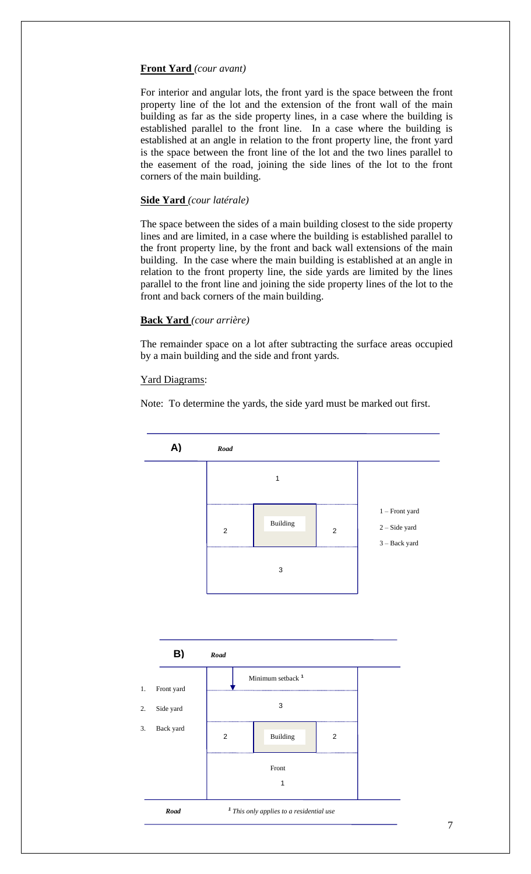# **Front Yard** *(cour avant)*

For interior and angular lots, the front yard is the space between the front property line of the lot and the extension of the front wall of the main building as far as the side property lines, in a case where the building is established parallel to the front line. In a case where the building is established at an angle in relation to the front property line, the front yard is the space between the front line of the lot and the two lines parallel to the easement of the road, joining the side lines of the lot to the front corners of the main building.

# **Side Yard** *(cour latérale)*

The space between the sides of a main building closest to the side property lines and are limited, in a case where the building is established parallel to the front property line, by the front and back wall extensions of the main building. In the case where the main building is established at an angle in relation to the front property line, the side yards are limited by the lines parallel to the front line and joining the side property lines of the lot to the front and back corners of the main building.

# **Back Yard** *(cour arrière)*

The remainder space on a lot after subtracting the surface areas occupied by a main building and the side and front yards.

# Yard Diagrams:

Note: To determine the yards, the side yard must be marked out first.



7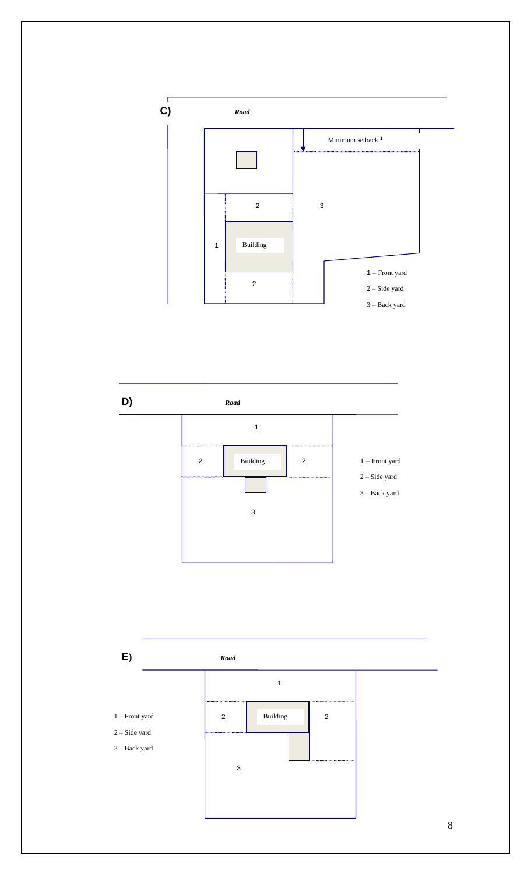



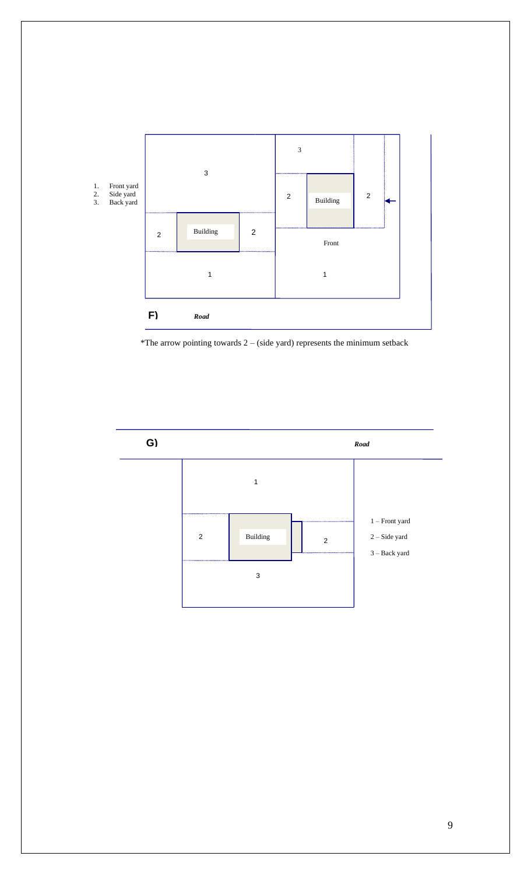

\*The arrow pointing towards  $2 - (side yard)$  represents the minimum setback

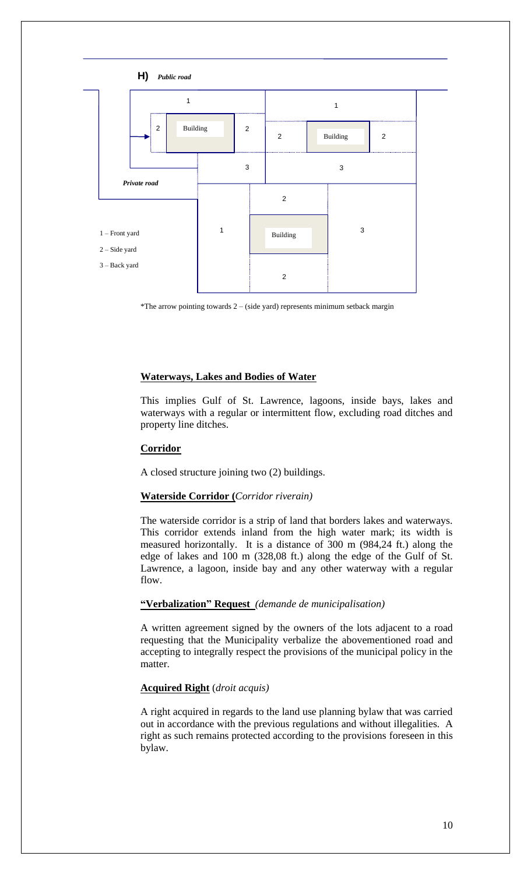

\*The arrow pointing towards  $2 - (side yard)$  represents minimum setback margin

# **Waterways, Lakes and Bodies of Water**

This implies Gulf of St. Lawrence, lagoons, inside bays, lakes and waterways with a regular or intermittent flow, excluding road ditches and property line ditches.

# **Corridor**

A closed structure joining two (2) buildings.

#### **Waterside Corridor (***Corridor riverain)*

The waterside corridor is a strip of land that borders lakes and waterways. This corridor extends inland from the high water mark; its width is measured horizontally. It is a distance of 300 m (984,24 ft.) along the edge of lakes and 100 m (328,08 ft.) along the edge of the Gulf of St. Lawrence, a lagoon, inside bay and any other waterway with a regular flow.

# **"Verbalization" Request** *(demande de municipalisation)*

A written agreement signed by the owners of the lots adjacent to a road requesting that the Municipality verbalize the abovementioned road and accepting to integrally respect the provisions of the municipal policy in the matter.

# **Acquired Right** (*droit acquis)*

A right acquired in regards to the land use planning bylaw that was carried out in accordance with the previous regulations and without illegalities. A right as such remains protected according to the provisions foreseen in this bylaw.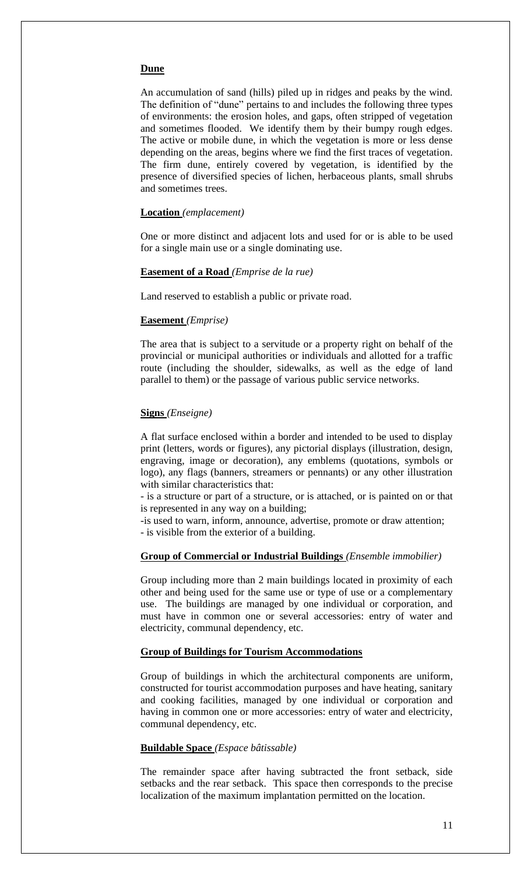#### **Dune**

An accumulation of sand (hills) piled up in ridges and peaks by the wind. The definition of "dune" pertains to and includes the following three types of environments: the erosion holes, and gaps, often stripped of vegetation and sometimes flooded. We identify them by their bumpy rough edges. The active or mobile dune, in which the vegetation is more or less dense depending on the areas, begins where we find the first traces of vegetation. The firm dune, entirely covered by vegetation, is identified by the presence of diversified species of lichen, herbaceous plants, small shrubs and sometimes trees.

#### **Location** *(emplacement)*

One or more distinct and adjacent lots and used for or is able to be used for a single main use or a single dominating use.

#### **Easement of a Road** *(Emprise de la rue)*

Land reserved to establish a public or private road.

#### **Easement** *(Emprise)*

The area that is subject to a servitude or a property right on behalf of the provincial or municipal authorities or individuals and allotted for a traffic route (including the shoulder, sidewalks, as well as the edge of land parallel to them) or the passage of various public service networks.

#### **Signs** *(Enseigne)*

A flat surface enclosed within a border and intended to be used to display print (letters, words or figures), any pictorial displays (illustration, design, engraving, image or decoration), any emblems (quotations, symbols or logo), any flags (banners, streamers or pennants) or any other illustration with similar characteristics that:

- is a structure or part of a structure, or is attached, or is painted on or that is represented in any way on a building;

-is used to warn, inform, announce, advertise, promote or draw attention; - is visible from the exterior of a building.

# **Group of Commercial or Industrial Buildings** *(Ensemble immobilier)*

Group including more than 2 main buildings located in proximity of each other and being used for the same use or type of use or a complementary use. The buildings are managed by one individual or corporation, and must have in common one or several accessories: entry of water and electricity, communal dependency, etc.

### **Group of Buildings for Tourism Accommodations**

Group of buildings in which the architectural components are uniform, constructed for tourist accommodation purposes and have heating, sanitary and cooking facilities, managed by one individual or corporation and having in common one or more accessories: entry of water and electricity, communal dependency, etc.

# **Buildable Space** *(Espace bâtissable)*

The remainder space after having subtracted the front setback, side setbacks and the rear setback. This space then corresponds to the precise localization of the maximum implantation permitted on the location.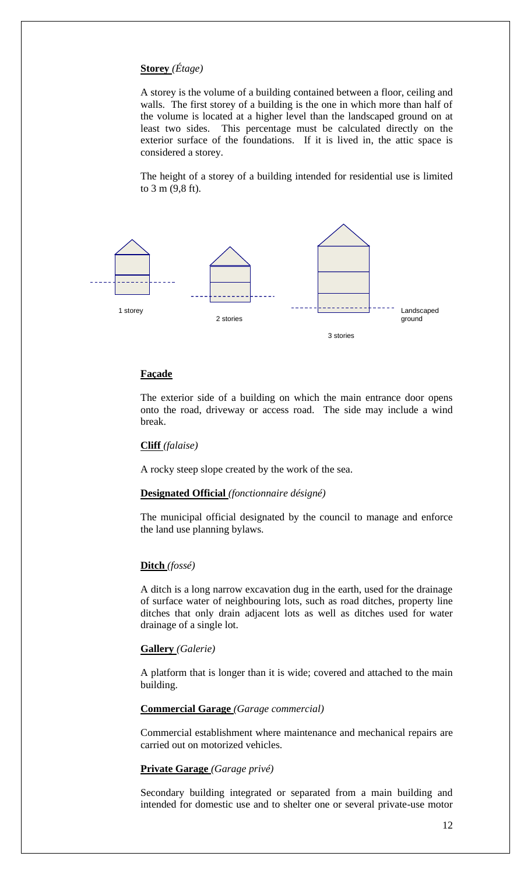# **Storey** *(Étage)*

A storey is the volume of a building contained between a floor, ceiling and walls. The first storey of a building is the one in which more than half of the volume is located at a higher level than the landscaped ground on at least two sides. This percentage must be calculated directly on the exterior surface of the foundations. If it is lived in, the attic space is considered a storey.

The height of a storey of a building intended for residential use is limited to 3 m (9,8 ft).



# **Façade**

The exterior side of a building on which the main entrance door opens onto the road, driveway or access road. The side may include a wind break.

### **Cliff** *(falaise)*

A rocky steep slope created by the work of the sea.

# **Designated Official** *(fonctionnaire désigné)*

The municipal official designated by the council to manage and enforce the land use planning bylaws.

#### **Ditch** *(fossé)*

A ditch is a long narrow excavation dug in the earth, used for the drainage of surface water of neighbouring lots, such as road ditches, property line ditches that only drain adjacent lots as well as ditches used for water drainage of a single lot.

#### **Gallery** *(Galerie)*

A platform that is longer than it is wide; covered and attached to the main building.

# **Commercial Garage** *(Garage commercial)*

Commercial establishment where maintenance and mechanical repairs are carried out on motorized vehicles.

#### **Private Garage** *(Garage privé)*

Secondary building integrated or separated from a main building and intended for domestic use and to shelter one or several private-use motor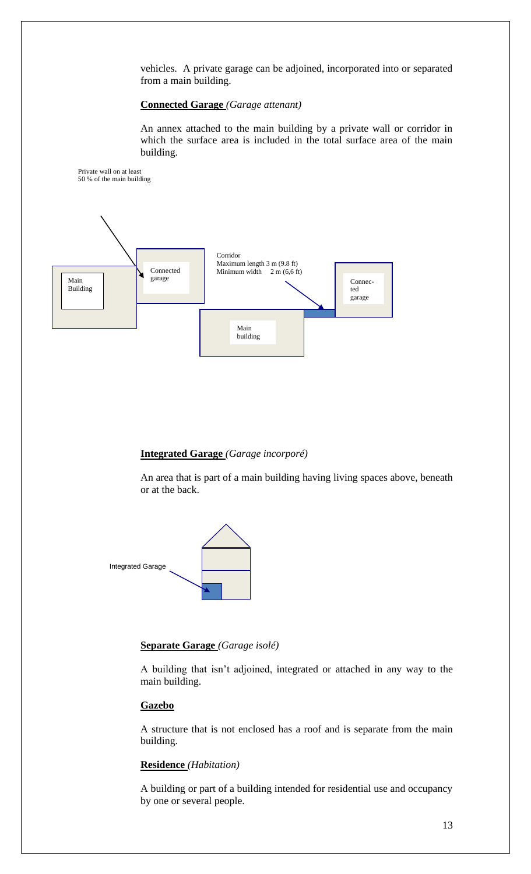vehicles. A private garage can be adjoined, incorporated into or separated from a main building.

# **Connected Garage** *(Garage attenant)*

An annex attached to the main building by a private wall or corridor in which the surface area is included in the total surface area of the main building.



# **Integrated Garage** *(Garage incorporé)*

An area that is part of a main building having living spaces above, beneath or at the back.



# **Separate Garage** *(Garage isolé)*

A building that isn't adjoined, integrated or attached in any way to the main building.

# **Gazebo**

A structure that is not enclosed has a roof and is separate from the main building.

#### **Residence** *(Habitation)*

A building or part of a building intended for residential use and occupancy by one or several people.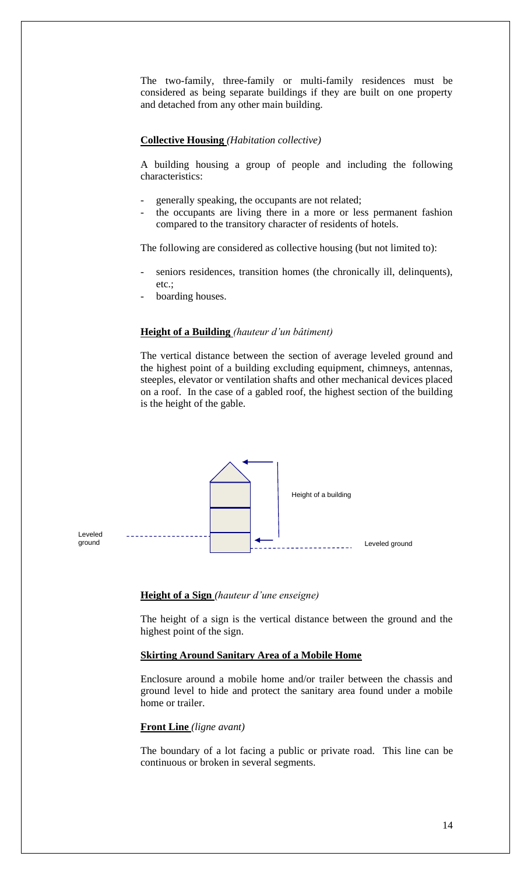The two-family, three-family or multi-family residences must be considered as being separate buildings if they are built on one property and detached from any other main building.

# **Collective Housing** *(Habitation collective)*

A building housing a group of people and including the following characteristics:

- generally speaking, the occupants are not related;
- the occupants are living there in a more or less permanent fashion compared to the transitory character of residents of hotels.

The following are considered as collective housing (but not limited to):

- seniors residences, transition homes (the chronically ill, delinquents), etc.;
- boarding houses.

#### **Height of a Building** *(hauteur d'un bâtiment)*

The vertical distance between the section of average leveled ground and the highest point of a building excluding equipment, chimneys, antennas, steeples, elevator or ventilation shafts and other mechanical devices placed on a roof. In the case of a gabled roof, the highest section of the building is the height of the gable.



### **Height of a Sign** *(hauteur d'une enseigne)*

The height of a sign is the vertical distance between the ground and the highest point of the sign.

# **Skirting Around Sanitary Area of a Mobile Home**

Enclosure around a mobile home and/or trailer between the chassis and ground level to hide and protect the sanitary area found under a mobile home or trailer.

# **Front Line** *(ligne avant)*

The boundary of a lot facing a public or private road. This line can be continuous or broken in several segments.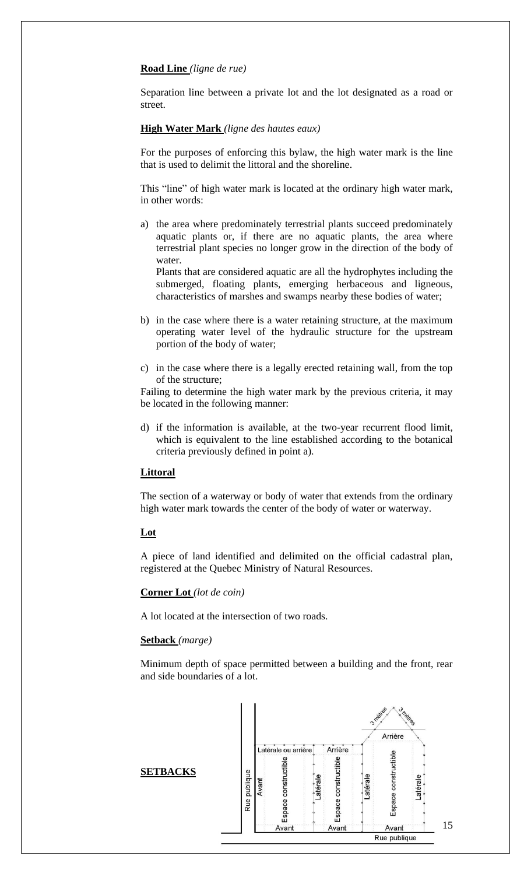# **Road Line** *(ligne de rue)*

Separation line between a private lot and the lot designated as a road or street.

#### **High Water Mark** *(ligne des hautes eaux)*

For the purposes of enforcing this bylaw, the high water mark is the line that is used to delimit the littoral and the shoreline.

This "line" of high water mark is located at the ordinary high water mark, in other words:

a) the area where predominately terrestrial plants succeed predominately aquatic plants or, if there are no aquatic plants, the area where terrestrial plant species no longer grow in the direction of the body of water.

Plants that are considered aquatic are all the hydrophytes including the submerged, floating plants, emerging herbaceous and ligneous, characteristics of marshes and swamps nearby these bodies of water;

- b) in the case where there is a water retaining structure, at the maximum operating water level of the hydraulic structure for the upstream portion of the body of water;
- c) in the case where there is a legally erected retaining wall, from the top of the structure;

Failing to determine the high water mark by the previous criteria, it may be located in the following manner:

d) if the information is available, at the two-year recurrent flood limit, which is equivalent to the line established according to the botanical criteria previously defined in point a).

### **Littoral**

The section of a waterway or body of water that extends from the ordinary high water mark towards the center of the body of water or waterway.

# **Lot**

A piece of land identified and delimited on the official cadastral plan, registered at the Quebec Ministry of Natural Resources.

# **Corner Lot** *(lot de coin)*

A lot located at the intersection of two roads.

# **Setback** *(marge)*

Minimum depth of space permitted between a building and the front, rear and side boundaries of a lot.

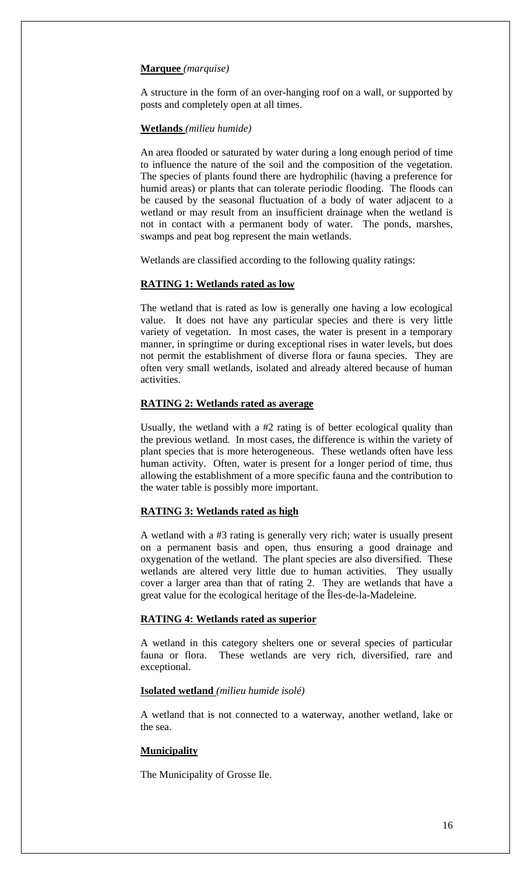### **Marquee** *(marquise)*

A structure in the form of an over-hanging roof on a wall, or supported by posts and completely open at all times.

#### **Wetlands** *(milieu humide)*

An area flooded or saturated by water during a long enough period of time to influence the nature of the soil and the composition of the vegetation. The species of plants found there are hydrophilic (having a preference for humid areas) or plants that can tolerate periodic flooding. The floods can be caused by the seasonal fluctuation of a body of water adjacent to a wetland or may result from an insufficient drainage when the wetland is not in contact with a permanent body of water. The ponds, marshes, swamps and peat bog represent the main wetlands.

Wetlands are classified according to the following quality ratings:

### **RATING 1: Wetlands rated as low**

The wetland that is rated as low is generally one having a low ecological value. It does not have any particular species and there is very little variety of vegetation. In most cases, the water is present in a temporary manner, in springtime or during exceptional rises in water levels, but does not permit the establishment of diverse flora or fauna species. They are often very small wetlands, isolated and already altered because of human activities.

# **RATING 2: Wetlands rated as average**

Usually, the wetland with a #2 rating is of better ecological quality than the previous wetland. In most cases, the difference is within the variety of plant species that is more heterogeneous. These wetlands often have less human activity. Often, water is present for a longer period of time, thus allowing the establishment of a more specific fauna and the contribution to the water table is possibly more important.

# **RATING 3: Wetlands rated as high**

A wetland with a #3 rating is generally very rich; water is usually present on a permanent basis and open, thus ensuring a good drainage and oxygenation of the wetland. The plant species are also diversified. These wetlands are altered very little due to human activities. They usually cover a larger area than that of rating 2. They are wetlands that have a great value for the ecological heritage of the Îles-de-la-Madeleine.

# **RATING 4: Wetlands rated as superior**

A wetland in this category shelters one or several species of particular fauna or flora. These wetlands are very rich, diversified, rare and exceptional.

#### **Isolated wetland** *(milieu humide isolé)*

A wetland that is not connected to a waterway, another wetland, lake or the sea.

# **Municipality**

The Municipality of Grosse Ile.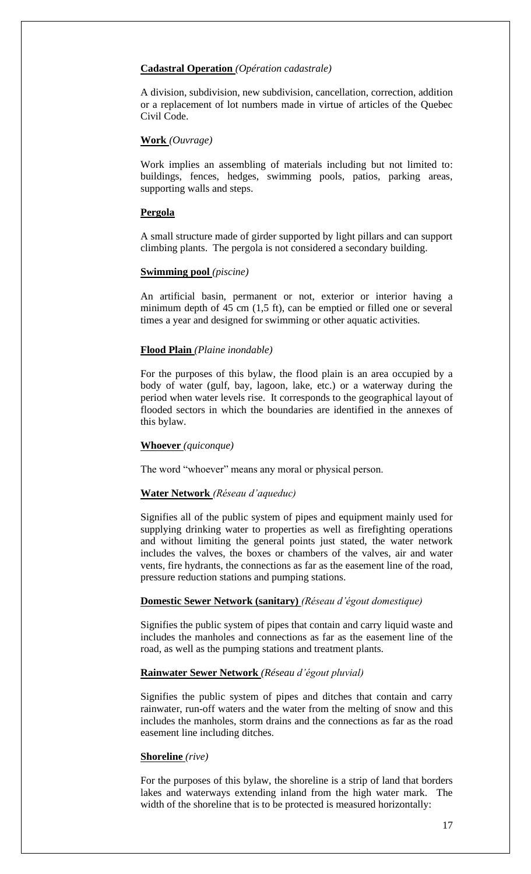### **Cadastral Operation** *(Opération cadastrale)*

A division, subdivision, new subdivision, cancellation, correction, addition or a replacement of lot numbers made in virtue of articles of the Quebec Civil Code.

# **Work** *(Ouvrage)*

Work implies an assembling of materials including but not limited to: buildings, fences, hedges, swimming pools, patios, parking areas, supporting walls and steps.

# **Pergola**

A small structure made of girder supported by light pillars and can support climbing plants. The pergola is not considered a secondary building.

### **Swimming pool** *(piscine)*

An artificial basin, permanent or not, exterior or interior having a minimum depth of 45 cm (1,5 ft), can be emptied or filled one or several times a year and designed for swimming or other aquatic activities.

# **Flood Plain** *(Plaine inondable)*

For the purposes of this bylaw, the flood plain is an area occupied by a body of water (gulf, bay, lagoon, lake, etc.) or a waterway during the period when water levels rise. It corresponds to the geographical layout of flooded sectors in which the boundaries are identified in the annexes of this bylaw.

### **Whoever** *(quiconque)*

The word "whoever" means any moral or physical person.

# **Water Network** *(Réseau d'aqueduc)*

Signifies all of the public system of pipes and equipment mainly used for supplying drinking water to properties as well as firefighting operations and without limiting the general points just stated, the water network includes the valves, the boxes or chambers of the valves, air and water vents, fire hydrants, the connections as far as the easement line of the road, pressure reduction stations and pumping stations.

#### **Domestic Sewer Network (sanitary)** *(Réseau d'égout domestique)*

Signifies the public system of pipes that contain and carry liquid waste and includes the manholes and connections as far as the easement line of the road, as well as the pumping stations and treatment plants.

#### **Rainwater Sewer Network** *(Réseau d'égout pluvial)*

Signifies the public system of pipes and ditches that contain and carry rainwater, run-off waters and the water from the melting of snow and this includes the manholes, storm drains and the connections as far as the road easement line including ditches.

### **Shoreline** *(rive)*

For the purposes of this bylaw, the shoreline is a strip of land that borders lakes and waterways extending inland from the high water mark. The width of the shoreline that is to be protected is measured horizontally: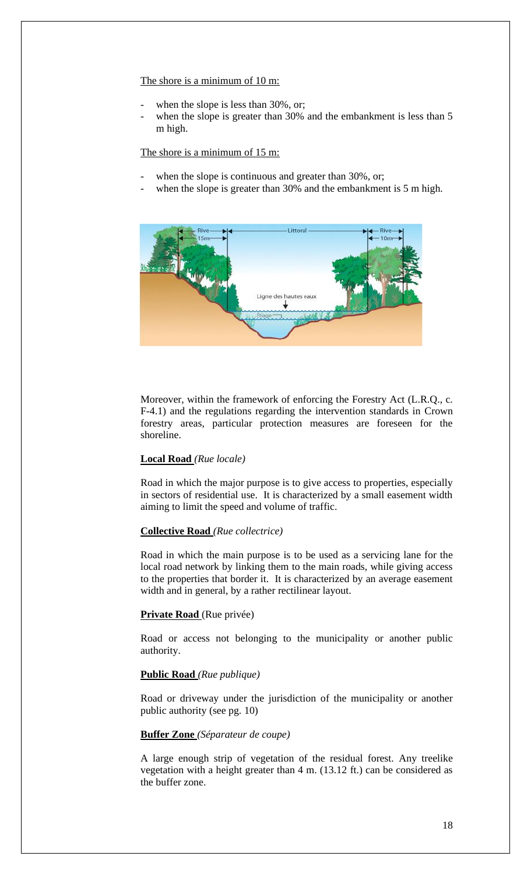# The shore is a minimum of 10 m:

- when the slope is less than 30%, or;
- when the slope is greater than 30% and the embankment is less than 5 m high.

The shore is a minimum of 15 m:

- when the slope is continuous and greater than 30%, or;
- when the slope is greater than 30% and the embankment is 5 m high.



Moreover, within the framework of enforcing the Forestry Act (L.R.Q., c. F-4.1) and the regulations regarding the intervention standards in Crown forestry areas, particular protection measures are foreseen for the shoreline.

# **Local Road** *(Rue locale)*

Road in which the major purpose is to give access to properties, especially in sectors of residential use. It is characterized by a small easement width aiming to limit the speed and volume of traffic.

# **Collective Road** *(Rue collectrice)*

Road in which the main purpose is to be used as a servicing lane for the local road network by linking them to the main roads, while giving access to the properties that border it. It is characterized by an average easement width and in general, by a rather rectilinear layout.

#### **Private Road** (Rue privée)

Road or access not belonging to the municipality or another public authority.

# **Public Road** *(Rue publique)*

Road or driveway under the jurisdiction of the municipality or another public authority (see pg. 10)

#### **Buffer Zone** *(Séparateur de coupe)*

A large enough strip of vegetation of the residual forest. Any treelike vegetation with a height greater than 4 m. (13.12 ft.) can be considered as the buffer zone.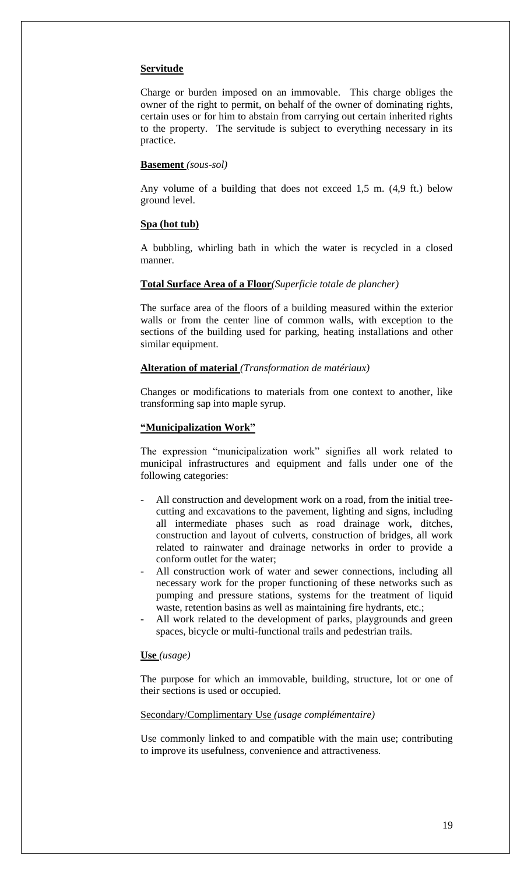### **Servitude**

Charge or burden imposed on an immovable. This charge obliges the owner of the right to permit, on behalf of the owner of dominating rights, certain uses or for him to abstain from carrying out certain inherited rights to the property. The servitude is subject to everything necessary in its practice.

#### **Basement** *(sous-sol)*

Any volume of a building that does not exceed 1,5 m. (4,9 ft.) below ground level.

#### **Spa (hot tub)**

A bubbling, whirling bath in which the water is recycled in a closed manner.

# **Total Surface Area of a Floor***(Superficie totale de plancher)*

The surface area of the floors of a building measured within the exterior walls or from the center line of common walls, with exception to the sections of the building used for parking, heating installations and other similar equipment.

#### **Alteration of material** *(Transformation de matériaux)*

Changes or modifications to materials from one context to another, like transforming sap into maple syrup.

#### **"Municipalization Work"**

The expression "municipalization work" signifies all work related to municipal infrastructures and equipment and falls under one of the following categories:

- All construction and development work on a road, from the initial treecutting and excavations to the pavement, lighting and signs, including all intermediate phases such as road drainage work, ditches, construction and layout of culverts, construction of bridges, all work related to rainwater and drainage networks in order to provide a conform outlet for the water;
- All construction work of water and sewer connections, including all necessary work for the proper functioning of these networks such as pumping and pressure stations, systems for the treatment of liquid waste, retention basins as well as maintaining fire hydrants, etc.;
- All work related to the development of parks, playgrounds and green spaces, bicycle or multi-functional trails and pedestrian trails.

### **Use** *(usage)*

The purpose for which an immovable, building, structure, lot or one of their sections is used or occupied.

#### Secondary/Complimentary Use *(usage complémentaire)*

Use commonly linked to and compatible with the main use; contributing to improve its usefulness, convenience and attractiveness.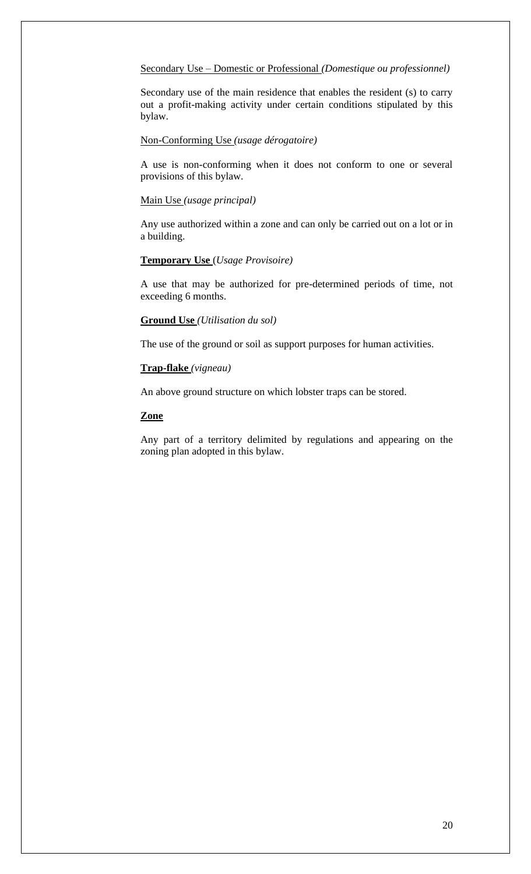# Secondary Use – Domestic or Professional *(Domestique ou professionnel)*

Secondary use of the main residence that enables the resident (s) to carry out a profit-making activity under certain conditions stipulated by this bylaw.

### Non-Conforming Use *(usage dérogatoire)*

A use is non-conforming when it does not conform to one or several provisions of this bylaw.

#### Main Use *(usage principal)*

Any use authorized within a zone and can only be carried out on a lot or in a building.

# **Temporary Use** (*Usage Provisoire)*

A use that may be authorized for pre-determined periods of time, not exceeding 6 months.

# **Ground Use** *(Utilisation du sol)*

The use of the ground or soil as support purposes for human activities.

# **Trap-flake** *(vigneau)*

An above ground structure on which lobster traps can be stored.

# **Zone**

Any part of a territory delimited by regulations and appearing on the zoning plan adopted in this bylaw.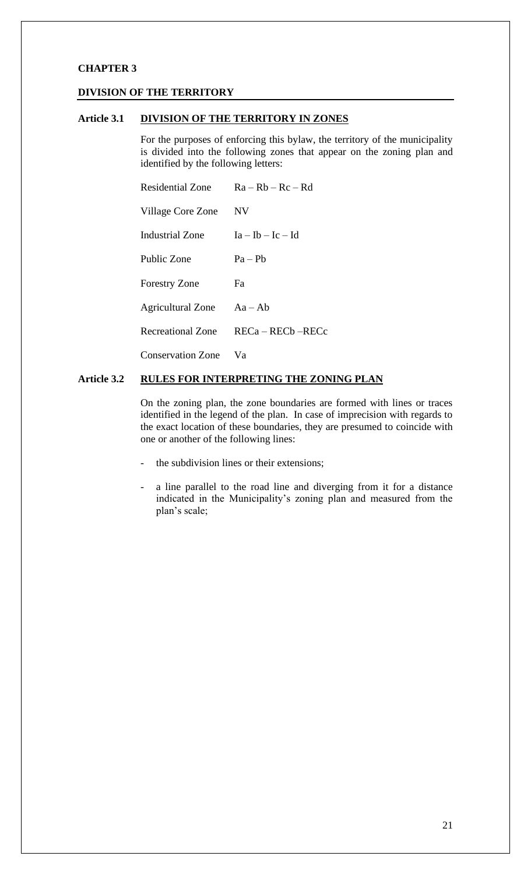# **CHAPTER 3**

### **DIVISION OF THE TERRITORY**

### **Article 3.1 DIVISION OF THE TERRITORY IN ZONES**

For the purposes of enforcing this bylaw, the territory of the municipality is divided into the following zones that appear on the zoning plan and identified by the following letters:

|                           | Residential Zone $Ra - Rb - Rc - Rd$ |  |  |
|---------------------------|--------------------------------------|--|--|
| Village Core Zone         | <b>NV</b>                            |  |  |
| <b>Industrial Zone</b>    | $Ia - Ib - Ic - Id$                  |  |  |
| Public Zone               | $Pa - Pb$                            |  |  |
| <b>Forestry Zone</b>      | Fa                                   |  |  |
| Agricultural Zone Aa - Ab |                                      |  |  |
|                           | Recreational Zone RECa – RECb – RECc |  |  |
| <b>Conservation Zone</b>  | Va                                   |  |  |

# **Article 3.2 RULES FOR INTERPRETING THE ZONING PLAN**

On the zoning plan, the zone boundaries are formed with lines or traces identified in the legend of the plan. In case of imprecision with regards to the exact location of these boundaries, they are presumed to coincide with one or another of the following lines:

- the subdivision lines or their extensions;
- a line parallel to the road line and diverging from it for a distance indicated in the Municipality's zoning plan and measured from the plan's scale;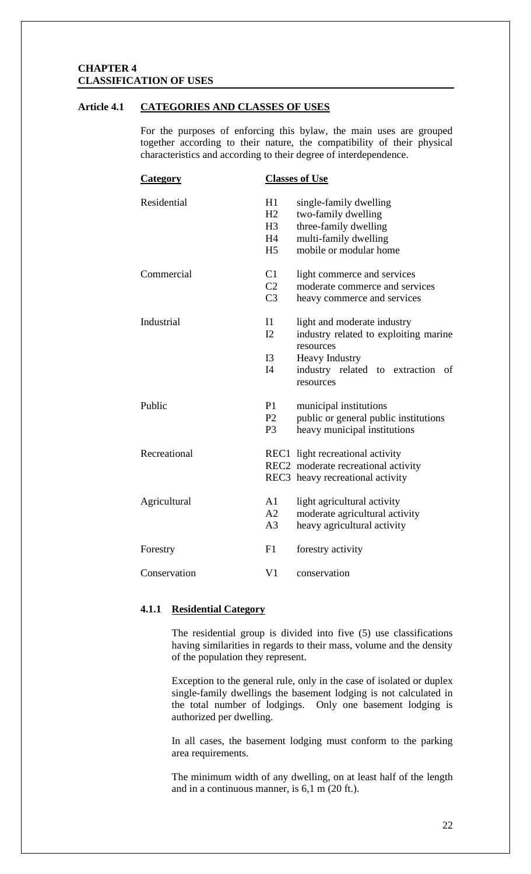# **CHAPTER 4 CLASSIFICATION OF USES**

# **Article 4.1 CATEGORIES AND CLASSES OF USES**

For the purposes of enforcing this bylaw, the main uses are grouped together according to their nature, the compatibility of their physical characteristics and according to their degree of interdependence.

| <b>Category</b> | <b>Classes of Use</b> |                                                    |
|-----------------|-----------------------|----------------------------------------------------|
| Residential     | H1                    | single-family dwelling                             |
|                 | H2                    | two-family dwelling                                |
|                 | H <sub>3</sub>        | three-family dwelling                              |
|                 | H4                    | multi-family dwelling                              |
|                 | H <sub>5</sub>        | mobile or modular home                             |
| Commercial      | C1                    | light commerce and services                        |
|                 | C <sub>2</sub>        | moderate commerce and services                     |
|                 | C <sub>3</sub>        | heavy commerce and services                        |
| Industrial      | $\mathbf{I}$          | light and moderate industry                        |
|                 | I2                    | industry related to exploiting marine<br>resources |
|                 | I3                    | <b>Heavy Industry</b>                              |
|                 | I4                    | industry related to extraction<br>οf<br>resources  |
| Public          | P1                    | municipal institutions                             |
|                 | P <sub>2</sub>        | public or general public institutions              |
|                 | P <sub>3</sub>        | heavy municipal institutions                       |
| Recreational    |                       | REC1 light recreational activity                   |
|                 |                       | REC2 moderate recreational activity                |
|                 |                       | REC3 heavy recreational activity                   |
| Agricultural    | A1                    | light agricultural activity                        |
|                 | A2                    | moderate agricultural activity                     |
|                 | A <sub>3</sub>        | heavy agricultural activity                        |
| Forestry        | F1                    | forestry activity                                  |
| Conservation    | V <sub>1</sub>        | conservation                                       |

# **4.1.1 Residential Category**

The residential group is divided into five (5) use classifications having similarities in regards to their mass, volume and the density of the population they represent.

Exception to the general rule, only in the case of isolated or duplex single-family dwellings the basement lodging is not calculated in the total number of lodgings. Only one basement lodging is authorized per dwelling.

In all cases, the basement lodging must conform to the parking area requirements.

The minimum width of any dwelling, on at least half of the length and in a continuous manner, is 6,1 m (20 ft.).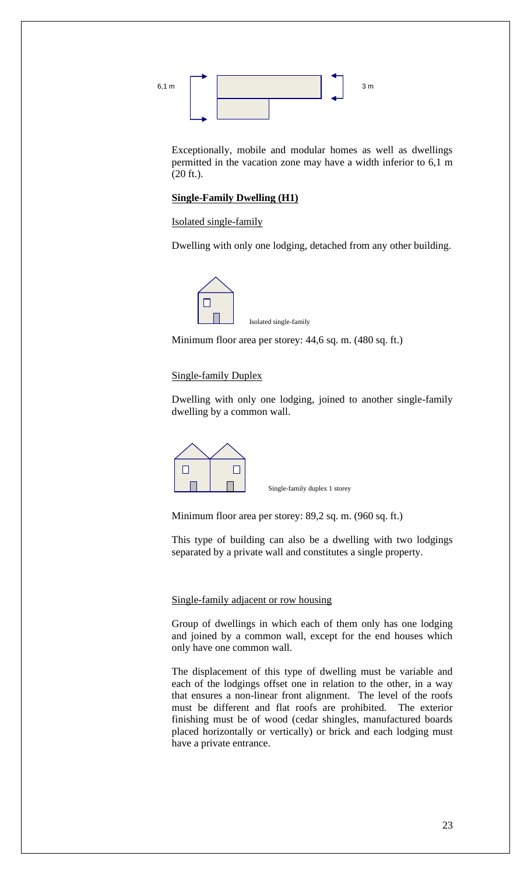

Exceptionally, mobile and modular homes as well as dwellings permitted in the vacation zone may have a width inferior to 6,1 m (20 ft.).

# **Single-Family Dwelling (H1)**

Isolated single-family

Dwelling with only one lodging, detached from any other building.



Minimum floor area per storey: 44,6 sq. m. (480 sq. ft.)

### Single-family Duplex

Dwelling with only one lodging, joined to another single-family dwelling by a common wall.



Single-family duplex 1 storey

Minimum floor area per storey: 89,2 sq. m. (960 sq. ft.)

This type of building can also be a dwelling with two lodgings separated by a private wall and constitutes a single property.

### Single-family adjacent or row housing

Group of dwellings in which each of them only has one lodging and joined by a common wall, except for the end houses which only have one common wall.

The displacement of this type of dwelling must be variable and each of the lodgings offset one in relation to the other, in a way that ensures a non-linear front alignment. The level of the roofs must be different and flat roofs are prohibited. The exterior finishing must be of wood (cedar shingles, manufactured boards placed horizontally or vertically) or brick and each lodging must have a private entrance.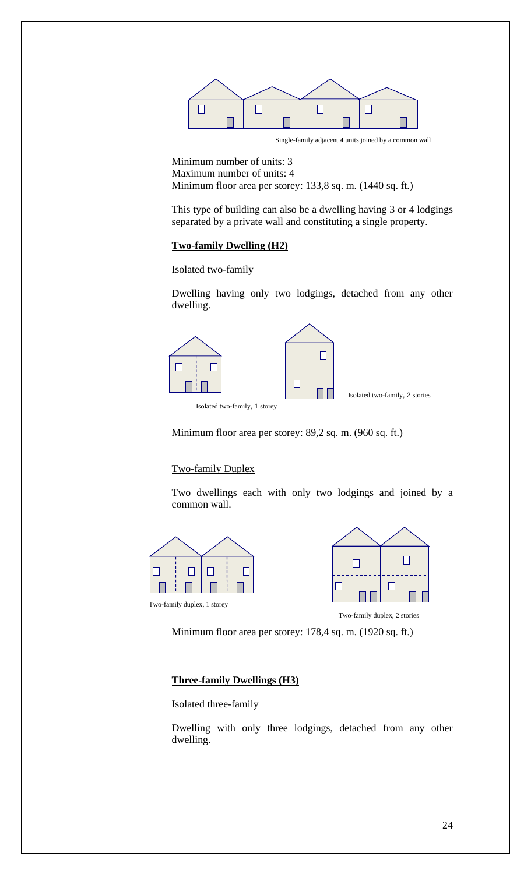

Single-family adjacent 4 units joined by a common wall

Minimum number of units: 3 Maximum number of units: 4 Minimum floor area per storey: 133,8 sq. m. (1440 sq. ft.)

This type of building can also be a dwelling having 3 or 4 lodgings separated by a private wall and constituting a single property.

# **Two-family Dwelling (H2)**

Isolated two-family

Dwelling having only two lodgings, detached from any other dwelling.



Isolated two-family, 1 storey

Minimum floor area per storey: 89,2 sq. m. (960 sq. ft.)

# Two-family Duplex

Two dwellings each with only two lodgings and joined by a common wall.







Two-family duplex, 2 stories

Minimum floor area per storey: 178,4 sq. m. (1920 sq. ft.)

# **Three-family Dwellings (H3)**

Isolated three-family

Dwelling with only three lodgings, detached from any other dwelling.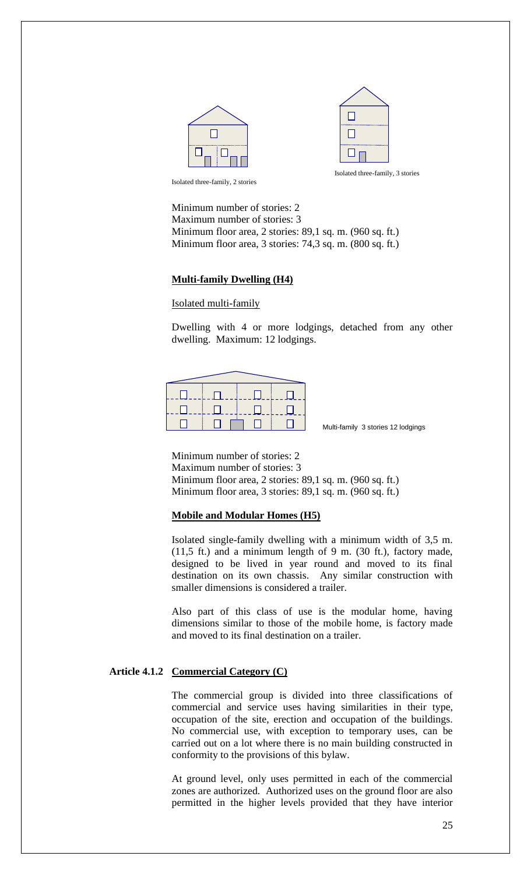



Isolated three-family, 2 stories

Minimum number of stories: 2 Maximum number of stories: 3 Minimum floor area, 2 stories: 89,1 sq. m. (960 sq. ft.) Minimum floor area, 3 stories: 74,3 sq. m. (800 sq. ft.)

# **Multi-family Dwelling (H4)**

# Isolated multi-family

Dwelling with 4 or more lodgings, detached from any other dwelling. Maximum: 12 lodgings.



Multi-family 3 stories 12 lodgings

Minimum number of stories: 2 Maximum number of stories: 3 Minimum floor area, 2 stories: 89,1 sq. m. (960 sq. ft.) Minimum floor area, 3 stories: 89,1 sq. m. (960 sq. ft.)

### **Mobile and Modular Homes (H5)**

Isolated single-family dwelling with a minimum width of 3,5 m. (11,5 ft.) and a minimum length of 9 m. (30 ft.), factory made, designed to be lived in year round and moved to its final destination on its own chassis. Any similar construction with smaller dimensions is considered a trailer.

Also part of this class of use is the modular home, having dimensions similar to those of the mobile home, is factory made and moved to its final destination on a trailer.

# **Article 4.1.2 Commercial Category (C)**

The commercial group is divided into three classifications of commercial and service uses having similarities in their type, occupation of the site, erection and occupation of the buildings. No commercial use, with exception to temporary uses, can be carried out on a lot where there is no main building constructed in conformity to the provisions of this bylaw.

At ground level, only uses permitted in each of the commercial zones are authorized. Authorized uses on the ground floor are also permitted in the higher levels provided that they have interior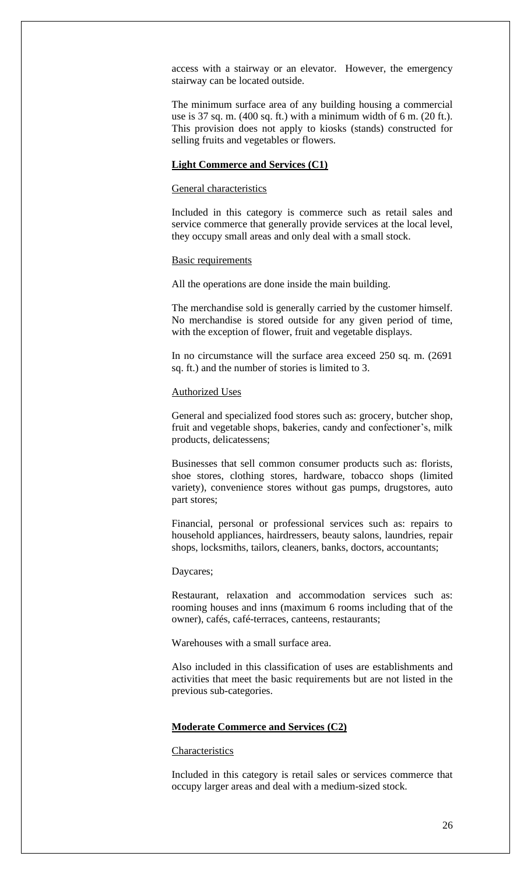access with a stairway or an elevator. However, the emergency stairway can be located outside.

The minimum surface area of any building housing a commercial use is 37 sq. m. (400 sq. ft.) with a minimum width of 6 m. (20 ft.). This provision does not apply to kiosks (stands) constructed for selling fruits and vegetables or flowers.

# **Light Commerce and Services (C1)**

### General characteristics

Included in this category is commerce such as retail sales and service commerce that generally provide services at the local level, they occupy small areas and only deal with a small stock.

#### Basic requirements

All the operations are done inside the main building.

The merchandise sold is generally carried by the customer himself. No merchandise is stored outside for any given period of time, with the exception of flower, fruit and vegetable displays.

In no circumstance will the surface area exceed 250 sq. m. (2691 sq. ft.) and the number of stories is limited to 3.

### Authorized Uses

General and specialized food stores such as: grocery, butcher shop, fruit and vegetable shops, bakeries, candy and confectioner's, milk products, delicatessens;

Businesses that sell common consumer products such as: florists, shoe stores, clothing stores, hardware, tobacco shops (limited variety), convenience stores without gas pumps, drugstores, auto part stores;

Financial, personal or professional services such as: repairs to household appliances, hairdressers, beauty salons, laundries, repair shops, locksmiths, tailors, cleaners, banks, doctors, accountants;

#### Daycares;

Restaurant, relaxation and accommodation services such as: rooming houses and inns (maximum 6 rooms including that of the owner), cafés, café-terraces, canteens, restaurants;

Warehouses with a small surface area.

Also included in this classification of uses are establishments and activities that meet the basic requirements but are not listed in the previous sub-categories.

# **Moderate Commerce and Services (C2)**

# **Characteristics**

Included in this category is retail sales or services commerce that occupy larger areas and deal with a medium-sized stock.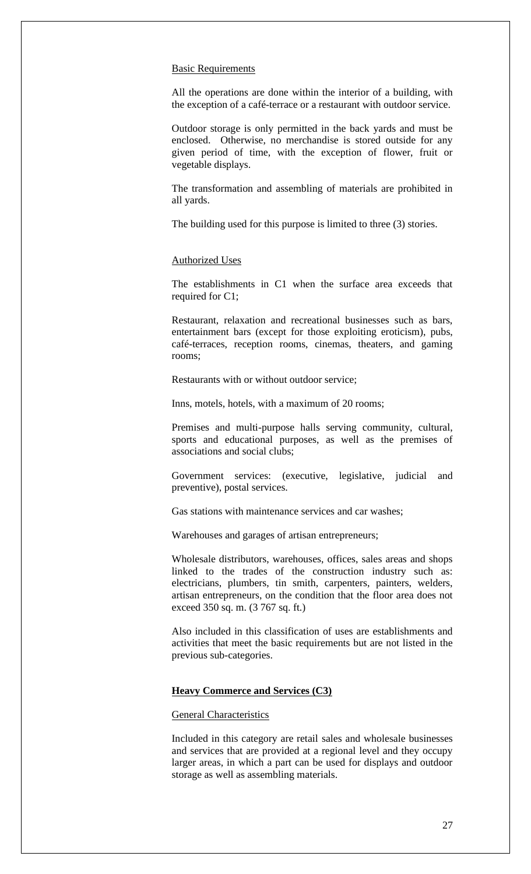#### **Basic Requirements**

All the operations are done within the interior of a building, with the exception of a café-terrace or a restaurant with outdoor service.

Outdoor storage is only permitted in the back yards and must be enclosed. Otherwise, no merchandise is stored outside for any given period of time, with the exception of flower, fruit or vegetable displays.

The transformation and assembling of materials are prohibited in all yards.

The building used for this purpose is limited to three (3) stories.

#### Authorized Uses

The establishments in C1 when the surface area exceeds that required for C1;

Restaurant, relaxation and recreational businesses such as bars, entertainment bars (except for those exploiting eroticism), pubs, café-terraces, reception rooms, cinemas, theaters, and gaming rooms;

Restaurants with or without outdoor service;

Inns, motels, hotels, with a maximum of 20 rooms;

Premises and multi-purpose halls serving community, cultural, sports and educational purposes, as well as the premises of associations and social clubs;

Government services: (executive, legislative, judicial and preventive), postal services.

Gas stations with maintenance services and car washes;

Warehouses and garages of artisan entrepreneurs;

Wholesale distributors, warehouses, offices, sales areas and shops linked to the trades of the construction industry such as: electricians, plumbers, tin smith, carpenters, painters, welders, artisan entrepreneurs, on the condition that the floor area does not exceed 350 sq. m. (3 767 sq. ft.)

Also included in this classification of uses are establishments and activities that meet the basic requirements but are not listed in the previous sub-categories.

# **Heavy Commerce and Services (C3)**

# General Characteristics

Included in this category are retail sales and wholesale businesses and services that are provided at a regional level and they occupy larger areas, in which a part can be used for displays and outdoor storage as well as assembling materials.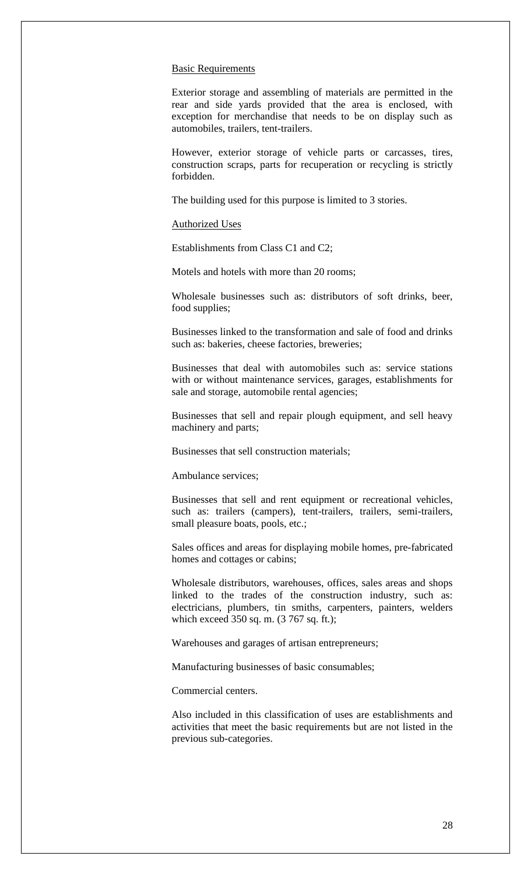#### **Basic Requirements**

Exterior storage and assembling of materials are permitted in the rear and side yards provided that the area is enclosed, with exception for merchandise that needs to be on display such as automobiles, trailers, tent-trailers.

However, exterior storage of vehicle parts or carcasses, tires, construction scraps, parts for recuperation or recycling is strictly forbidden.

The building used for this purpose is limited to 3 stories.

#### Authorized Uses

Establishments from Class C1 and C2;

Motels and hotels with more than 20 rooms;

Wholesale businesses such as: distributors of soft drinks, beer, food supplies;

Businesses linked to the transformation and sale of food and drinks such as: bakeries, cheese factories, breweries;

Businesses that deal with automobiles such as: service stations with or without maintenance services, garages, establishments for sale and storage, automobile rental agencies;

Businesses that sell and repair plough equipment, and sell heavy machinery and parts;

Businesses that sell construction materials;

Ambulance services;

Businesses that sell and rent equipment or recreational vehicles, such as: trailers (campers), tent-trailers, trailers, semi-trailers, small pleasure boats, pools, etc.;

Sales offices and areas for displaying mobile homes, pre-fabricated homes and cottages or cabins;

Wholesale distributors, warehouses, offices, sales areas and shops linked to the trades of the construction industry, such as: electricians, plumbers, tin smiths, carpenters, painters, welders which exceed 350 sq. m. (3 767 sq. ft.);

Warehouses and garages of artisan entrepreneurs;

Manufacturing businesses of basic consumables;

Commercial centers.

Also included in this classification of uses are establishments and activities that meet the basic requirements but are not listed in the previous sub-categories.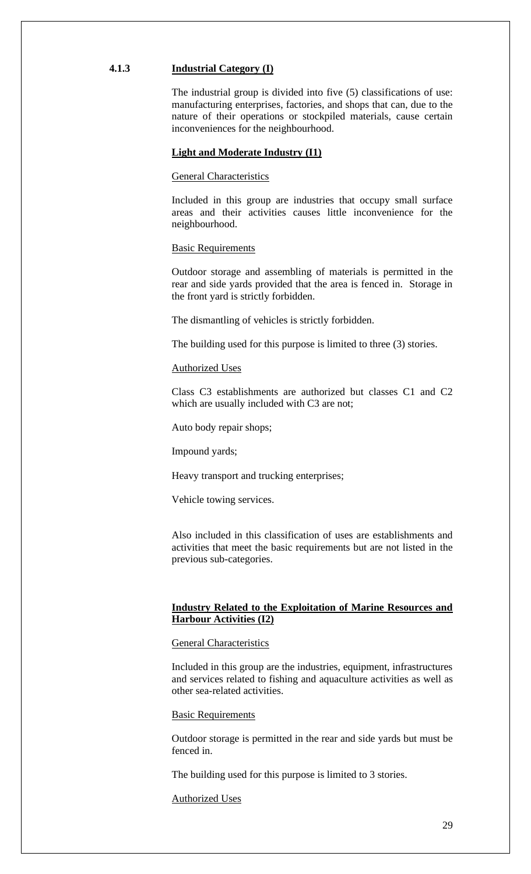### **4.1.3 Industrial Category (I)**

The industrial group is divided into five (5) classifications of use: manufacturing enterprises, factories, and shops that can, due to the nature of their operations or stockpiled materials, cause certain inconveniences for the neighbourhood.

#### **Light and Moderate Industry (I1)**

General Characteristics

Included in this group are industries that occupy small surface areas and their activities causes little inconvenience for the neighbourhood.

#### **Basic Requirements**

Outdoor storage and assembling of materials is permitted in the rear and side yards provided that the area is fenced in. Storage in the front yard is strictly forbidden.

The dismantling of vehicles is strictly forbidden.

The building used for this purpose is limited to three (3) stories.

# Authorized Uses

Class C3 establishments are authorized but classes C1 and C2 which are usually included with C3 are not;

Auto body repair shops;

Impound yards;

Heavy transport and trucking enterprises;

Vehicle towing services.

Also included in this classification of uses are establishments and activities that meet the basic requirements but are not listed in the previous sub-categories.

# **Industry Related to the Exploitation of Marine Resources and Harbour Activities (I2)**

#### General Characteristics

Included in this group are the industries, equipment, infrastructures and services related to fishing and aquaculture activities as well as other sea-related activities.

Basic Requirements

Outdoor storage is permitted in the rear and side yards but must be fenced in.

The building used for this purpose is limited to 3 stories.

Authorized Uses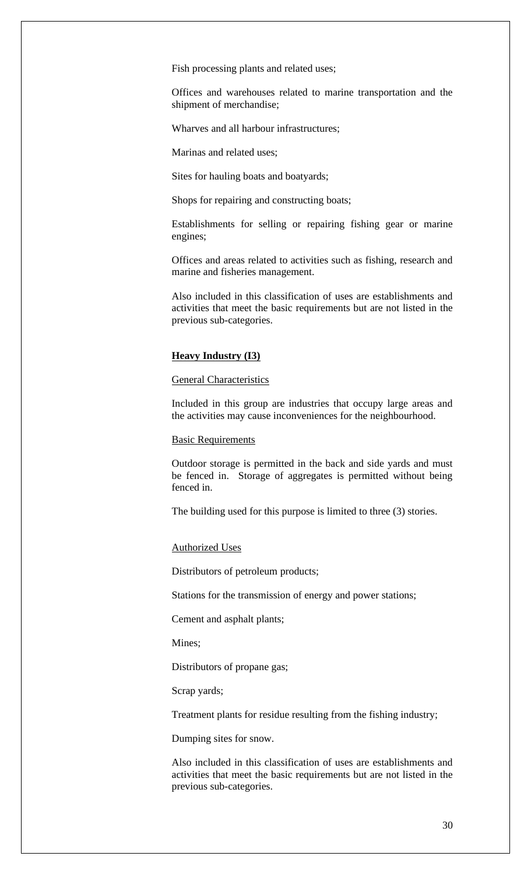Fish processing plants and related uses;

Offices and warehouses related to marine transportation and the shipment of merchandise;

Wharves and all harbour infrastructures;

Marinas and related uses;

Sites for hauling boats and boatyards;

Shops for repairing and constructing boats;

Establishments for selling or repairing fishing gear or marine engines;

Offices and areas related to activities such as fishing, research and marine and fisheries management.

Also included in this classification of uses are establishments and activities that meet the basic requirements but are not listed in the previous sub-categories.

# **Heavy Industry (I3)**

General Characteristics

Included in this group are industries that occupy large areas and the activities may cause inconveniences for the neighbourhood.

# Basic Requirements

Outdoor storage is permitted in the back and side yards and must be fenced in. Storage of aggregates is permitted without being fenced in.

The building used for this purpose is limited to three (3) stories.

#### Authorized Uses

Distributors of petroleum products;

Stations for the transmission of energy and power stations;

Cement and asphalt plants;

Mines;

Distributors of propane gas;

Scrap yards;

Treatment plants for residue resulting from the fishing industry;

Dumping sites for snow.

Also included in this classification of uses are establishments and activities that meet the basic requirements but are not listed in the previous sub-categories.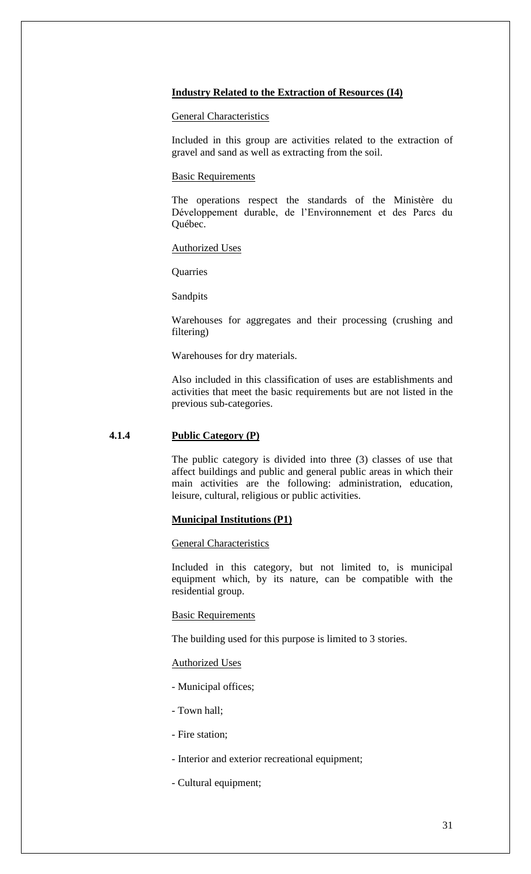# **Industry Related to the Extraction of Resources (I4)**

# General Characteristics

Included in this group are activities related to the extraction of gravel and sand as well as extracting from the soil.

# Basic Requirements

The operations respect the standards of the Ministère du Développement durable, de l'Environnement et des Parcs du Québec.

# Authorized Uses

**Quarries** 

Sandpits

Warehouses for aggregates and their processing (crushing and filtering)

Warehouses for dry materials.

Also included in this classification of uses are establishments and activities that meet the basic requirements but are not listed in the previous sub-categories.

# **4.1.4 Public Category (P)**

The public category is divided into three (3) classes of use that affect buildings and public and general public areas in which their main activities are the following: administration, education, leisure, cultural, religious or public activities.

# **Municipal Institutions (P1)**

# General Characteristics

Included in this category, but not limited to, is municipal equipment which, by its nature, can be compatible with the residential group.

# Basic Requirements

The building used for this purpose is limited to 3 stories.

# Authorized Uses

- Municipal offices;
- Town hall;
- Fire station;
- Interior and exterior recreational equipment;
- Cultural equipment;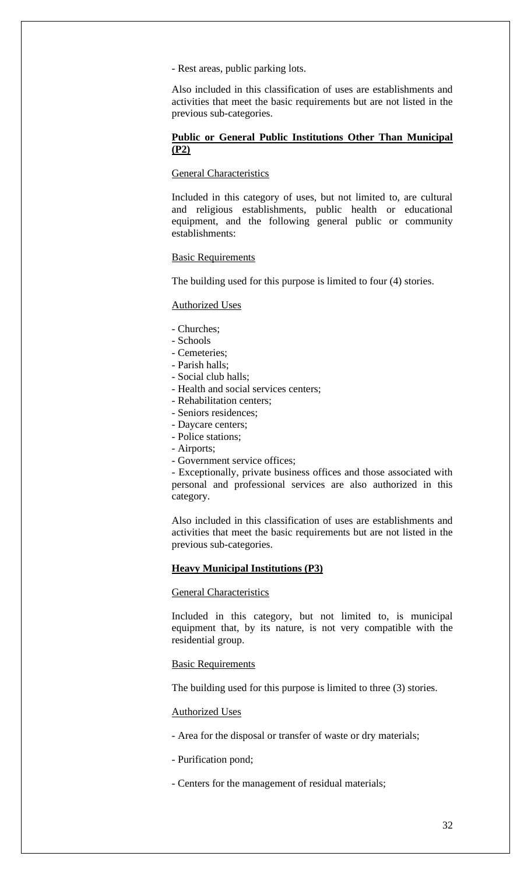- Rest areas, public parking lots.

Also included in this classification of uses are establishments and activities that meet the basic requirements but are not listed in the previous sub-categories.

# **Public or General Public Institutions Other Than Municipal (P2)**

# General Characteristics

Included in this category of uses, but not limited to, are cultural and religious establishments, public health or educational equipment, and the following general public or community establishments:

# Basic Requirements

The building used for this purpose is limited to four (4) stories.

# Authorized Uses

- Churches;
- Schools
- Cemeteries;
- Parish halls;
- Social club halls;
- Health and social services centers;
- Rehabilitation centers;
- Seniors residences;
- Daycare centers;
- Police stations;
- Airports;
- Government service offices;

- Exceptionally, private business offices and those associated with personal and professional services are also authorized in this category.

Also included in this classification of uses are establishments and activities that meet the basic requirements but are not listed in the previous sub-categories.

# **Heavy Municipal Institutions (P3)**

# General Characteristics

Included in this category, but not limited to, is municipal equipment that, by its nature, is not very compatible with the residential group.

#### Basic Requirements

The building used for this purpose is limited to three (3) stories.

# Authorized Uses

- Area for the disposal or transfer of waste or dry materials;
- Purification pond;
- Centers for the management of residual materials;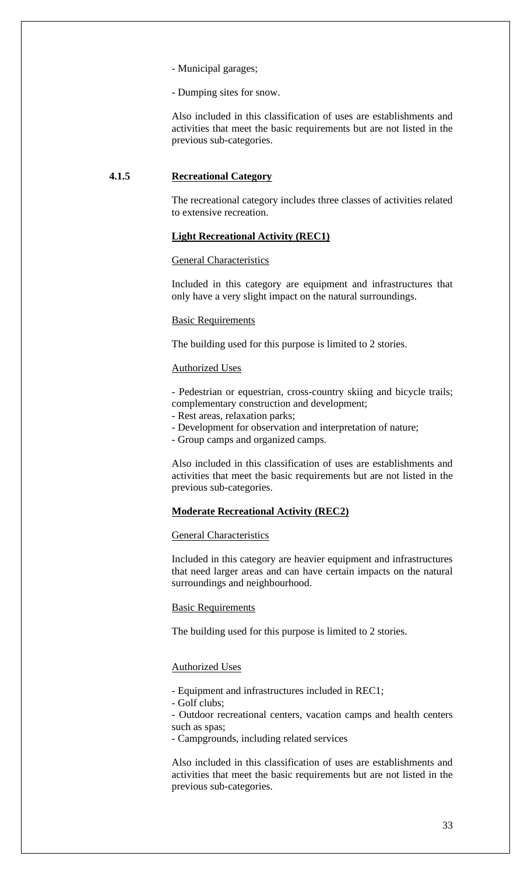- Municipal garages;

- Dumping sites for snow.

Also included in this classification of uses are establishments and activities that meet the basic requirements but are not listed in the previous sub-categories.

# **4.1.5 Recreational Category**

The recreational category includes three classes of activities related to extensive recreation.

# **Light Recreational Activity (REC1)**

#### General Characteristics

Included in this category are equipment and infrastructures that only have a very slight impact on the natural surroundings.

# Basic Requirements

The building used for this purpose is limited to 2 stories.

# Authorized Uses

- Pedestrian or equestrian, cross-country skiing and bicycle trails; complementary construction and development;

- Rest areas, relaxation parks;
- Development for observation and interpretation of nature;

- Group camps and organized camps.

Also included in this classification of uses are establishments and activities that meet the basic requirements but are not listed in the previous sub-categories.

# **Moderate Recreational Activity (REC2)**

# General Characteristics

Included in this category are heavier equipment and infrastructures that need larger areas and can have certain impacts on the natural surroundings and neighbourhood.

Basic Requirements

The building used for this purpose is limited to 2 stories.

#### Authorized Uses

- Equipment and infrastructures included in REC1;

- Golf clubs;

- Outdoor recreational centers, vacation camps and health centers such as spas;

- Campgrounds, including related services

Also included in this classification of uses are establishments and activities that meet the basic requirements but are not listed in the previous sub-categories.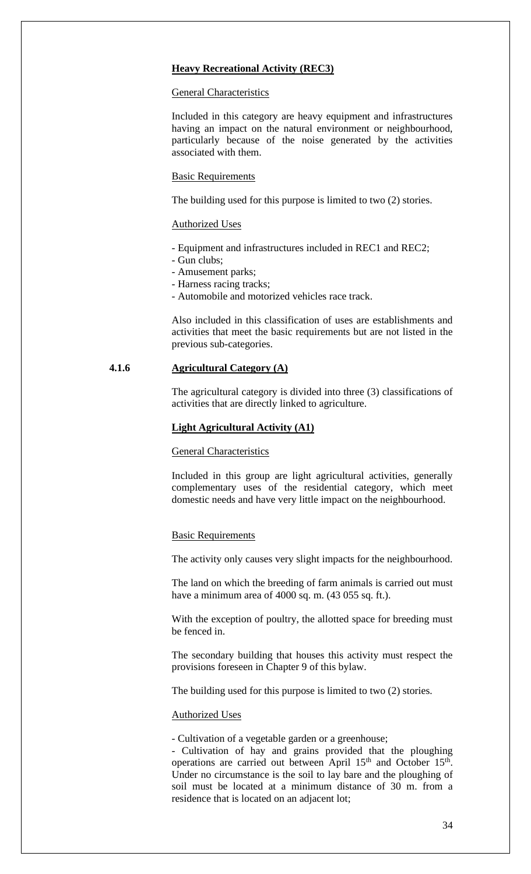# **Heavy Recreational Activity (REC3)**

#### General Characteristics

Included in this category are heavy equipment and infrastructures having an impact on the natural environment or neighbourhood, particularly because of the noise generated by the activities associated with them.

#### Basic Requirements

The building used for this purpose is limited to two (2) stories.

#### Authorized Uses

- Equipment and infrastructures included in REC1 and REC2;
- Gun clubs;
- Amusement parks;
- Harness racing tracks;
- Automobile and motorized vehicles race track.

Also included in this classification of uses are establishments and activities that meet the basic requirements but are not listed in the previous sub-categories.

# **4.1.6 Agricultural Category (A)**

The agricultural category is divided into three (3) classifications of activities that are directly linked to agriculture.

### **Light Agricultural Activity (A1)**

# General Characteristics

Included in this group are light agricultural activities, generally complementary uses of the residential category, which meet domestic needs and have very little impact on the neighbourhood.

#### **Basic Requirements**

The activity only causes very slight impacts for the neighbourhood.

The land on which the breeding of farm animals is carried out must have a minimum area of 4000 sq. m. (43 055 sq. ft.).

With the exception of poultry, the allotted space for breeding must be fenced in.

The secondary building that houses this activity must respect the provisions foreseen in Chapter 9 of this bylaw.

The building used for this purpose is limited to two (2) stories.

#### Authorized Uses

- Cultivation of a vegetable garden or a greenhouse;

- Cultivation of hay and grains provided that the ploughing operations are carried out between April  $15<sup>th</sup>$  and October  $15<sup>th</sup>$ . Under no circumstance is the soil to lay bare and the ploughing of soil must be located at a minimum distance of 30 m. from a residence that is located on an adjacent lot;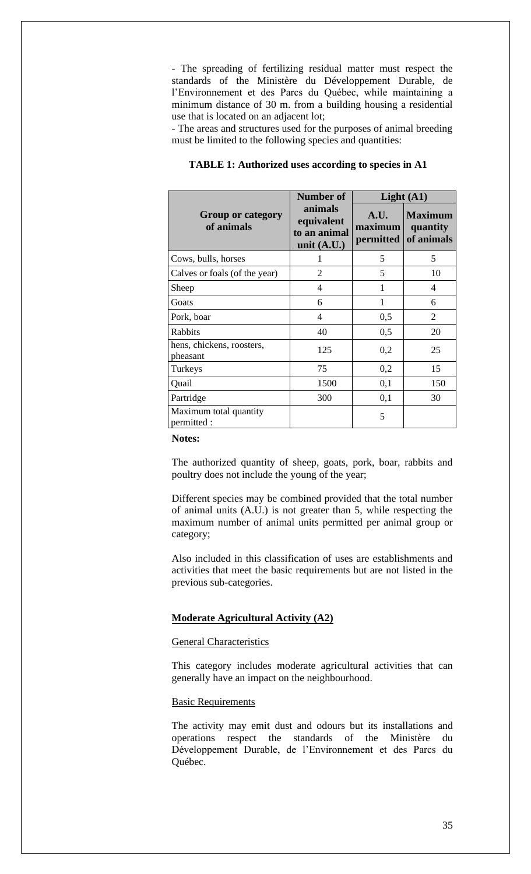- The spreading of fertilizing residual matter must respect the standards of the Ministère du Développement Durable, de l'Environnement et des Parcs du Québec, while maintaining a minimum distance of 30 m. from a building housing a residential use that is located on an adjacent lot;

- The areas and structures used for the purposes of animal breeding must be limited to the following species and quantities:

|                                        | Number of                                              | Light $(A1)$                 |                                          |
|----------------------------------------|--------------------------------------------------------|------------------------------|------------------------------------------|
| <b>Group or category</b><br>of animals | animals<br>equivalent<br>to an animal<br>unit $(A.U.)$ | A.U.<br>maximum<br>permitted | <b>Maximum</b><br>quantity<br>of animals |
| Cows, bulls, horses                    | 1                                                      | 5                            | 5                                        |
| Calves or foals (of the year)          | 2                                                      | 5                            | 10                                       |
| Sheep                                  | 4                                                      | 1                            | 4                                        |
| Goats                                  | 6                                                      | $\mathbf{1}$                 | 6                                        |
| Pork, boar                             | 4                                                      | 0,5                          | 2                                        |
| Rabbits                                | 40                                                     | 0,5                          | 20                                       |
| hens, chickens, roosters,<br>pheasant  | 125                                                    | 0,2                          | 25                                       |
| Turkeys                                | 75                                                     | 0,2                          | 15                                       |
| Quail                                  | 1500                                                   | 0,1                          | 150                                      |
| Partridge                              | 300                                                    | 0,1                          | 30                                       |
| Maximum total quantity<br>permitted:   |                                                        | 5                            |                                          |

# **TABLE 1: Authorized uses according to species in A1**

#### **Notes:**

The authorized quantity of sheep, goats, pork, boar, rabbits and poultry does not include the young of the year;

Different species may be combined provided that the total number of animal units (A.U.) is not greater than 5, while respecting the maximum number of animal units permitted per animal group or category;

Also included in this classification of uses are establishments and activities that meet the basic requirements but are not listed in the previous sub-categories.

# **Moderate Agricultural Activity (A2)**

# General Characteristics

This category includes moderate agricultural activities that can generally have an impact on the neighbourhood.

# Basic Requirements

The activity may emit dust and odours but its installations and operations respect the standards of the Ministère du Développement Durable, de l'Environnement et des Parcs du Québec.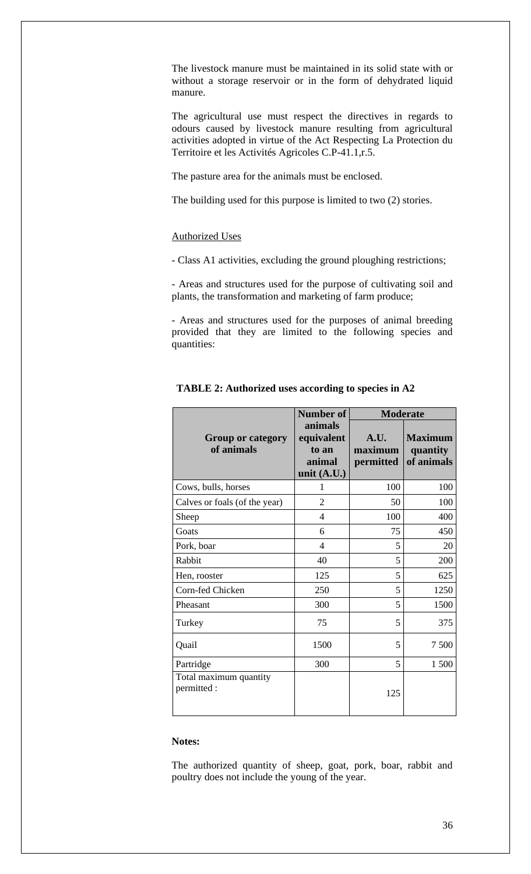The livestock manure must be maintained in its solid state with or without a storage reservoir or in the form of dehydrated liquid manure.

The agricultural use must respect the directives in regards to odours caused by livestock manure resulting from agricultural activities adopted in virtue of the Act Respecting La Protection du Territoire et les Activités Agricoles C.P-41.1,r.5.

The pasture area for the animals must be enclosed.

The building used for this purpose is limited to two (2) stories.

# Authorized Uses

- Class A1 activities, excluding the ground ploughing restrictions;

- Areas and structures used for the purpose of cultivating soil and plants, the transformation and marketing of farm produce;

- Areas and structures used for the purposes of animal breeding provided that they are limited to the following species and quantities:

|                                        | <b>Number of</b>                                          | <b>Moderate</b>              |                                          |
|----------------------------------------|-----------------------------------------------------------|------------------------------|------------------------------------------|
| <b>Group or category</b><br>of animals | animals<br>equivalent<br>to an<br>animal<br>unit $(A.U.)$ | A.U.<br>maximum<br>permitted | <b>Maximum</b><br>quantity<br>of animals |
| Cows, bulls, horses                    | 1                                                         | 100                          | 100                                      |
| Calves or foals (of the year)          | $\overline{2}$                                            | 50                           | 100                                      |
| Sheep                                  | $\overline{\mathcal{A}}$                                  | 100                          | 400                                      |
| Goats                                  | 6                                                         | 75                           | 450                                      |
| Pork, boar                             | 4                                                         | 5                            | 20                                       |
| Rabbit                                 | 40                                                        | 5                            | 200                                      |
| Hen, rooster                           | 125                                                       | 5                            | 625                                      |
| Corn-fed Chicken                       | 250                                                       | 5                            | 1250                                     |
| Pheasant                               | 300                                                       | 5                            | 1500                                     |
| Turkey                                 | 75                                                        | 5                            | 375                                      |
| Quail                                  | 1500                                                      | 5                            | 7500                                     |
| Partridge                              | 300                                                       | 5                            | 1 500                                    |
| Total maximum quantity<br>permitted :  |                                                           | 125                          |                                          |

# **TABLE 2: Authorized uses according to species in A2**

#### **Notes:**

The authorized quantity of sheep, goat, pork, boar, rabbit and poultry does not include the young of the year.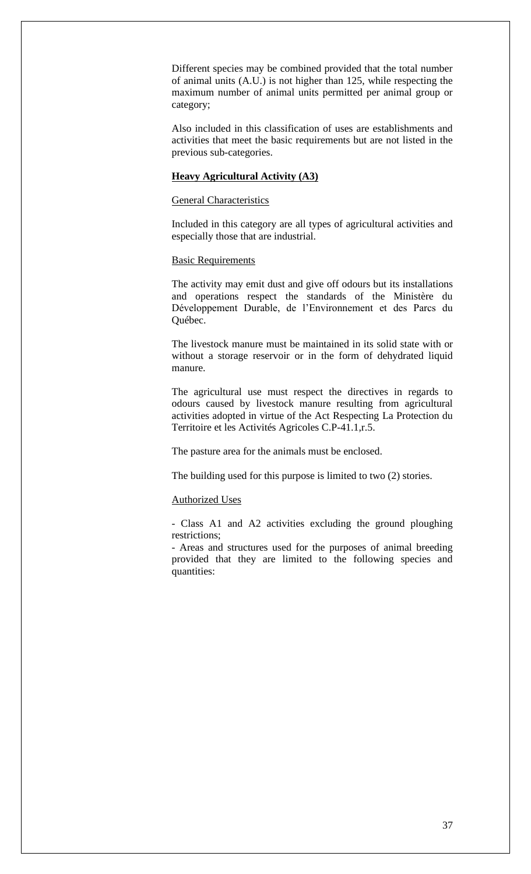Different species may be combined provided that the total number of animal units (A.U.) is not higher than 125, while respecting the maximum number of animal units permitted per animal group or category;

Also included in this classification of uses are establishments and activities that meet the basic requirements but are not listed in the previous sub-categories.

## **Heavy Agricultural Activity (A3)**

# General Characteristics

Included in this category are all types of agricultural activities and especially those that are industrial.

#### Basic Requirements

The activity may emit dust and give off odours but its installations and operations respect the standards of the Ministère du Développement Durable, de l'Environnement et des Parcs du Québec.

The livestock manure must be maintained in its solid state with or without a storage reservoir or in the form of dehydrated liquid manure.

The agricultural use must respect the directives in regards to odours caused by livestock manure resulting from agricultural activities adopted in virtue of the Act Respecting La Protection du Territoire et les Activités Agricoles C.P-41.1,r.5.

The pasture area for the animals must be enclosed.

The building used for this purpose is limited to two (2) stories.

#### Authorized Uses

- Class A1 and A2 activities excluding the ground ploughing restrictions;

- Areas and structures used for the purposes of animal breeding provided that they are limited to the following species and quantities: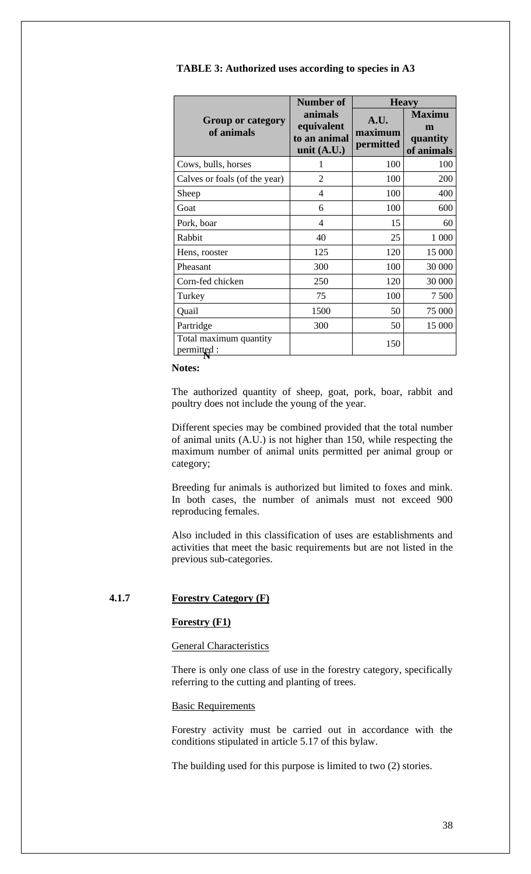|                                        | <b>Number of</b>                                       | <b>Heavy</b>                 |                                              |
|----------------------------------------|--------------------------------------------------------|------------------------------|----------------------------------------------|
| <b>Group or category</b><br>of animals | animals<br>equivalent<br>to an animal<br>unit $(A.U.)$ | A.U.<br>maximum<br>permitted | <b>Maximu</b><br>m<br>quantity<br>of animals |
| Cows, bulls, horses                    | 1                                                      | 100                          | 100                                          |
| Calves or foals (of the year)          | $\overline{2}$                                         | 100                          | 200                                          |
| Sheep                                  | 4                                                      | 100                          | 400                                          |
| Goat                                   | 6                                                      | 100                          | 600                                          |
| Pork, boar                             | 4                                                      | 15                           | 60                                           |
| Rabbit                                 | 40                                                     | 25                           | 1 0 0 0                                      |
| Hens, rooster                          | 125                                                    | 120                          | 15 000                                       |
| Pheasant                               | 300                                                    | 100                          | 30 000                                       |
| Corn-fed chicken                       | 250                                                    | 120                          | 30 000                                       |
| Turkey                                 | 75                                                     | 100                          | 7 500                                        |
| Quail                                  | 1500                                                   | 50                           | 75 000                                       |
| Partridge                              | 300                                                    | 50                           | 15 000                                       |
| Total maximum quantity<br>permitted:   |                                                        | 150                          |                                              |

**TABLE 3: Authorized uses according to species in A3**

# **Notes:**

The authorized quantity of sheep, goat, pork, boar, rabbit and poultry does not include the young of the year.

Different species may be combined provided that the total number of animal units (A.U.) is not higher than 150, while respecting the maximum number of animal units permitted per animal group or category;

Breeding fur animals is authorized but limited to foxes and mink. In both cases, the number of animals must not exceed 900 reproducing females.

Also included in this classification of uses are establishments and activities that meet the basic requirements but are not listed in the previous sub-categories.

# **4.1.7 Forestry Category (F)**

# **Forestry (F1)**

# General Characteristics

There is only one class of use in the forestry category, specifically referring to the cutting and planting of trees.

### Basic Requirements

Forestry activity must be carried out in accordance with the conditions stipulated in article 5.17 of this bylaw.

The building used for this purpose is limited to two (2) stories.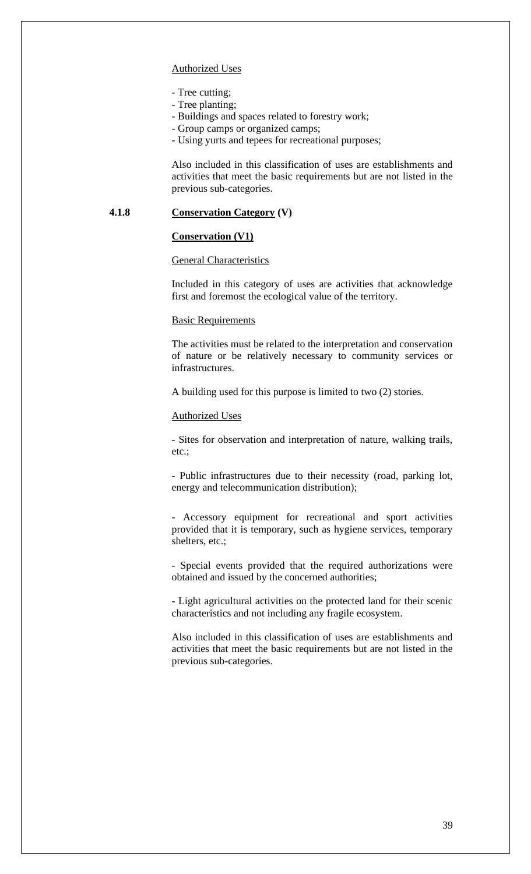#### Authorized Uses

- Tree cutting;
- Tree planting;
- Buildings and spaces related to forestry work;
- Group camps or organized camps;
- Using yurts and tepees for recreational purposes;

Also included in this classification of uses are establishments and activities that meet the basic requirements but are not listed in the previous sub-categories.

## **4.1.8 Conservation Category (V)**

# **Conservation (V1)**

#### General Characteristics

Included in this category of uses are activities that acknowledge first and foremost the ecological value of the territory.

#### Basic Requirements

The activities must be related to the interpretation and conservation of nature or be relatively necessary to community services or infrastructures.

A building used for this purpose is limited to two (2) stories.

#### Authorized Uses

- Sites for observation and interpretation of nature, walking trails, etc.;

- Public infrastructures due to their necessity (road, parking lot, energy and telecommunication distribution);

- Accessory equipment for recreational and sport activities provided that it is temporary, such as hygiene services, temporary shelters, etc.;

- Special events provided that the required authorizations were obtained and issued by the concerned authorities;

- Light agricultural activities on the protected land for their scenic characteristics and not including any fragile ecosystem.

Also included in this classification of uses are establishments and activities that meet the basic requirements but are not listed in the previous sub-categories.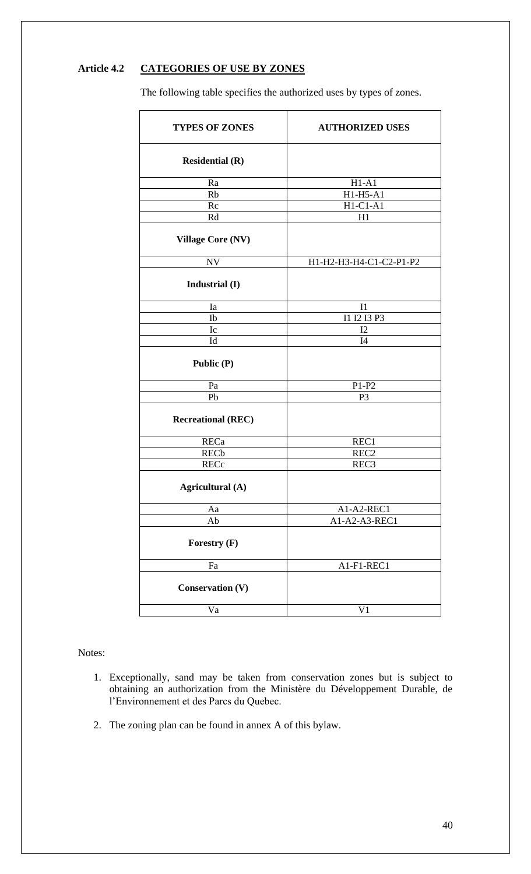# **Article 4.2 CATEGORIES OF USE BY ZONES**

The following table specifies the authorized uses by types of zones.

| <b>TYPES OF ZONES</b>     | <b>AUTHORIZED USES</b>  |  |
|---------------------------|-------------------------|--|
| <b>Residential (R)</b>    |                         |  |
| Ra                        | $H1-A1$                 |  |
| Rb                        | $H1-H5-A1$              |  |
| Rc                        | $H1-C1-A1$              |  |
| Rd                        | H1                      |  |
| <b>Village Core (NV)</b>  |                         |  |
| <b>NV</b>                 | H1-H2-H3-H4-C1-C2-P1-P2 |  |
| Industrial (I)            |                         |  |
| Ia                        | I <sub>1</sub>          |  |
| Ib                        | I1 I2 I3 P3             |  |
| Ic                        | I2                      |  |
| Id                        | I4                      |  |
| Public (P)                |                         |  |
| Pa                        | $P1-P2$                 |  |
| Pb                        | P <sub>3</sub>          |  |
| <b>Recreational (REC)</b> |                         |  |
| <b>RECa</b>               | REC1                    |  |
| <b>RECb</b>               | REC <sub>2</sub>        |  |
| <b>RECc</b>               | REC <sub>3</sub>        |  |
| Agricultural (A)          |                         |  |
| Aa                        | A1-A2-REC1              |  |
| Ab                        | A1-A2-A3-REC1           |  |
| Forestry (F)              |                         |  |
| Fa                        | A1-F1-REC1              |  |
| <b>Conservation (V)</b>   |                         |  |
| Va                        | V <sub>1</sub>          |  |

Notes:

- 1. Exceptionally, sand may be taken from conservation zones but is subject to obtaining an authorization from the Ministère du Développement Durable, de l'Environnement et des Parcs du Quebec.
- 2. The zoning plan can be found in annex A of this bylaw.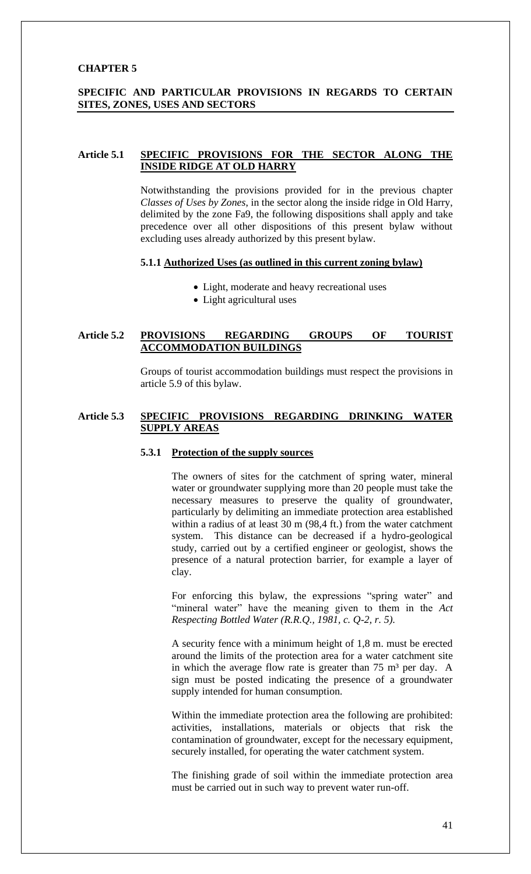# **CHAPTER 5**

## **SPECIFIC AND PARTICULAR PROVISIONS IN REGARDS TO CERTAIN SITES, ZONES, USES AND SECTORS**

#### **Article 5.1 SPECIFIC PROVISIONS FOR THE SECTOR ALONG THE INSIDE RIDGE AT OLD HARRY**

Notwithstanding the provisions provided for in the previous chapter *Classes of Uses by Zones*, in the sector along the inside ridge in Old Harry, delimited by the zone Fa9, the following dispositions shall apply and take precedence over all other dispositions of this present bylaw without excluding uses already authorized by this present bylaw.

# **5.1.1 Authorized Uses (as outlined in this current zoning bylaw)**

- Light, moderate and heavy recreational uses
- Light agricultural uses

## **Article 5.2 PROVISIONS REGARDING GROUPS OF TOURIST ACCOMMODATION BUILDINGS**

Groups of tourist accommodation buildings must respect the provisions in article 5.9 of this bylaw.

### **Article 5.3 SPECIFIC PROVISIONS REGARDING DRINKING WATER SUPPLY AREAS**

# **5.3.1 Protection of the supply sources**

The owners of sites for the catchment of spring water, mineral water or groundwater supplying more than 20 people must take the necessary measures to preserve the quality of groundwater, particularly by delimiting an immediate protection area established within a radius of at least 30 m (98,4 ft.) from the water catchment system. This distance can be decreased if a hydro-geological study, carried out by a certified engineer or geologist, shows the presence of a natural protection barrier, for example a layer of clay.

For enforcing this bylaw, the expressions "spring water" and "mineral water" have the meaning given to them in the *Act Respecting Bottled Water (R.R.Q., 1981, c. Q-2, r. 5).* 

A security fence with a minimum height of 1,8 m. must be erected around the limits of the protection area for a water catchment site in which the average flow rate is greater than  $75 \text{ m}^3$  per day. A sign must be posted indicating the presence of a groundwater supply intended for human consumption.

Within the immediate protection area the following are prohibited: activities, installations, materials or objects that risk the contamination of groundwater, except for the necessary equipment, securely installed, for operating the water catchment system.

The finishing grade of soil within the immediate protection area must be carried out in such way to prevent water run-off.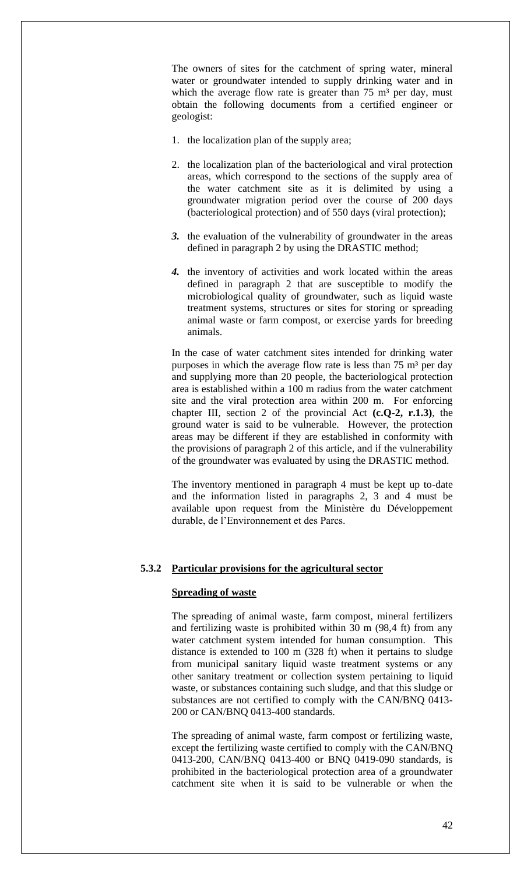The owners of sites for the catchment of spring water, mineral water or groundwater intended to supply drinking water and in which the average flow rate is greater than  $75 \text{ m}^3$  per day, must obtain the following documents from a certified engineer or geologist:

- 1. the localization plan of the supply area;
- 2. the localization plan of the bacteriological and viral protection areas, which correspond to the sections of the supply area of the water catchment site as it is delimited by using a groundwater migration period over the course of 200 days (bacteriological protection) and of 550 days (viral protection);
- *3.* the evaluation of the vulnerability of groundwater in the areas defined in paragraph 2 by using the DRASTIC method;
- *4.* the inventory of activities and work located within the areas defined in paragraph 2 that are susceptible to modify the microbiological quality of groundwater, such as liquid waste treatment systems, structures or sites for storing or spreading animal waste or farm compost, or exercise yards for breeding animals.

In the case of water catchment sites intended for drinking water purposes in which the average flow rate is less than  $75 \text{ m}^3$  per day and supplying more than 20 people, the bacteriological protection area is established within a 100 m radius from the water catchment site and the viral protection area within 200 m. For enforcing chapter III, section 2 of the provincial Act **(c.Q-2, r.1.3)**, the ground water is said to be vulnerable. However, the protection areas may be different if they are established in conformity with the provisions of paragraph 2 of this article, and if the vulnerability of the groundwater was evaluated by using the DRASTIC method.

The inventory mentioned in paragraph 4 must be kept up to-date and the information listed in paragraphs 2, 3 and 4 must be available upon request from the Ministère du Développement durable, de l'Environnement et des Parcs.

### **5.3.2 Particular provisions for the agricultural sector**

## **Spreading of waste**

The spreading of animal waste, farm compost, mineral fertilizers and fertilizing waste is prohibited within 30 m (98,4 ft) from any water catchment system intended for human consumption. This distance is extended to 100 m (328 ft) when it pertains to sludge from municipal sanitary liquid waste treatment systems or any other sanitary treatment or collection system pertaining to liquid waste, or substances containing such sludge, and that this sludge or substances are not certified to comply with the CAN/BNQ 0413- 200 or CAN/BNQ 0413-400 standards.

The spreading of animal waste, farm compost or fertilizing waste, except the fertilizing waste certified to comply with the CAN/BNQ 0413-200, CAN/BNQ 0413-400 or BNQ 0419-090 standards, is prohibited in the bacteriological protection area of a groundwater catchment site when it is said to be vulnerable or when the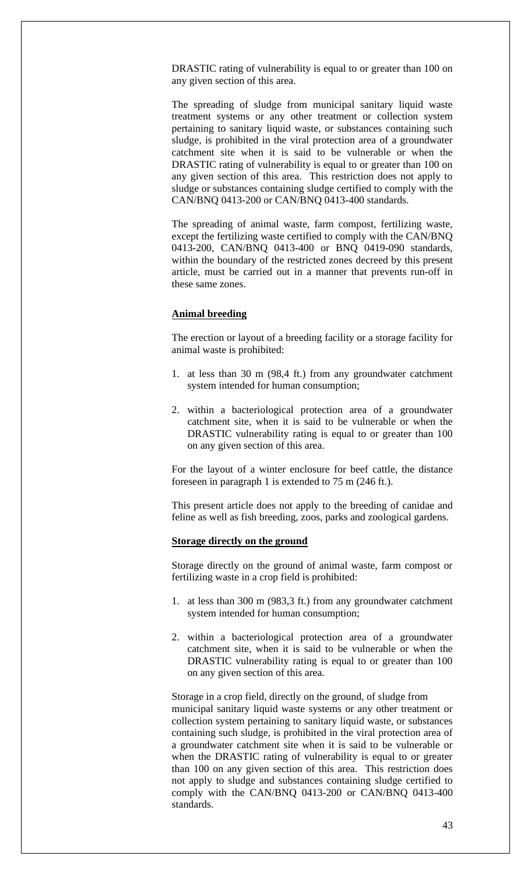DRASTIC rating of vulnerability is equal to or greater than 100 on any given section of this area.

The spreading of sludge from municipal sanitary liquid waste treatment systems or any other treatment or collection system pertaining to sanitary liquid waste, or substances containing such sludge, is prohibited in the viral protection area of a groundwater catchment site when it is said to be vulnerable or when the DRASTIC rating of vulnerability is equal to or greater than 100 on any given section of this area. This restriction does not apply to sludge or substances containing sludge certified to comply with the CAN/BNQ 0413-200 or CAN/BNQ 0413-400 standards.

The spreading of animal waste, farm compost, fertilizing waste, except the fertilizing waste certified to comply with the CAN/BNQ 0413-200, CAN/BNQ 0413-400 or BNQ 0419-090 standards, within the boundary of the restricted zones decreed by this present article, must be carried out in a manner that prevents run-off in these same zones.

#### **Animal breeding**

The erection or layout of a breeding facility or a storage facility for animal waste is prohibited:

- 1. at less than 30 m (98,4 ft.) from any groundwater catchment system intended for human consumption;
- 2. within a bacteriological protection area of a groundwater catchment site, when it is said to be vulnerable or when the DRASTIC vulnerability rating is equal to or greater than 100 on any given section of this area.

For the layout of a winter enclosure for beef cattle, the distance foreseen in paragraph 1 is extended to 75 m (246 ft.).

This present article does not apply to the breeding of canidae and feline as well as fish breeding, zoos, parks and zoological gardens.

#### **Storage directly on the ground**

Storage directly on the ground of animal waste, farm compost or fertilizing waste in a crop field is prohibited:

- 1. at less than 300 m (983,3 ft.) from any groundwater catchment system intended for human consumption;
- 2. within a bacteriological protection area of a groundwater catchment site, when it is said to be vulnerable or when the DRASTIC vulnerability rating is equal to or greater than 100 on any given section of this area.

Storage in a crop field, directly on the ground, of sludge from municipal sanitary liquid waste systems or any other treatment or collection system pertaining to sanitary liquid waste, or substances containing such sludge, is prohibited in the viral protection area of a groundwater catchment site when it is said to be vulnerable or when the DRASTIC rating of vulnerability is equal to or greater than 100 on any given section of this area. This restriction does not apply to sludge and substances containing sludge certified to comply with the CAN/BNQ 0413-200 or CAN/BNQ 0413-400 standards.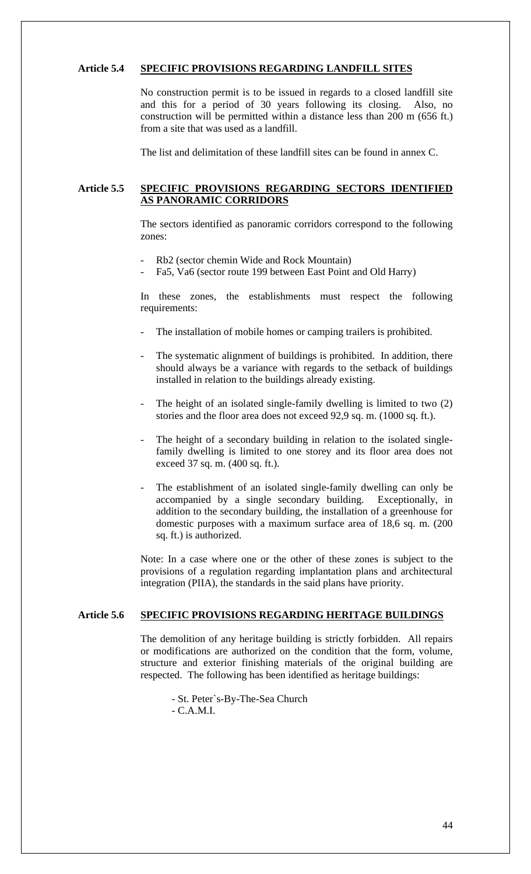## **Article 5.4 SPECIFIC PROVISIONS REGARDING LANDFILL SITES**

No construction permit is to be issued in regards to a closed landfill site and this for a period of 30 years following its closing. Also, no construction will be permitted within a distance less than 200 m (656 ft.) from a site that was used as a landfill.

The list and delimitation of these landfill sites can be found in annex C.

# **Article 5.5 SPECIFIC PROVISIONS REGARDING SECTORS IDENTIFIED AS PANORAMIC CORRIDORS**

The sectors identified as panoramic corridors correspond to the following zones:

- Rb2 (sector chemin Wide and Rock Mountain)
- Fa5, Va6 (sector route 199 between East Point and Old Harry)

In these zones, the establishments must respect the following requirements:

- The installation of mobile homes or camping trailers is prohibited.
- The systematic alignment of buildings is prohibited. In addition, there should always be a variance with regards to the setback of buildings installed in relation to the buildings already existing.
- The height of an isolated single-family dwelling is limited to two  $(2)$ stories and the floor area does not exceed 92,9 sq. m. (1000 sq. ft.).
- The height of a secondary building in relation to the isolated singlefamily dwelling is limited to one storey and its floor area does not exceed 37 sq. m. (400 sq. ft.).
- The establishment of an isolated single-family dwelling can only be accompanied by a single secondary building. Exceptionally, in addition to the secondary building, the installation of a greenhouse for domestic purposes with a maximum surface area of 18,6 sq. m. (200 sq. ft.) is authorized.

Note: In a case where one or the other of these zones is subject to the provisions of a regulation regarding implantation plans and architectural integration (PIIA), the standards in the said plans have priority.

# **Article 5.6 SPECIFIC PROVISIONS REGARDING HERITAGE BUILDINGS**

The demolition of any heritage building is strictly forbidden. All repairs or modifications are authorized on the condition that the form, volume, structure and exterior finishing materials of the original building are respected. The following has been identified as heritage buildings:

- St. Peter`s-By-The-Sea Church

- C.A.M.I.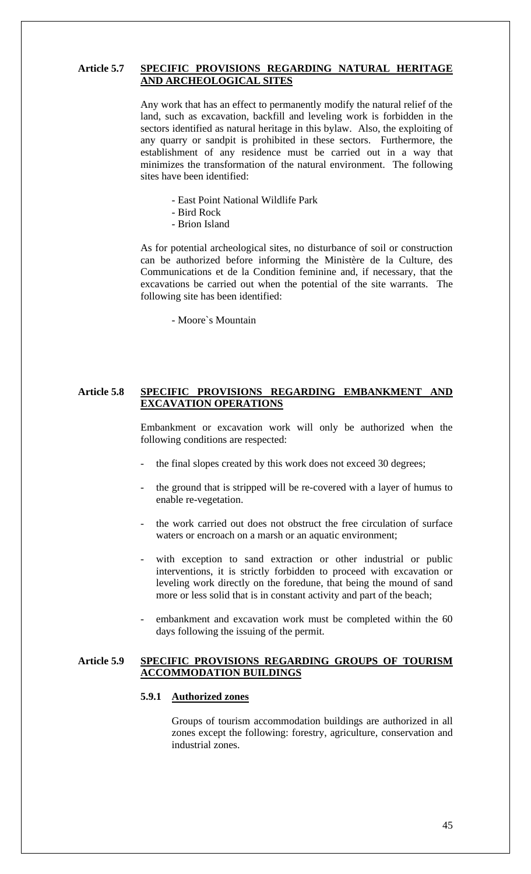## **Article 5.7 SPECIFIC PROVISIONS REGARDING NATURAL HERITAGE AND ARCHEOLOGICAL SITES**

Any work that has an effect to permanently modify the natural relief of the land, such as excavation, backfill and leveling work is forbidden in the sectors identified as natural heritage in this bylaw. Also, the exploiting of any quarry or sandpit is prohibited in these sectors. Furthermore, the establishment of any residence must be carried out in a way that minimizes the transformation of the natural environment. The following sites have been identified:

- East Point National Wildlife Park
- Bird Rock
- Brion Island

As for potential archeological sites, no disturbance of soil or construction can be authorized before informing the Ministère de la Culture, des Communications et de la Condition feminine and, if necessary, that the excavations be carried out when the potential of the site warrants. The following site has been identified:

- Moore`s Mountain

### **Article 5.8 SPECIFIC PROVISIONS REGARDING EMBANKMENT AND EXCAVATION OPERATIONS**

Embankment or excavation work will only be authorized when the following conditions are respected:

- the final slopes created by this work does not exceed 30 degrees;
- the ground that is stripped will be re-covered with a layer of humus to enable re-vegetation.
- the work carried out does not obstruct the free circulation of surface waters or encroach on a marsh or an aquatic environment;
- with exception to sand extraction or other industrial or public interventions, it is strictly forbidden to proceed with excavation or leveling work directly on the foredune, that being the mound of sand more or less solid that is in constant activity and part of the beach;
- embankment and excavation work must be completed within the 60 days following the issuing of the permit.

### **Article 5.9 SPECIFIC PROVISIONS REGARDING GROUPS OF TOURISM ACCOMMODATION BUILDINGS**

#### **5.9.1 Authorized zones**

Groups of tourism accommodation buildings are authorized in all zones except the following: forestry, agriculture, conservation and industrial zones.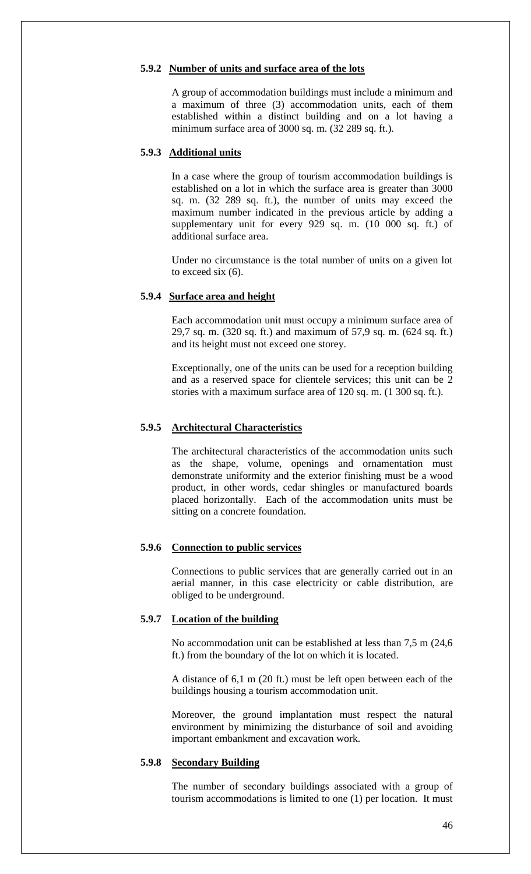#### **5.9.2 Number of units and surface area of the lots**

A group of accommodation buildings must include a minimum and a maximum of three (3) accommodation units, each of them established within a distinct building and on a lot having a minimum surface area of 3000 sq. m. (32 289 sq. ft.).

### **5.9.3 Additional units**

In a case where the group of tourism accommodation buildings is established on a lot in which the surface area is greater than 3000 sq. m. (32 289 sq. ft.), the number of units may exceed the maximum number indicated in the previous article by adding a supplementary unit for every 929 sq. m. (10 000 sq. ft.) of additional surface area.

Under no circumstance is the total number of units on a given lot to exceed six (6).

#### **5.9.4 Surface area and height**

Each accommodation unit must occupy a minimum surface area of 29,7 sq. m. (320 sq. ft.) and maximum of 57,9 sq. m. (624 sq. ft.) and its height must not exceed one storey.

Exceptionally, one of the units can be used for a reception building and as a reserved space for clientele services; this unit can be 2 stories with a maximum surface area of 120 sq. m. (1 300 sq. ft.).

### **5.9.5 Architectural Characteristics**

The architectural characteristics of the accommodation units such as the shape, volume, openings and ornamentation must demonstrate uniformity and the exterior finishing must be a wood product, in other words, cedar shingles or manufactured boards placed horizontally. Each of the accommodation units must be sitting on a concrete foundation.

#### **5.9.6 Connection to public services**

Connections to public services that are generally carried out in an aerial manner, in this case electricity or cable distribution, are obliged to be underground.

# **5.9.7 Location of the building**

No accommodation unit can be established at less than 7,5 m (24,6 ft.) from the boundary of the lot on which it is located.

A distance of 6,1 m (20 ft.) must be left open between each of the buildings housing a tourism accommodation unit.

Moreover, the ground implantation must respect the natural environment by minimizing the disturbance of soil and avoiding important embankment and excavation work.

# **5.9.8 Secondary Building**

The number of secondary buildings associated with a group of tourism accommodations is limited to one (1) per location. It must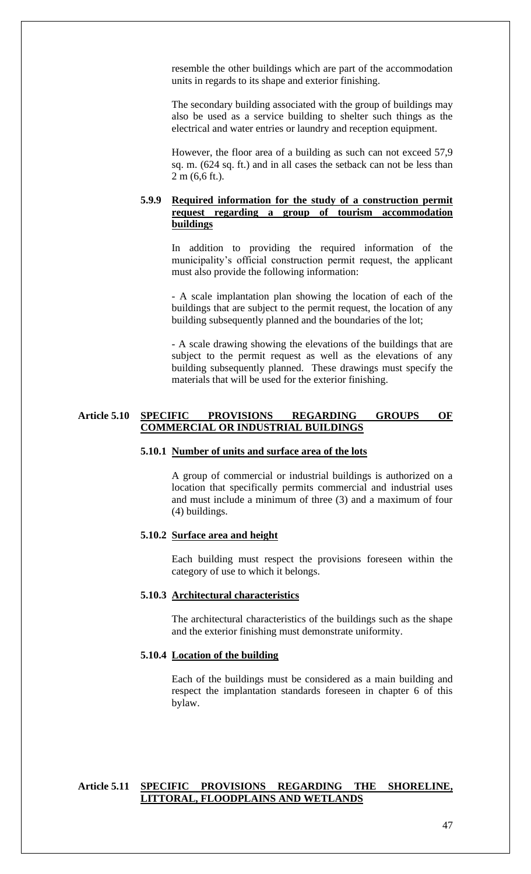resemble the other buildings which are part of the accommodation units in regards to its shape and exterior finishing.

The secondary building associated with the group of buildings may also be used as a service building to shelter such things as the electrical and water entries or laundry and reception equipment.

However, the floor area of a building as such can not exceed 57,9 sq. m. (624 sq. ft.) and in all cases the setback can not be less than 2 m (6,6 ft.).

# **5.9.9 Required information for the study of a construction permit request regarding a group of tourism accommodation buildings**

In addition to providing the required information of the municipality's official construction permit request, the applicant must also provide the following information:

- A scale implantation plan showing the location of each of the buildings that are subject to the permit request, the location of any building subsequently planned and the boundaries of the lot;

- A scale drawing showing the elevations of the buildings that are subject to the permit request as well as the elevations of any building subsequently planned. These drawings must specify the materials that will be used for the exterior finishing.

## **Article 5.10 SPECIFIC PROVISIONS REGARDING GROUPS OF COMMERCIAL OR INDUSTRIAL BUILDINGS**

## **5.10.1 Number of units and surface area of the lots**

A group of commercial or industrial buildings is authorized on a location that specifically permits commercial and industrial uses and must include a minimum of three (3) and a maximum of four (4) buildings.

#### **5.10.2 Surface area and height**

Each building must respect the provisions foreseen within the category of use to which it belongs.

#### **5.10.3 Architectural characteristics**

The architectural characteristics of the buildings such as the shape and the exterior finishing must demonstrate uniformity.

### **5.10.4 Location of the building**

Each of the buildings must be considered as a main building and respect the implantation standards foreseen in chapter 6 of this bylaw.

# **Article 5.11 SPECIFIC PROVISIONS REGARDING THE SHORELINE, LITTORAL, FLOODPLAINS AND WETLANDS**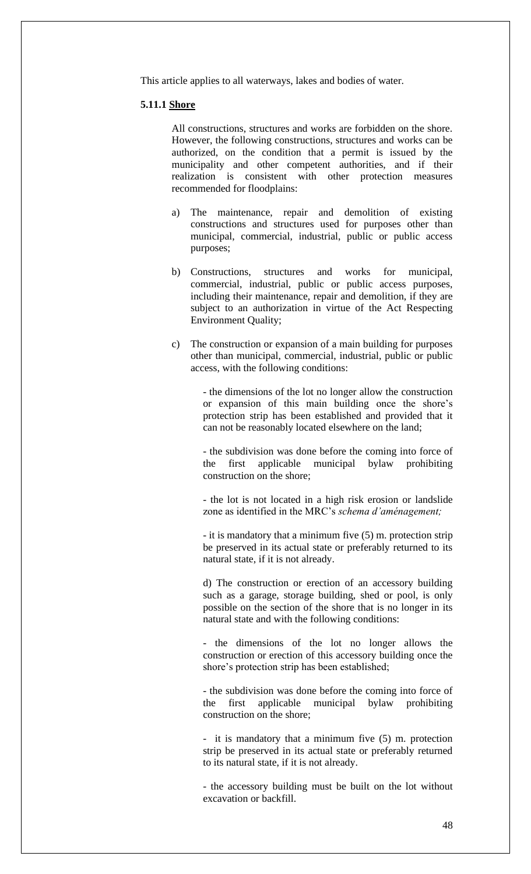This article applies to all waterways, lakes and bodies of water.

#### **5.11.1 Shore**

All constructions, structures and works are forbidden on the shore. However, the following constructions, structures and works can be authorized, on the condition that a permit is issued by the municipality and other competent authorities, and if their realization is consistent with other protection measures recommended for floodplains:

- a) The maintenance, repair and demolition of existing constructions and structures used for purposes other than municipal, commercial, industrial, public or public access purposes;
- b) Constructions, structures and works for municipal, commercial, industrial, public or public access purposes, including their maintenance, repair and demolition, if they are subject to an authorization in virtue of the Act Respecting Environment Quality;
- c) The construction or expansion of a main building for purposes other than municipal, commercial, industrial, public or public access, with the following conditions:

- the dimensions of the lot no longer allow the construction or expansion of this main building once the shore's protection strip has been established and provided that it can not be reasonably located elsewhere on the land;

- the subdivision was done before the coming into force of the first applicable municipal bylaw prohibiting construction on the shore;

- the lot is not located in a high risk erosion or landslide zone as identified in the MRC's *schema d'aménagement;*

- it is mandatory that a minimum five (5) m. protection strip be preserved in its actual state or preferably returned to its natural state, if it is not already.

d) The construction or erection of an accessory building such as a garage, storage building, shed or pool, is only possible on the section of the shore that is no longer in its natural state and with the following conditions:

- the dimensions of the lot no longer allows the construction or erection of this accessory building once the shore's protection strip has been established;

- the subdivision was done before the coming into force of the first applicable municipal bylaw prohibiting construction on the shore;

- it is mandatory that a minimum five (5) m. protection strip be preserved in its actual state or preferably returned to its natural state, if it is not already.

- the accessory building must be built on the lot without excavation or backfill.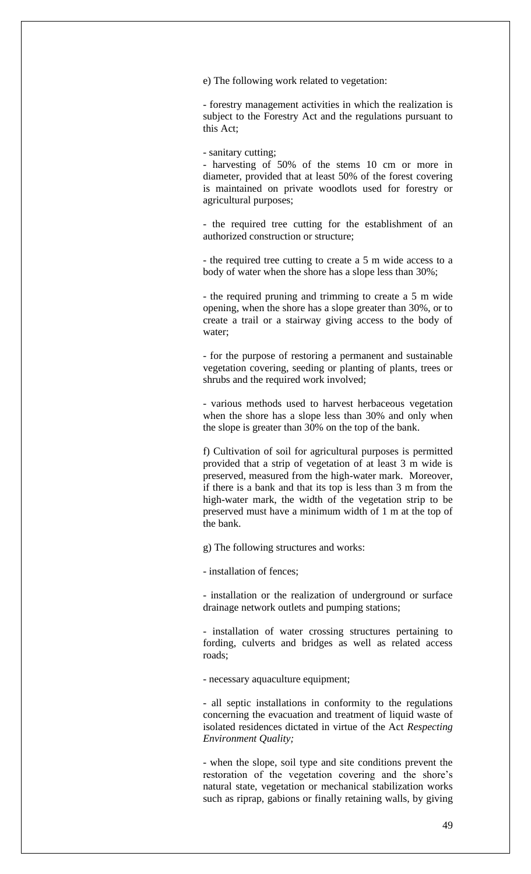e) The following work related to vegetation:

- forestry management activities in which the realization is subject to the Forestry Act and the regulations pursuant to this Act;

- sanitary cutting;

- harvesting of 50% of the stems 10 cm or more in diameter, provided that at least 50% of the forest covering is maintained on private woodlots used for forestry or agricultural purposes;

- the required tree cutting for the establishment of an authorized construction or structure;

- the required tree cutting to create a 5 m wide access to a body of water when the shore has a slope less than 30%;

- the required pruning and trimming to create a 5 m wide opening, when the shore has a slope greater than 30%, or to create a trail or a stairway giving access to the body of water;

- for the purpose of restoring a permanent and sustainable vegetation covering, seeding or planting of plants, trees or shrubs and the required work involved;

- various methods used to harvest herbaceous vegetation when the shore has a slope less than 30% and only when the slope is greater than 30% on the top of the bank.

f) Cultivation of soil for agricultural purposes is permitted provided that a strip of vegetation of at least 3 m wide is preserved, measured from the high-water mark. Moreover, if there is a bank and that its top is less than 3 m from the high-water mark, the width of the vegetation strip to be preserved must have a minimum width of 1 m at the top of the bank.

g) The following structures and works:

- installation of fences;

- installation or the realization of underground or surface drainage network outlets and pumping stations;

- installation of water crossing structures pertaining to fording, culverts and bridges as well as related access roads;

- necessary aquaculture equipment;

- all septic installations in conformity to the regulations concerning the evacuation and treatment of liquid waste of isolated residences dictated in virtue of the Act *Respecting Environment Quality;*

- when the slope, soil type and site conditions prevent the restoration of the vegetation covering and the shore's natural state, vegetation or mechanical stabilization works such as riprap, gabions or finally retaining walls, by giving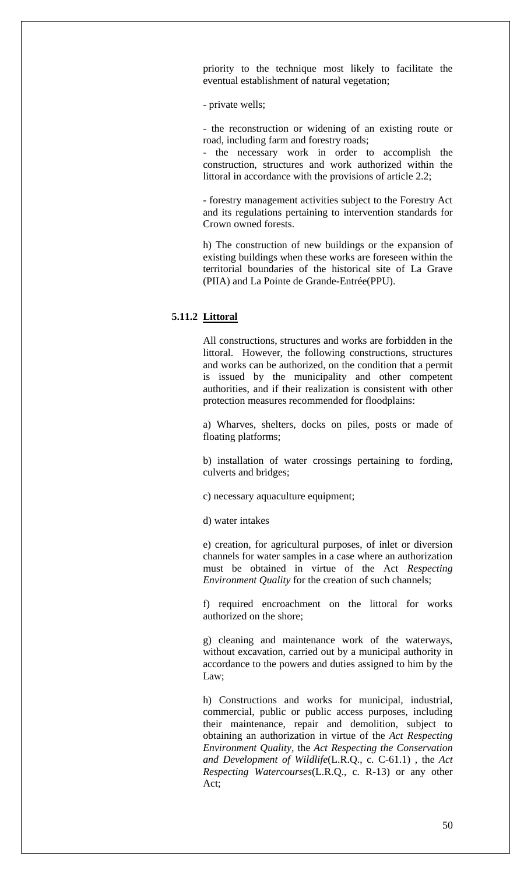priority to the technique most likely to facilitate the eventual establishment of natural vegetation;

- private wells;

- the reconstruction or widening of an existing route or road, including farm and forestry roads;

- the necessary work in order to accomplish the construction, structures and work authorized within the littoral in accordance with the provisions of article 2.2;

- forestry management activities subject to the Forestry Act and its regulations pertaining to intervention standards for Crown owned forests.

h) The construction of new buildings or the expansion of existing buildings when these works are foreseen within the territorial boundaries of the historical site of La Grave (PIIA) and La Pointe de Grande-Entrée(PPU).

# **5.11.2 Littoral**

All constructions, structures and works are forbidden in the littoral. However, the following constructions, structures and works can be authorized, on the condition that a permit is issued by the municipality and other competent authorities, and if their realization is consistent with other protection measures recommended for floodplains:

a) Wharves, shelters, docks on piles, posts or made of floating platforms;

b) installation of water crossings pertaining to fording, culverts and bridges;

c) necessary aquaculture equipment;

d) water intakes

e) creation, for agricultural purposes, of inlet or diversion channels for water samples in a case where an authorization must be obtained in virtue of the Act *Respecting Environment Quality* for the creation of such channels;

f) required encroachment on the littoral for works authorized on the shore;

g) cleaning and maintenance work of the waterways, without excavation, carried out by a municipal authority in accordance to the powers and duties assigned to him by the Law;

h) Constructions and works for municipal, industrial, commercial, public or public access purposes, including their maintenance, repair and demolition, subject to obtaining an authorization in virtue of the *Act Respecting Environment Quality,* the *Act Respecting the Conservation and Development of Wildlife*(L.R.Q., c. C-61.1) *,* the *Act Respecting Watercourses*(L.R.Q., c. R-13) or any other Act;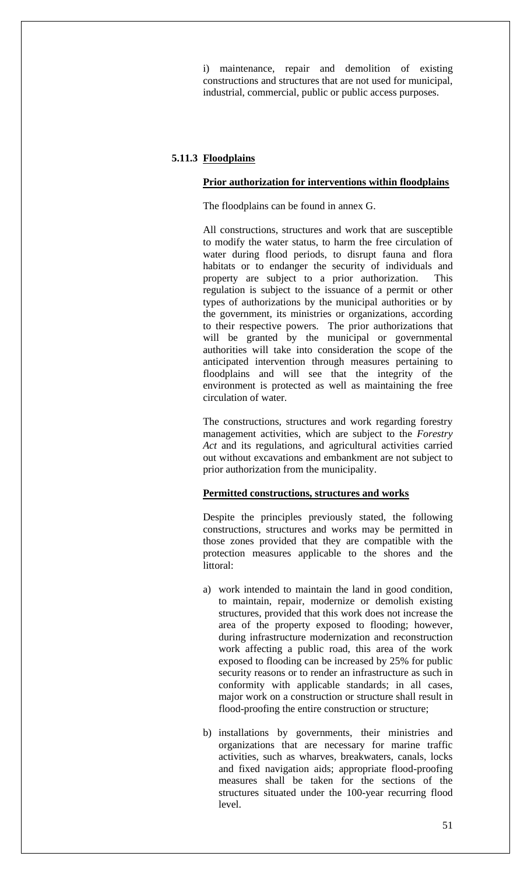i) maintenance, repair and demolition of existing constructions and structures that are not used for municipal, industrial, commercial, public or public access purposes.

# **5.11.3 Floodplains**

#### **Prior authorization for interventions within floodplains**

The floodplains can be found in annex G.

All constructions, structures and work that are susceptible to modify the water status, to harm the free circulation of water during flood periods, to disrupt fauna and flora habitats or to endanger the security of individuals and property are subject to a prior authorization. This regulation is subject to the issuance of a permit or other types of authorizations by the municipal authorities or by the government, its ministries or organizations, according to their respective powers. The prior authorizations that will be granted by the municipal or governmental authorities will take into consideration the scope of the anticipated intervention through measures pertaining to floodplains and will see that the integrity of the environment is protected as well as maintaining the free circulation of water.

The constructions, structures and work regarding forestry management activities, which are subject to the *Forestry Act* and its regulations, and agricultural activities carried out without excavations and embankment are not subject to prior authorization from the municipality.

# **Permitted constructions, structures and works**

Despite the principles previously stated, the following constructions, structures and works may be permitted in those zones provided that they are compatible with the protection measures applicable to the shores and the littoral:

- a) work intended to maintain the land in good condition, to maintain, repair, modernize or demolish existing structures, provided that this work does not increase the area of the property exposed to flooding; however, during infrastructure modernization and reconstruction work affecting a public road, this area of the work exposed to flooding can be increased by 25% for public security reasons or to render an infrastructure as such in conformity with applicable standards; in all cases, major work on a construction or structure shall result in flood-proofing the entire construction or structure;
- b) installations by governments, their ministries and organizations that are necessary for marine traffic activities, such as wharves, breakwaters, canals, locks and fixed navigation aids; appropriate flood-proofing measures shall be taken for the sections of the structures situated under the 100-year recurring flood level.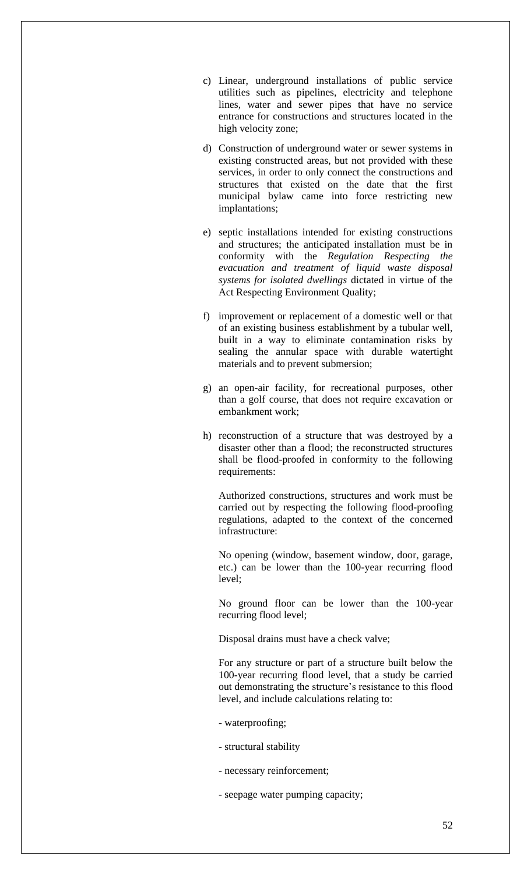- c) Linear, underground installations of public service utilities such as pipelines, electricity and telephone lines, water and sewer pipes that have no service entrance for constructions and structures located in the high velocity zone;
- d) Construction of underground water or sewer systems in existing constructed areas, but not provided with these services, in order to only connect the constructions and structures that existed on the date that the first municipal bylaw came into force restricting new implantations;
- e) septic installations intended for existing constructions and structures; the anticipated installation must be in conformity with the *Regulation Respecting the evacuation and treatment of liquid waste disposal systems for isolated dwellings* dictated in virtue of the Act Respecting Environment Quality;
- f) improvement or replacement of a domestic well or that of an existing business establishment by a tubular well, built in a way to eliminate contamination risks by sealing the annular space with durable watertight materials and to prevent submersion;
- g) an open-air facility, for recreational purposes, other than a golf course, that does not require excavation or embankment work;
- h) reconstruction of a structure that was destroyed by a disaster other than a flood; the reconstructed structures shall be flood-proofed in conformity to the following requirements:

Authorized constructions, structures and work must be carried out by respecting the following flood-proofing regulations, adapted to the context of the concerned infrastructure:

No opening (window, basement window, door, garage, etc.) can be lower than the 100-year recurring flood level;

No ground floor can be lower than the 100-year recurring flood level;

Disposal drains must have a check valve;

For any structure or part of a structure built below the 100-year recurring flood level, that a study be carried out demonstrating the structure's resistance to this flood level, and include calculations relating to:

- waterproofing;
- structural stability
- necessary reinforcement;
- seepage water pumping capacity;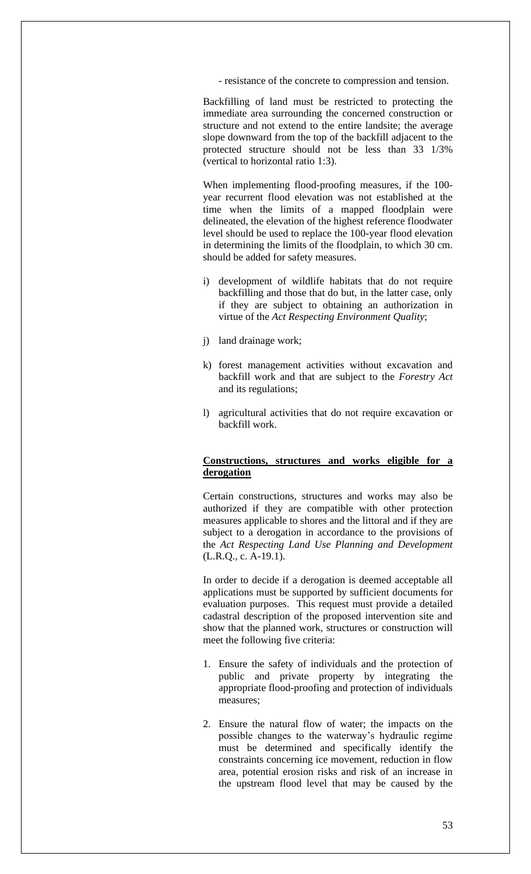- resistance of the concrete to compression and tension.

Backfilling of land must be restricted to protecting the immediate area surrounding the concerned construction or structure and not extend to the entire landsite; the average slope downward from the top of the backfill adjacent to the protected structure should not be less than 33 1/3% (vertical to horizontal ratio 1:3).

When implementing flood-proofing measures, if the 100 year recurrent flood elevation was not established at the time when the limits of a mapped floodplain were delineated, the elevation of the highest reference floodwater level should be used to replace the 100-year flood elevation in determining the limits of the floodplain, to which 30 cm. should be added for safety measures.

- i) development of wildlife habitats that do not require backfilling and those that do but, in the latter case, only if they are subject to obtaining an authorization in virtue of the *Act Respecting Environment Quality*;
- j) land drainage work;
- k) forest management activities without excavation and backfill work and that are subject to the *Forestry Act*  and its regulations;
- l) agricultural activities that do not require excavation or backfill work.

### **Constructions, structures and works eligible for a derogation**

Certain constructions, structures and works may also be authorized if they are compatible with other protection measures applicable to shores and the littoral and if they are subject to a derogation in accordance to the provisions of the *Act Respecting Land Use Planning and Development*  (L.R.Q., c. A-19.1).

In order to decide if a derogation is deemed acceptable all applications must be supported by sufficient documents for evaluation purposes. This request must provide a detailed cadastral description of the proposed intervention site and show that the planned work, structures or construction will meet the following five criteria:

- 1. Ensure the safety of individuals and the protection of public and private property by integrating the appropriate flood-proofing and protection of individuals measures;
- 2. Ensure the natural flow of water; the impacts on the possible changes to the waterway's hydraulic regime must be determined and specifically identify the constraints concerning ice movement, reduction in flow area, potential erosion risks and risk of an increase in the upstream flood level that may be caused by the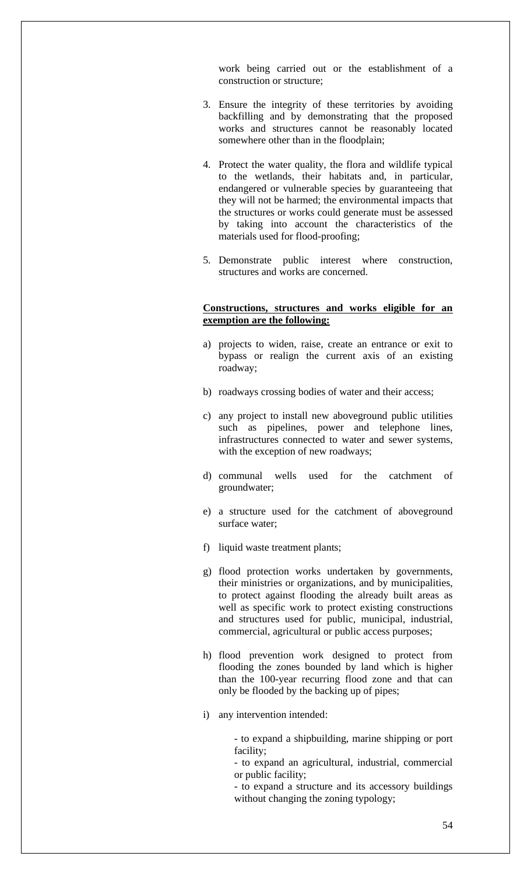work being carried out or the establishment of a construction or structure;

- 3. Ensure the integrity of these territories by avoiding backfilling and by demonstrating that the proposed works and structures cannot be reasonably located somewhere other than in the floodplain;
- 4. Protect the water quality, the flora and wildlife typical to the wetlands, their habitats and, in particular, endangered or vulnerable species by guaranteeing that they will not be harmed; the environmental impacts that the structures or works could generate must be assessed by taking into account the characteristics of the materials used for flood-proofing;
- 5. Demonstrate public interest where construction, structures and works are concerned.

#### **Constructions, structures and works eligible for an exemption are the following:**

- a) projects to widen, raise, create an entrance or exit to bypass or realign the current axis of an existing roadway;
- b) roadways crossing bodies of water and their access;
- c) any project to install new aboveground public utilities such as pipelines, power and telephone lines, infrastructures connected to water and sewer systems, with the exception of new roadways;
- d) communal wells used for the catchment of groundwater;
- e) a structure used for the catchment of aboveground surface water;
- f) liquid waste treatment plants;
- g) flood protection works undertaken by governments, their ministries or organizations, and by municipalities, to protect against flooding the already built areas as well as specific work to protect existing constructions and structures used for public, municipal, industrial, commercial, agricultural or public access purposes;
- h) flood prevention work designed to protect from flooding the zones bounded by land which is higher than the 100-year recurring flood zone and that can only be flooded by the backing up of pipes;
- i) any intervention intended:

- to expand a shipbuilding, marine shipping or port facility;

- to expand an agricultural, industrial, commercial or public facility;

- to expand a structure and its accessory buildings without changing the zoning typology;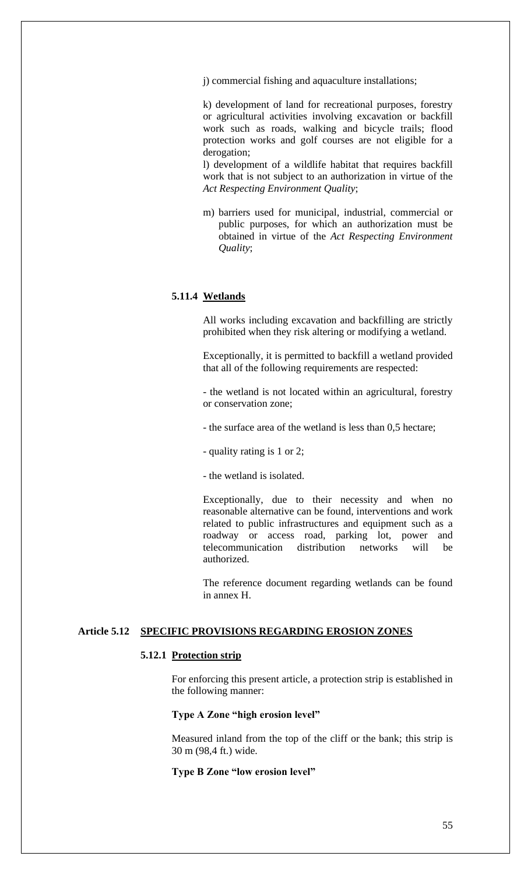j) commercial fishing and aquaculture installations;

k) development of land for recreational purposes, forestry or agricultural activities involving excavation or backfill work such as roads, walking and bicycle trails; flood protection works and golf courses are not eligible for a derogation;

l) development of a wildlife habitat that requires backfill work that is not subject to an authorization in virtue of the *Act Respecting Environment Quality*;

m) barriers used for municipal, industrial, commercial or public purposes, for which an authorization must be obtained in virtue of the *Act Respecting Environment Quality*;

#### **5.11.4 Wetlands**

All works including excavation and backfilling are strictly prohibited when they risk altering or modifying a wetland.

Exceptionally, it is permitted to backfill a wetland provided that all of the following requirements are respected:

- the wetland is not located within an agricultural, forestry or conservation zone;

- the surface area of the wetland is less than 0,5 hectare;

- quality rating is 1 or 2;

- the wetland is isolated.

Exceptionally, due to their necessity and when no reasonable alternative can be found, interventions and work related to public infrastructures and equipment such as a roadway or access road, parking lot, power and telecommunication distribution networks will be authorized.

The reference document regarding wetlands can be found in annex H.

# **Article 5.12 SPECIFIC PROVISIONS REGARDING EROSION ZONES**

### **5.12.1 Protection strip**

For enforcing this present article, a protection strip is established in the following manner:

#### **Type A Zone "high erosion level"**

Measured inland from the top of the cliff or the bank; this strip is 30 m (98,4 ft.) wide.

#### **Type B Zone "low erosion level"**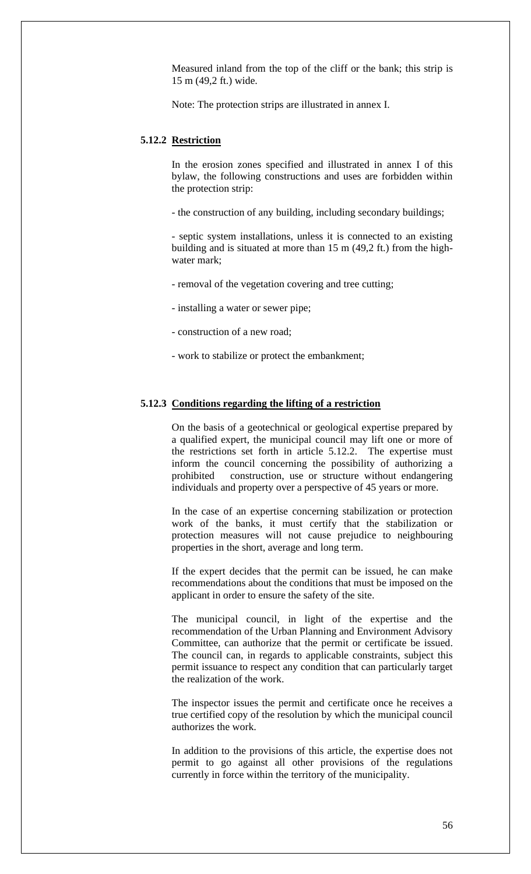Measured inland from the top of the cliff or the bank; this strip is 15 m (49,2 ft.) wide.

Note: The protection strips are illustrated in annex I.

# **5.12.2 Restriction**

In the erosion zones specified and illustrated in annex I of this bylaw, the following constructions and uses are forbidden within the protection strip:

- the construction of any building, including secondary buildings;

- septic system installations, unless it is connected to an existing building and is situated at more than 15 m (49,2 ft.) from the highwater mark;

- removal of the vegetation covering and tree cutting;

- installing a water or sewer pipe;

- construction of a new road;

- work to stabilize or protect the embankment;

# **5.12.3 Conditions regarding the lifting of a restriction**

On the basis of a geotechnical or geological expertise prepared by a qualified expert, the municipal council may lift one or more of the restrictions set forth in article 5.12.2. The expertise must inform the council concerning the possibility of authorizing a prohibited construction, use or structure without endangering individuals and property over a perspective of 45 years or more.

In the case of an expertise concerning stabilization or protection work of the banks, it must certify that the stabilization or protection measures will not cause prejudice to neighbouring properties in the short, average and long term.

If the expert decides that the permit can be issued, he can make recommendations about the conditions that must be imposed on the applicant in order to ensure the safety of the site.

The municipal council, in light of the expertise and the recommendation of the Urban Planning and Environment Advisory Committee, can authorize that the permit or certificate be issued. The council can, in regards to applicable constraints, subject this permit issuance to respect any condition that can particularly target the realization of the work.

The inspector issues the permit and certificate once he receives a true certified copy of the resolution by which the municipal council authorizes the work.

In addition to the provisions of this article, the expertise does not permit to go against all other provisions of the regulations currently in force within the territory of the municipality.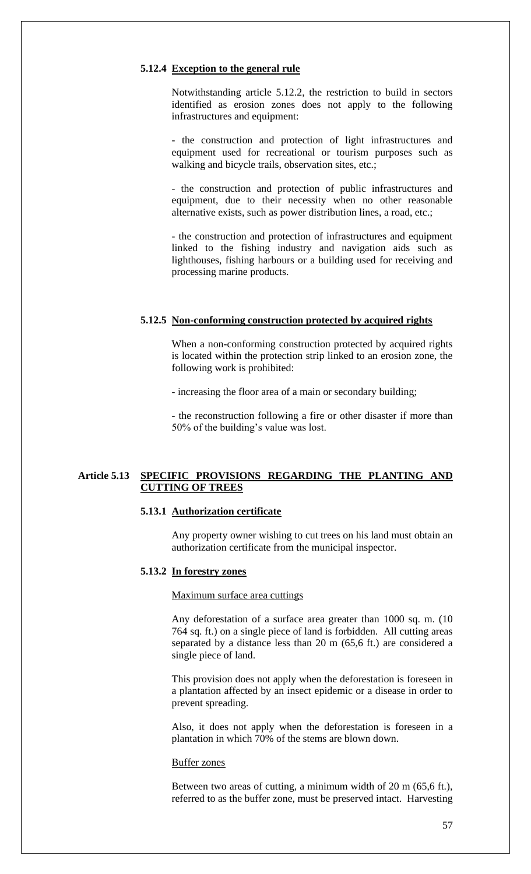#### **5.12.4 Exception to the general rule**

Notwithstanding article 5.12.2, the restriction to build in sectors identified as erosion zones does not apply to the following infrastructures and equipment:

- the construction and protection of light infrastructures and equipment used for recreational or tourism purposes such as walking and bicycle trails, observation sites, etc.;

- the construction and protection of public infrastructures and equipment, due to their necessity when no other reasonable alternative exists, such as power distribution lines, a road, etc.;

- the construction and protection of infrastructures and equipment linked to the fishing industry and navigation aids such as lighthouses, fishing harbours or a building used for receiving and processing marine products.

### **5.12.5 Non-conforming construction protected by acquired rights**

When a non-conforming construction protected by acquired rights is located within the protection strip linked to an erosion zone, the following work is prohibited:

- increasing the floor area of a main or secondary building;

- the reconstruction following a fire or other disaster if more than 50% of the building's value was lost.

### **Article 5.13 SPECIFIC PROVISIONS REGARDING THE PLANTING AND CUTTING OF TREES**

#### **5.13.1 Authorization certificate**

Any property owner wishing to cut trees on his land must obtain an authorization certificate from the municipal inspector.

# **5.13.2 In forestry zones**

Maximum surface area cuttings

Any deforestation of a surface area greater than 1000 sq. m. (10 764 sq. ft.) on a single piece of land is forbidden. All cutting areas separated by a distance less than 20 m (65,6 ft.) are considered a single piece of land.

This provision does not apply when the deforestation is foreseen in a plantation affected by an insect epidemic or a disease in order to prevent spreading.

Also, it does not apply when the deforestation is foreseen in a plantation in which 70% of the stems are blown down.

#### Buffer zones

Between two areas of cutting, a minimum width of 20 m (65,6 ft.), referred to as the buffer zone, must be preserved intact. Harvesting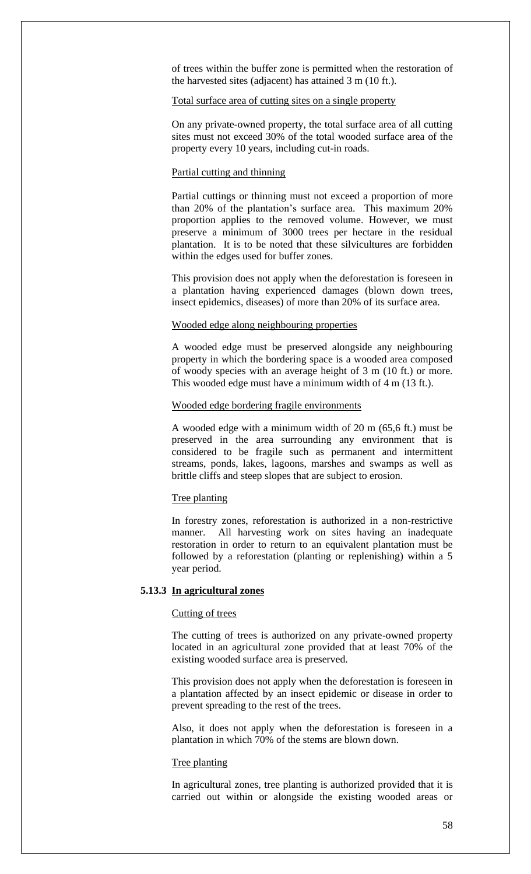of trees within the buffer zone is permitted when the restoration of the harvested sites (adjacent) has attained 3 m (10 ft.).

## Total surface area of cutting sites on a single property

On any private-owned property, the total surface area of all cutting sites must not exceed 30% of the total wooded surface area of the property every 10 years, including cut-in roads.

## Partial cutting and thinning

Partial cuttings or thinning must not exceed a proportion of more than 20% of the plantation's surface area. This maximum 20% proportion applies to the removed volume. However, we must preserve a minimum of 3000 trees per hectare in the residual plantation. It is to be noted that these silvicultures are forbidden within the edges used for buffer zones.

This provision does not apply when the deforestation is foreseen in a plantation having experienced damages (blown down trees, insect epidemics, diseases) of more than 20% of its surface area.

### Wooded edge along neighbouring properties

A wooded edge must be preserved alongside any neighbouring property in which the bordering space is a wooded area composed of woody species with an average height of 3 m (10 ft.) or more. This wooded edge must have a minimum width of 4 m (13 ft.).

#### Wooded edge bordering fragile environments

A wooded edge with a minimum width of 20 m (65,6 ft.) must be preserved in the area surrounding any environment that is considered to be fragile such as permanent and intermittent streams, ponds, lakes, lagoons, marshes and swamps as well as brittle cliffs and steep slopes that are subject to erosion.

## Tree planting

In forestry zones, reforestation is authorized in a non-restrictive manner. All harvesting work on sites having an inadequate restoration in order to return to an equivalent plantation must be followed by a reforestation (planting or replenishing) within a 5 year period.

#### **5.13.3 In agricultural zones**

# Cutting of trees

The cutting of trees is authorized on any private-owned property located in an agricultural zone provided that at least 70% of the existing wooded surface area is preserved.

This provision does not apply when the deforestation is foreseen in a plantation affected by an insect epidemic or disease in order to prevent spreading to the rest of the trees.

Also, it does not apply when the deforestation is foreseen in a plantation in which 70% of the stems are blown down.

#### Tree planting

In agricultural zones, tree planting is authorized provided that it is carried out within or alongside the existing wooded areas or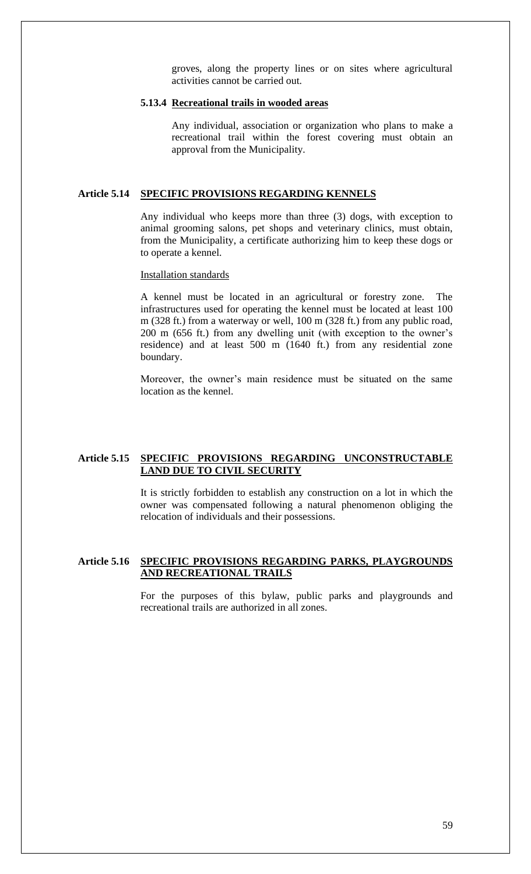groves, along the property lines or on sites where agricultural activities cannot be carried out.

### **5.13.4 Recreational trails in wooded areas**

Any individual, association or organization who plans to make a recreational trail within the forest covering must obtain an approval from the Municipality.

## **Article 5.14 SPECIFIC PROVISIONS REGARDING KENNELS**

Any individual who keeps more than three (3) dogs, with exception to animal grooming salons, pet shops and veterinary clinics, must obtain, from the Municipality, a certificate authorizing him to keep these dogs or to operate a kennel.

#### Installation standards

A kennel must be located in an agricultural or forestry zone. The infrastructures used for operating the kennel must be located at least 100 m (328 ft.) from a waterway or well, 100 m (328 ft.) from any public road, 200 m (656 ft.) from any dwelling unit (with exception to the owner's residence) and at least 500 m (1640 ft.) from any residential zone boundary.

Moreover, the owner's main residence must be situated on the same location as the kennel.

# **Article 5.15 SPECIFIC PROVISIONS REGARDING UNCONSTRUCTABLE LAND DUE TO CIVIL SECURITY**

It is strictly forbidden to establish any construction on a lot in which the owner was compensated following a natural phenomenon obliging the relocation of individuals and their possessions.

# **Article 5.16 SPECIFIC PROVISIONS REGARDING PARKS, PLAYGROUNDS AND RECREATIONAL TRAILS**

For the purposes of this bylaw, public parks and playgrounds and recreational trails are authorized in all zones.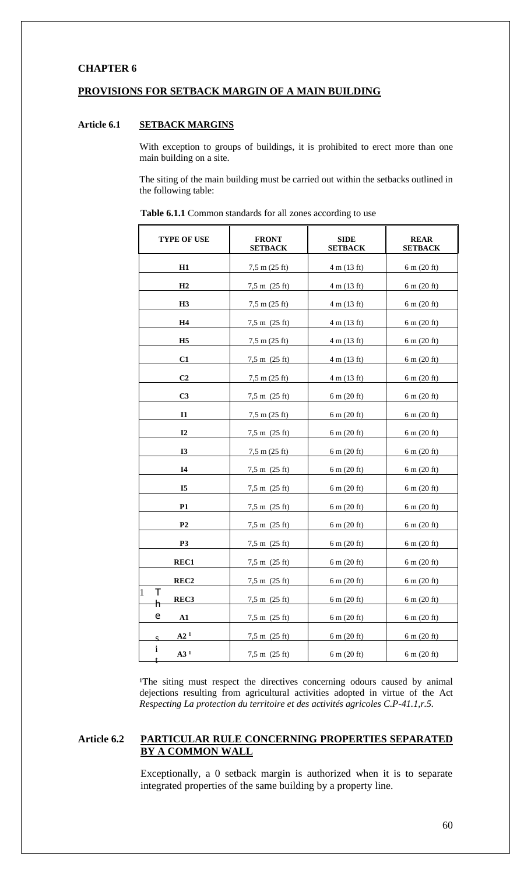# **CHAPTER 6**

## **PROVISIONS FOR SETBACK MARGIN OF A MAIN BUILDING**

# **Article 6.1 SETBACK MARGINS**

With exception to groups of buildings, it is prohibited to erect more than one main building on a site.

The siting of the main building must be carried out within the setbacks outlined in the following table:

| TYPE OF USE                     | <b>FRONT</b><br><b>SETBACK</b>  | <b>SIDE</b><br><b>SETBACK</b> | <b>REAR</b><br><b>SETBACK</b> |
|---------------------------------|---------------------------------|-------------------------------|-------------------------------|
| H1                              | 7,5 m (25 ft)                   | 4 m (13 ft)                   | $6 \text{ m} (20 \text{ ft})$ |
| H2                              | $7,5 \text{ m}$ (25 ft)         | 4 m (13 ft)                   | $6 \text{ m} (20 \text{ ft})$ |
| H3                              | $7,5 \text{ m} (25 \text{ ft})$ | 4 m (13 ft)                   | $6 \text{ m} (20 \text{ ft})$ |
| H4                              | $7,5 \text{ m}$ (25 ft)         | 4 m (13 ft)                   | $6 \text{ m} (20 \text{ ft})$ |
| H <sub>5</sub>                  | $7,5 \text{ m} (25 \text{ ft})$ | $4 \text{ m} (13 \text{ ft})$ | $6 \text{ m} (20 \text{ ft})$ |
| C <sub>1</sub>                  | $7,5 \text{ m}$ (25 ft)         | 4 m (13 ft)                   | $6 \text{ m} (20 \text{ ft})$ |
| C <sub>2</sub>                  | $7,5 \text{ m} (25 \text{ ft})$ | $4 \text{ m} (13 \text{ ft})$ | $6 \text{ m} (20 \text{ ft})$ |
| C <sub>3</sub>                  | $7,5 \text{ m}$ (25 ft)         | $6 \text{ m} (20 \text{ ft})$ | $6 \text{ m} (20 \text{ ft})$ |
| <b>I1</b>                       | $7,5 \text{ m} (25 \text{ ft})$ | $6 \text{ m} (20 \text{ ft})$ | $6 \text{ m} (20 \text{ ft})$ |
| I2                              | $7,5 \text{ m}$ (25 ft)         | $6 \text{ m} (20 \text{ ft})$ | $6 \text{ m} (20 \text{ ft})$ |
| <b>I3</b>                       | $7,5 \text{ m} (25 \text{ ft})$ | $6 \text{ m} (20 \text{ ft})$ | $6 \text{ m} (20 \text{ ft})$ |
| 14                              | $7,5 \text{ m}$ (25 ft)         | $6 \text{ m} (20 \text{ ft})$ | $6 \text{ m} (20 \text{ ft})$ |
| I <sub>5</sub>                  | $7,5 \text{ m}$ (25 ft)         | $6 \text{ m} (20 \text{ ft})$ | $6 \text{ m} (20 \text{ ft})$ |
| <b>P1</b>                       | $7,5 \text{ m}$ (25 ft)         | $6 \text{ m} (20 \text{ ft})$ | $6 \text{ m} (20 \text{ ft})$ |
| P <sub>2</sub>                  | $7,5 \text{ m}$ (25 ft)         | $6 \text{ m} (20 \text{ ft})$ | $6 \text{ m} (20 \text{ ft})$ |
| P <sub>3</sub>                  | $7,5 \text{ m}$ (25 ft)         | $6 \text{ m} (20 \text{ ft})$ | $6 \text{ m} (20 \text{ ft})$ |
| REC1                            | $7,5 \text{ m}$ (25 ft)         | $6 \text{ m} (20 \text{ ft})$ | $6 \text{ m} (20 \text{ ft})$ |
| REC2                            | $7,5 \text{ m}$ (25 ft)         | 6 m (20 ft)                   | $6 \text{ m} (20 \text{ ft})$ |
| 1<br>т<br>REC3<br>h             | $7,5 \text{ m}$ (25 ft)         | $6 \text{ m} (20 \text{ ft})$ | $6 \text{ m} (20 \text{ ft})$ |
| e<br>A1                         | $7,5 \text{ m}$ (25 ft)         | $6 \text{ m} (20 \text{ ft})$ | $6 \text{ m} (20 \text{ ft})$ |
| A2 <sup>1</sup><br>$\mathbf{S}$ | $7,5 \text{ m}$ (25 ft)         | $6 \text{ m} (20 \text{ ft})$ | $6 \text{ m} (20 \text{ ft})$ |
| $\mathbf{1}$<br>A3 <sup>1</sup> | $7,5 \text{ m}$ (25 ft)         | $6 \text{ m} (20 \text{ ft})$ | $6 \text{ m} (20 \text{ ft})$ |

**Table 6.1.1** Common standards for all zones according to use

<sup>1</sup>The siting must respect the directives concerning odours caused by animal dejections resulting from agricultural activities adopted in virtue of the Act *Respecting La protection du territoire et des activités agricoles C.P-41.1,r.5.*

# **Article 6.2 PARTICULAR RULE CONCERNING PROPERTIES SEPARATED BY A COMMON WALL**

Exceptionally, a 0 setback margin is authorized when it is to separate integrated properties of the same building by a property line.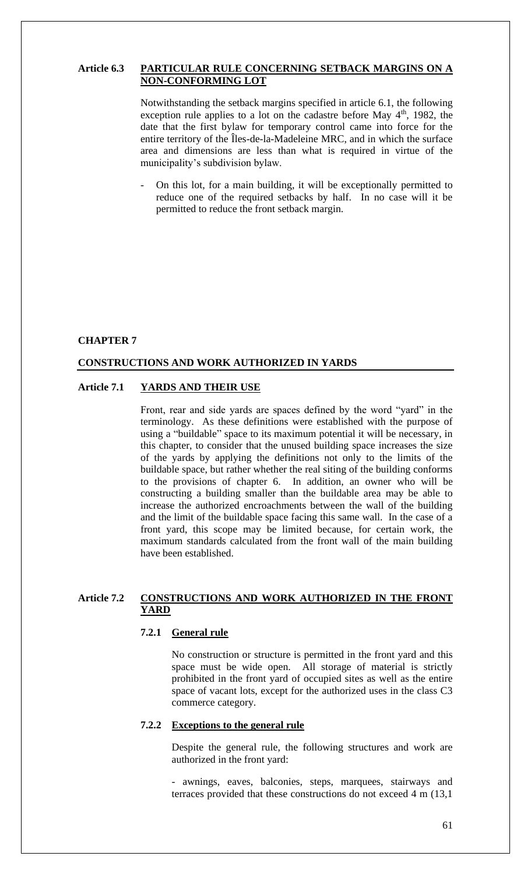## **Article 6.3 PARTICULAR RULE CONCERNING SETBACK MARGINS ON A NON-CONFORMING LOT**

Notwithstanding the setback margins specified in article 6.1, the following exception rule applies to a lot on the cadastre before May  $4<sup>th</sup>$ , 1982, the date that the first bylaw for temporary control came into force for the entire territory of the Îles-de-la-Madeleine MRC, and in which the surface area and dimensions are less than what is required in virtue of the municipality's subdivision bylaw.

- On this lot, for a main building, it will be exceptionally permitted to reduce one of the required setbacks by half. In no case will it be permitted to reduce the front setback margin.

### **CHAPTER 7**

### **CONSTRUCTIONS AND WORK AUTHORIZED IN YARDS**

#### **Article 7.1 YARDS AND THEIR USE**

Front, rear and side yards are spaces defined by the word "yard" in the terminology. As these definitions were established with the purpose of using a "buildable" space to its maximum potential it will be necessary, in this chapter, to consider that the unused building space increases the size of the yards by applying the definitions not only to the limits of the buildable space, but rather whether the real siting of the building conforms to the provisions of chapter 6. In addition, an owner who will be constructing a building smaller than the buildable area may be able to increase the authorized encroachments between the wall of the building and the limit of the buildable space facing this same wall. In the case of a front yard, this scope may be limited because, for certain work, the maximum standards calculated from the front wall of the main building have been established.

## **Article 7.2 CONSTRUCTIONS AND WORK AUTHORIZED IN THE FRONT YARD**

# **7.2.1 General rule**

No construction or structure is permitted in the front yard and this space must be wide open. All storage of material is strictly prohibited in the front yard of occupied sites as well as the entire space of vacant lots, except for the authorized uses in the class C3 commerce category.

#### **7.2.2 Exceptions to the general rule**

Despite the general rule, the following structures and work are authorized in the front yard:

- awnings, eaves, balconies, steps, marquees, stairways and terraces provided that these constructions do not exceed 4 m (13,1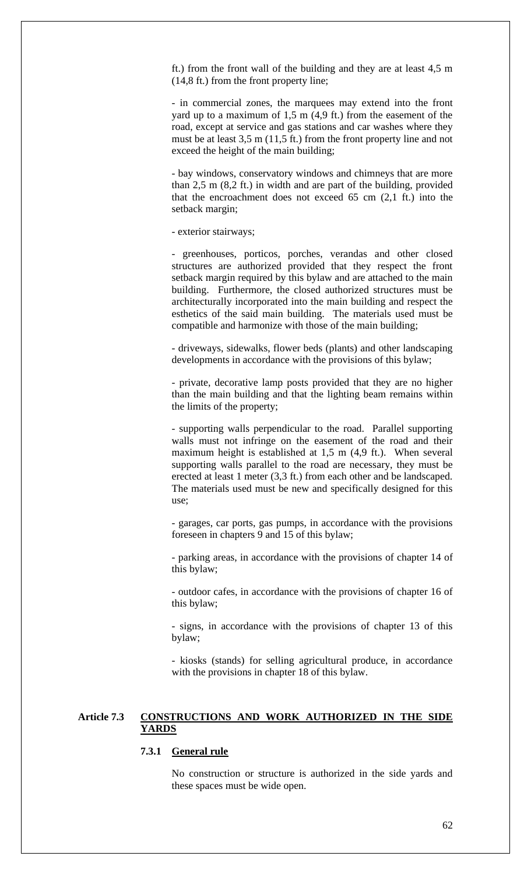ft.) from the front wall of the building and they are at least 4,5 m (14,8 ft.) from the front property line;

- in commercial zones, the marquees may extend into the front yard up to a maximum of 1,5 m (4,9 ft.) from the easement of the road, except at service and gas stations and car washes where they must be at least 3,5 m (11,5 ft.) from the front property line and not exceed the height of the main building;

- bay windows, conservatory windows and chimneys that are more than 2,5 m (8,2 ft.) in width and are part of the building, provided that the encroachment does not exceed 65 cm (2,1 ft.) into the setback margin;

- exterior stairways;

- greenhouses, porticos, porches, verandas and other closed structures are authorized provided that they respect the front setback margin required by this bylaw and are attached to the main building. Furthermore, the closed authorized structures must be architecturally incorporated into the main building and respect the esthetics of the said main building. The materials used must be compatible and harmonize with those of the main building;

- driveways, sidewalks, flower beds (plants) and other landscaping developments in accordance with the provisions of this bylaw;

- private, decorative lamp posts provided that they are no higher than the main building and that the lighting beam remains within the limits of the property;

- supporting walls perpendicular to the road. Parallel supporting walls must not infringe on the easement of the road and their maximum height is established at 1,5 m (4,9 ft.). When several supporting walls parallel to the road are necessary, they must be erected at least 1 meter (3,3 ft.) from each other and be landscaped. The materials used must be new and specifically designed for this use;

- garages, car ports, gas pumps, in accordance with the provisions foreseen in chapters 9 and 15 of this bylaw;

- parking areas, in accordance with the provisions of chapter 14 of this bylaw;

- outdoor cafes, in accordance with the provisions of chapter 16 of this bylaw;

- signs, in accordance with the provisions of chapter 13 of this bylaw;

- kiosks (stands) for selling agricultural produce, in accordance with the provisions in chapter 18 of this bylaw.

# **Article 7.3 CONSTRUCTIONS AND WORK AUTHORIZED IN THE SIDE YARDS**

#### **7.3.1 General rule**

No construction or structure is authorized in the side yards and these spaces must be wide open.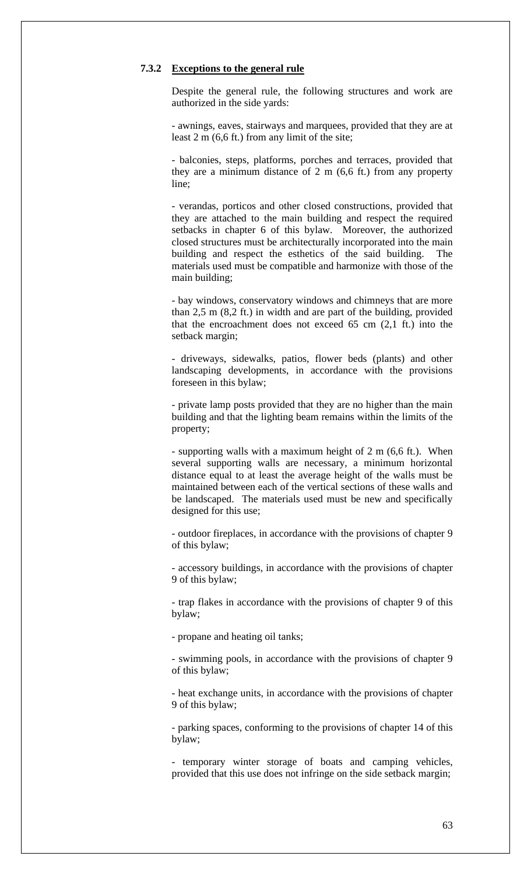#### **7.3.2 Exceptions to the general rule**

Despite the general rule, the following structures and work are authorized in the side yards:

- awnings, eaves, stairways and marquees, provided that they are at least 2 m (6,6 ft.) from any limit of the site;

- balconies, steps, platforms, porches and terraces, provided that they are a minimum distance of 2 m (6,6 ft.) from any property line;

- verandas, porticos and other closed constructions, provided that they are attached to the main building and respect the required setbacks in chapter 6 of this bylaw. Moreover, the authorized closed structures must be architecturally incorporated into the main building and respect the esthetics of the said building. The materials used must be compatible and harmonize with those of the main building;

- bay windows, conservatory windows and chimneys that are more than 2,5 m (8,2 ft.) in width and are part of the building, provided that the encroachment does not exceed 65 cm (2,1 ft.) into the setback margin;

- driveways, sidewalks, patios, flower beds (plants) and other landscaping developments, in accordance with the provisions foreseen in this bylaw;

- private lamp posts provided that they are no higher than the main building and that the lighting beam remains within the limits of the property;

- supporting walls with a maximum height of 2 m (6,6 ft.). When several supporting walls are necessary, a minimum horizontal distance equal to at least the average height of the walls must be maintained between each of the vertical sections of these walls and be landscaped. The materials used must be new and specifically designed for this use;

- outdoor fireplaces, in accordance with the provisions of chapter 9 of this bylaw;

- accessory buildings, in accordance with the provisions of chapter 9 of this bylaw;

- trap flakes in accordance with the provisions of chapter 9 of this bylaw;

- propane and heating oil tanks;

- swimming pools, in accordance with the provisions of chapter 9 of this bylaw;

- heat exchange units, in accordance with the provisions of chapter 9 of this bylaw;

- parking spaces, conforming to the provisions of chapter 14 of this bylaw;

- temporary winter storage of boats and camping vehicles, provided that this use does not infringe on the side setback margin;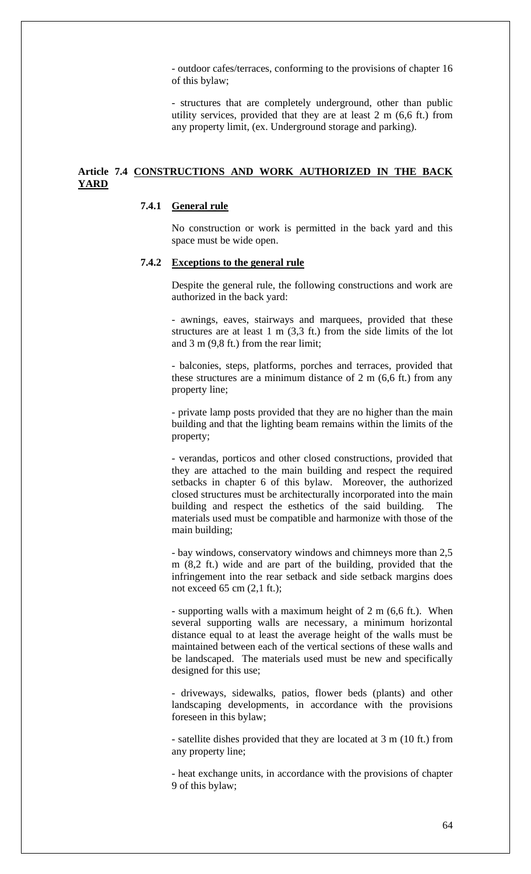- outdoor cafes/terraces, conforming to the provisions of chapter 16 of this bylaw;

- structures that are completely underground, other than public utility services, provided that they are at least 2 m (6,6 ft.) from any property limit, (ex. Underground storage and parking).

# **Article 7.4 CONSTRUCTIONS AND WORK AUTHORIZED IN THE BACK YARD**

# **7.4.1 General rule**

No construction or work is permitted in the back yard and this space must be wide open.

## **7.4.2 Exceptions to the general rule**

Despite the general rule, the following constructions and work are authorized in the back yard:

- awnings, eaves, stairways and marquees, provided that these structures are at least 1 m (3,3 ft.) from the side limits of the lot and 3 m (9,8 ft.) from the rear limit;

- balconies, steps, platforms, porches and terraces, provided that these structures are a minimum distance of 2 m (6,6 ft.) from any property line;

- private lamp posts provided that they are no higher than the main building and that the lighting beam remains within the limits of the property;

- verandas, porticos and other closed constructions, provided that they are attached to the main building and respect the required setbacks in chapter 6 of this bylaw. Moreover, the authorized closed structures must be architecturally incorporated into the main building and respect the esthetics of the said building. The materials used must be compatible and harmonize with those of the main building;

- bay windows, conservatory windows and chimneys more than 2,5 m (8,2 ft.) wide and are part of the building, provided that the infringement into the rear setback and side setback margins does not exceed 65 cm (2,1 ft.);

- supporting walls with a maximum height of 2 m (6,6 ft.). When several supporting walls are necessary, a minimum horizontal distance equal to at least the average height of the walls must be maintained between each of the vertical sections of these walls and be landscaped. The materials used must be new and specifically designed for this use;

- driveways, sidewalks, patios, flower beds (plants) and other landscaping developments, in accordance with the provisions foreseen in this bylaw;

- satellite dishes provided that they are located at 3 m (10 ft.) from any property line;

- heat exchange units, in accordance with the provisions of chapter 9 of this bylaw;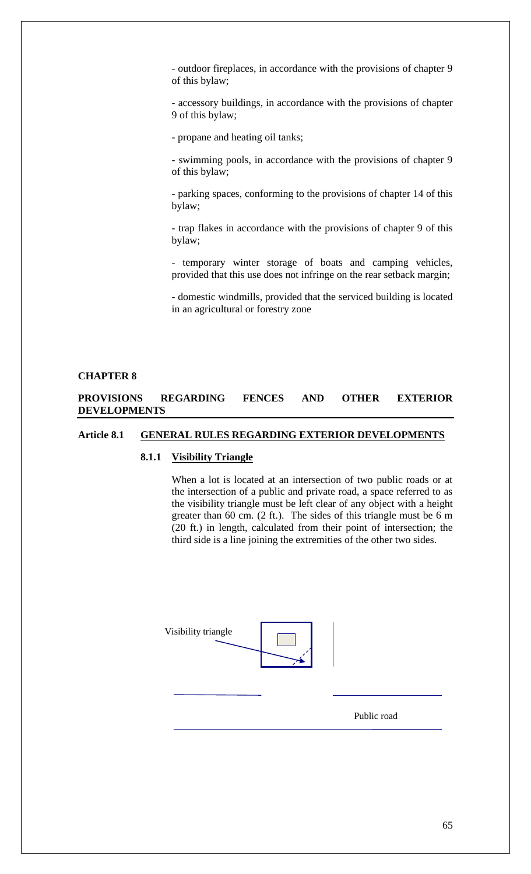- outdoor fireplaces, in accordance with the provisions of chapter 9 of this bylaw;

- accessory buildings, in accordance with the provisions of chapter 9 of this bylaw;

- propane and heating oil tanks;

- swimming pools, in accordance with the provisions of chapter 9 of this bylaw;

- parking spaces, conforming to the provisions of chapter 14 of this bylaw;

- trap flakes in accordance with the provisions of chapter 9 of this bylaw;

- temporary winter storage of boats and camping vehicles, provided that this use does not infringe on the rear setback margin;

- domestic windmills, provided that the serviced building is located in an agricultural or forestry zone

#### **CHAPTER 8**

# **PROVISIONS REGARDING FENCES AND OTHER EXTERIOR DEVELOPMENTS**

# **Article 8.1 GENERAL RULES REGARDING EXTERIOR DEVELOPMENTS**

# **8.1.1 Visibility Triangle**

When a lot is located at an intersection of two public roads or at the intersection of a public and private road, a space referred to as the visibility triangle must be left clear of any object with a height greater than 60 cm. (2 ft.). The sides of this triangle must be 6 m (20 ft.) in length, calculated from their point of intersection; the third side is a line joining the extremities of the other two sides.

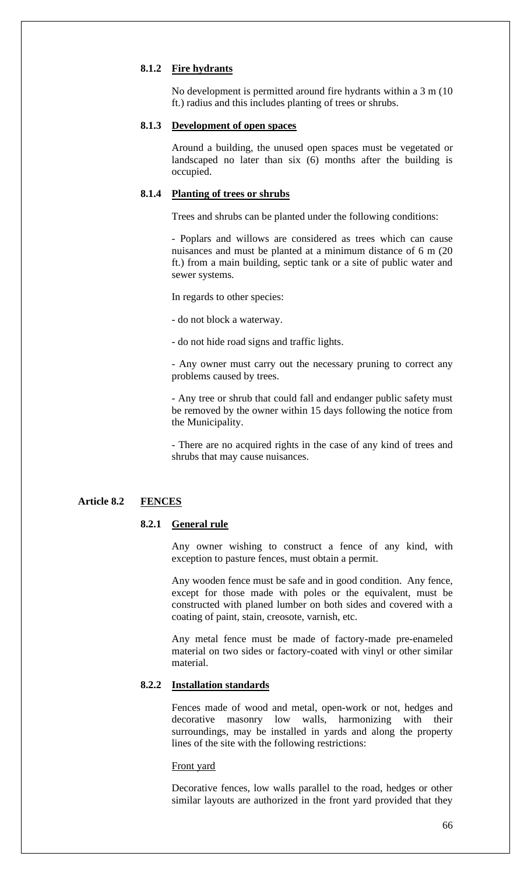### **8.1.2 Fire hydrants**

No development is permitted around fire hydrants within a 3 m (10 ft.) radius and this includes planting of trees or shrubs.

## **8.1.3 Development of open spaces**

Around a building, the unused open spaces must be vegetated or landscaped no later than six (6) months after the building is occupied.

#### **8.1.4 Planting of trees or shrubs**

Trees and shrubs can be planted under the following conditions:

- Poplars and willows are considered as trees which can cause nuisances and must be planted at a minimum distance of 6 m (20 ft.) from a main building, septic tank or a site of public water and sewer systems.

In regards to other species:

- do not block a waterway.

- do not hide road signs and traffic lights.

- Any owner must carry out the necessary pruning to correct any problems caused by trees.

- Any tree or shrub that could fall and endanger public safety must be removed by the owner within 15 days following the notice from the Municipality.

- There are no acquired rights in the case of any kind of trees and shrubs that may cause nuisances.

#### **Article 8.2 FENCES**

## **8.2.1 General rule**

Any owner wishing to construct a fence of any kind, with exception to pasture fences, must obtain a permit.

Any wooden fence must be safe and in good condition. Any fence, except for those made with poles or the equivalent, must be constructed with planed lumber on both sides and covered with a coating of paint, stain, creosote, varnish, etc.

Any metal fence must be made of factory-made pre-enameled material on two sides or factory-coated with vinyl or other similar material.

### **8.2.2 Installation standards**

Fences made of wood and metal, open-work or not, hedges and decorative masonry low walls, harmonizing with their surroundings, may be installed in yards and along the property lines of the site with the following restrictions:

#### Front yard

Decorative fences, low walls parallel to the road, hedges or other similar layouts are authorized in the front yard provided that they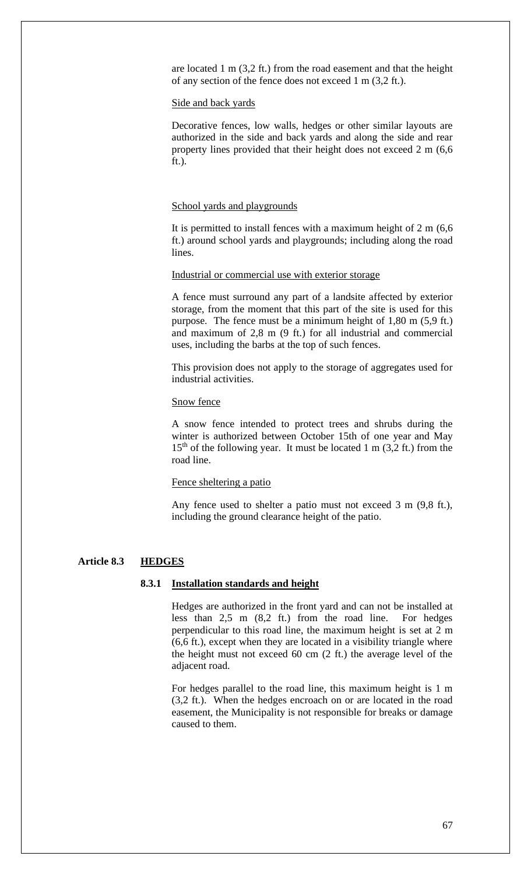are located 1 m (3,2 ft.) from the road easement and that the height of any section of the fence does not exceed 1 m (3,2 ft.).

#### Side and back yards

Decorative fences, low walls, hedges or other similar layouts are authorized in the side and back yards and along the side and rear property lines provided that their height does not exceed 2 m (6,6 ft.).

#### School yards and playgrounds

It is permitted to install fences with a maximum height of 2 m (6,6 ft.) around school yards and playgrounds; including along the road lines.

### Industrial or commercial use with exterior storage

A fence must surround any part of a landsite affected by exterior storage, from the moment that this part of the site is used for this purpose. The fence must be a minimum height of 1,80 m (5,9 ft.) and maximum of 2,8 m (9 ft.) for all industrial and commercial uses, including the barbs at the top of such fences.

This provision does not apply to the storage of aggregates used for industrial activities.

#### Snow fence

A snow fence intended to protect trees and shrubs during the winter is authorized between October 15th of one year and May  $15<sup>th</sup>$  of the following year. It must be located 1 m (3,2 ft.) from the road line.

### Fence sheltering a patio

Any fence used to shelter a patio must not exceed 3 m (9,8 ft.), including the ground clearance height of the patio.

### **Article 8.3 HEDGES**

## **8.3.1 Installation standards and height**

Hedges are authorized in the front yard and can not be installed at less than 2,5 m (8,2 ft.) from the road line. For hedges perpendicular to this road line, the maximum height is set at 2 m (6,6 ft.), except when they are located in a visibility triangle where the height must not exceed 60 cm (2 ft.) the average level of the adjacent road.

For hedges parallel to the road line, this maximum height is 1 m (3,2 ft.). When the hedges encroach on or are located in the road easement, the Municipality is not responsible for breaks or damage caused to them.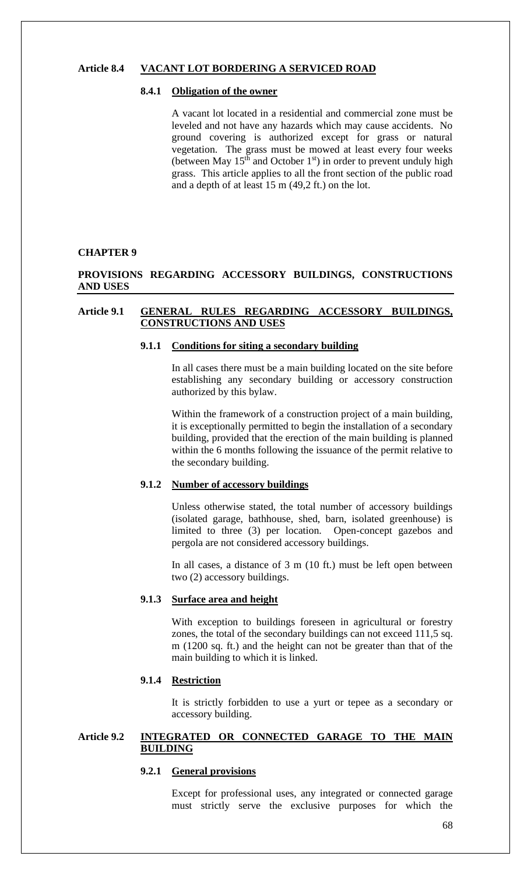## **Article 8.4 VACANT LOT BORDERING A SERVICED ROAD**

#### **8.4.1 Obligation of the owner**

A vacant lot located in a residential and commercial zone must be leveled and not have any hazards which may cause accidents. No ground covering is authorized except for grass or natural vegetation. The grass must be mowed at least every four weeks (between May  $15<sup>th</sup>$  and October  $1<sup>st</sup>$ ) in order to prevent unduly high grass. This article applies to all the front section of the public road and a depth of at least 15 m (49,2 ft.) on the lot.

#### **CHAPTER 9**

# **PROVISIONS REGARDING ACCESSORY BUILDINGS, CONSTRUCTIONS AND USES**

# **Article 9.1 GENERAL RULES REGARDING ACCESSORY BUILDINGS, CONSTRUCTIONS AND USES**

# **9.1.1 Conditions for siting a secondary building**

In all cases there must be a main building located on the site before establishing any secondary building or accessory construction authorized by this bylaw.

Within the framework of a construction project of a main building, it is exceptionally permitted to begin the installation of a secondary building, provided that the erection of the main building is planned within the 6 months following the issuance of the permit relative to the secondary building.

# **9.1.2 Number of accessory buildings**

Unless otherwise stated, the total number of accessory buildings (isolated garage, bathhouse, shed, barn, isolated greenhouse) is limited to three (3) per location. Open-concept gazebos and pergola are not considered accessory buildings.

In all cases, a distance of 3 m (10 ft.) must be left open between two (2) accessory buildings.

#### **9.1.3 Surface area and height**

With exception to buildings foreseen in agricultural or forestry zones, the total of the secondary buildings can not exceed 111,5 sq. m (1200 sq. ft.) and the height can not be greater than that of the main building to which it is linked.

# **9.1.4 Restriction**

It is strictly forbidden to use a yurt or tepee as a secondary or accessory building.

# **Article 9.2 INTEGRATED OR CONNECTED GARAGE TO THE MAIN BUILDING**

## **9.2.1 General provisions**

Except for professional uses, any integrated or connected garage must strictly serve the exclusive purposes for which the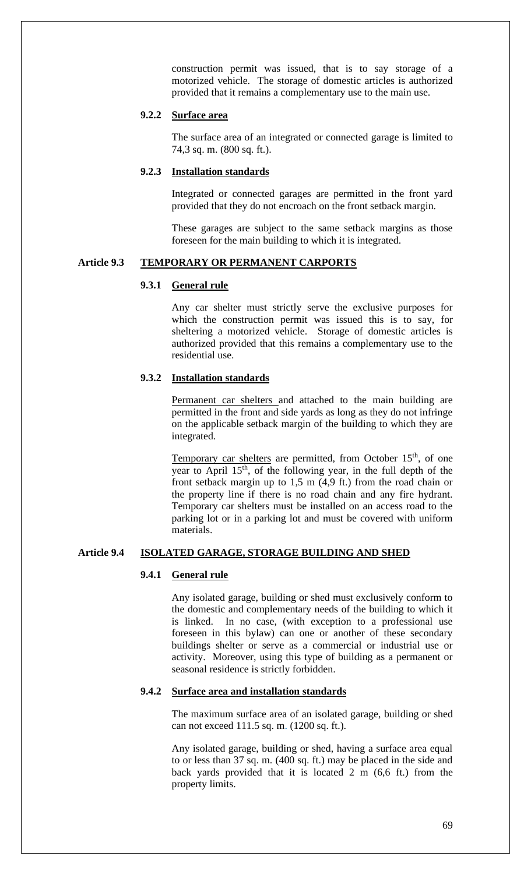construction permit was issued, that is to say storage of a motorized vehicle. The storage of domestic articles is authorized provided that it remains a complementary use to the main use.

# **9.2.2 Surface area**

The surface area of an integrated or connected garage is limited to 74,3 sq. m. (800 sq. ft.).

# **9.2.3 Installation standards**

Integrated or connected garages are permitted in the front yard provided that they do not encroach on the front setback margin.

These garages are subject to the same setback margins as those foreseen for the main building to which it is integrated.

# **Article 9.3 TEMPORARY OR PERMANENT CARPORTS**

# **9.3.1 General rule**

Any car shelter must strictly serve the exclusive purposes for which the construction permit was issued this is to say, for sheltering a motorized vehicle. Storage of domestic articles is authorized provided that this remains a complementary use to the residential use.

# **9.3.2 Installation standards**

Permanent car shelters and attached to the main building are permitted in the front and side yards as long as they do not infringe on the applicable setback margin of the building to which they are integrated.

Temporary car shelters are permitted, from October 15<sup>th</sup>, of one year to April 15<sup>th</sup>, of the following year, in the full depth of the front setback margin up to 1,5 m (4,9 ft.) from the road chain or the property line if there is no road chain and any fire hydrant. Temporary car shelters must be installed on an access road to the parking lot or in a parking lot and must be covered with uniform materials.

# **Article 9.4 ISOLATED GARAGE, STORAGE BUILDING AND SHED**

## **9.4.1 General rule**

Any isolated garage, building or shed must exclusively conform to the domestic and complementary needs of the building to which it is linked. In no case, (with exception to a professional use foreseen in this bylaw) can one or another of these secondary buildings shelter or serve as a commercial or industrial use or activity. Moreover, using this type of building as a permanent or seasonal residence is strictly forbidden.

# **9.4.2 Surface area and installation standards**

The maximum surface area of an isolated garage, building or shed can not exceed 111.5 sq. m. (1200 sq. ft.).

Any isolated garage, building or shed, having a surface area equal to or less than 37 sq. m. (400 sq. ft.) may be placed in the side and back yards provided that it is located 2 m (6,6 ft.) from the property limits.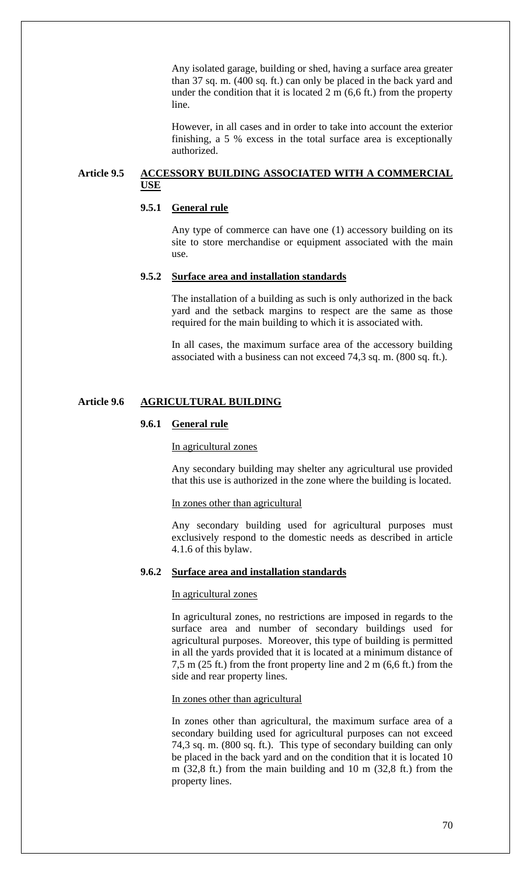Any isolated garage, building or shed, having a surface area greater than 37 sq. m. (400 sq. ft.) can only be placed in the back yard and under the condition that it is located  $2 \text{ m}$  (6,6 ft.) from the property line.

However, in all cases and in order to take into account the exterior finishing, a 5 % excess in the total surface area is exceptionally authorized.

# **Article 9.5 ACCESSORY BUILDING ASSOCIATED WITH A COMMERCIAL USE**

## **9.5.1 General rule**

Any type of commerce can have one (1) accessory building on its site to store merchandise or equipment associated with the main use.

### **9.5.2 Surface area and installation standards**

The installation of a building as such is only authorized in the back yard and the setback margins to respect are the same as those required for the main building to which it is associated with.

In all cases, the maximum surface area of the accessory building associated with a business can not exceed 74,3 sq. m. (800 sq. ft.).

#### **Article 9.6 AGRICULTURAL BUILDING**

## **9.6.1 General rule**

### In agricultural zones

Any secondary building may shelter any agricultural use provided that this use is authorized in the zone where the building is located.

#### In zones other than agricultural

Any secondary building used for agricultural purposes must exclusively respond to the domestic needs as described in article 4.1.6 of this bylaw.

### **9.6.2 Surface area and installation standards**

#### In agricultural zones

In agricultural zones, no restrictions are imposed in regards to the surface area and number of secondary buildings used for agricultural purposes. Moreover, this type of building is permitted in all the yards provided that it is located at a minimum distance of 7,5 m (25 ft.) from the front property line and 2 m (6,6 ft.) from the side and rear property lines.

In zones other than agricultural

In zones other than agricultural, the maximum surface area of a secondary building used for agricultural purposes can not exceed 74,3 sq. m. (800 sq. ft.). This type of secondary building can only be placed in the back yard and on the condition that it is located 10 m (32,8 ft.) from the main building and 10 m (32,8 ft.) from the property lines.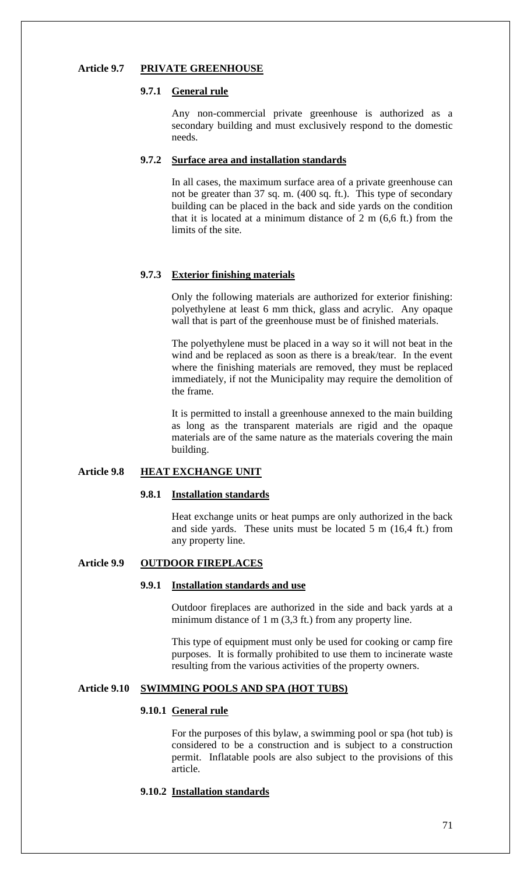# **Article 9.7 PRIVATE GREENHOUSE**

## **9.7.1 General rule**

Any non-commercial private greenhouse is authorized as a secondary building and must exclusively respond to the domestic needs.

### **9.7.2 Surface area and installation standards**

In all cases, the maximum surface area of a private greenhouse can not be greater than 37 sq. m. (400 sq. ft.). This type of secondary building can be placed in the back and side yards on the condition that it is located at a minimum distance of 2 m (6,6 ft.) from the limits of the site.

# **9.7.3 Exterior finishing materials**

Only the following materials are authorized for exterior finishing: polyethylene at least 6 mm thick, glass and acrylic. Any opaque wall that is part of the greenhouse must be of finished materials.

The polyethylene must be placed in a way so it will not beat in the wind and be replaced as soon as there is a break/tear. In the event where the finishing materials are removed, they must be replaced immediately, if not the Municipality may require the demolition of the frame.

It is permitted to install a greenhouse annexed to the main building as long as the transparent materials are rigid and the opaque materials are of the same nature as the materials covering the main building.

# **Article 9.8 HEAT EXCHANGE UNIT**

## **9.8.1 Installation standards**

Heat exchange units or heat pumps are only authorized in the back and side yards. These units must be located 5 m (16,4 ft.) from any property line.

# **Article 9.9 OUTDOOR FIREPLACES**

#### **9.9.1 Installation standards and use**

Outdoor fireplaces are authorized in the side and back yards at a minimum distance of 1 m (3,3 ft.) from any property line.

This type of equipment must only be used for cooking or camp fire purposes. It is formally prohibited to use them to incinerate waste resulting from the various activities of the property owners.

# **Article 9.10 SWIMMING POOLS AND SPA (HOT TUBS)**

#### **9.10.1 General rule**

For the purposes of this bylaw, a swimming pool or spa (hot tub) is considered to be a construction and is subject to a construction permit. Inflatable pools are also subject to the provisions of this article.

# **9.10.2 Installation standards**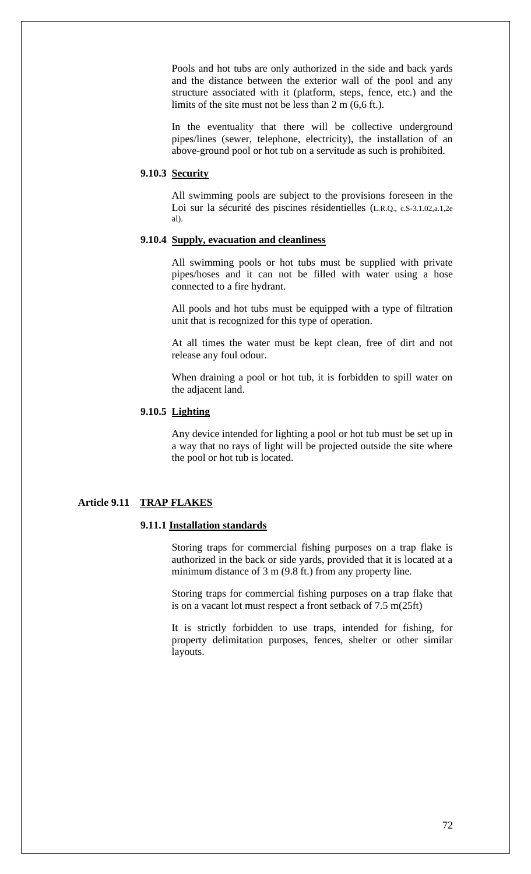Pools and hot tubs are only authorized in the side and back yards and the distance between the exterior wall of the pool and any structure associated with it (platform, steps, fence, etc.) and the limits of the site must not be less than 2 m (6,6 ft.).

In the eventuality that there will be collective underground pipes/lines (sewer, telephone, electricity), the installation of an above-ground pool or hot tub on a servitude as such is prohibited.

# **9.10.3 Security**

All swimming pools are subject to the provisions foreseen in the Loi sur la sécurité des piscines résidentielles (L.R.Q., c.S-3.1.02,a.1,2e al).

# **9.10.4 Supply, evacuation and cleanliness**

All swimming pools or hot tubs must be supplied with private pipes/hoses and it can not be filled with water using a hose connected to a fire hydrant.

All pools and hot tubs must be equipped with a type of filtration unit that is recognized for this type of operation.

At all times the water must be kept clean, free of dirt and not release any foul odour.

When draining a pool or hot tub, it is forbidden to spill water on the adjacent land.

# **9.10.5 Lighting**

Any device intended for lighting a pool or hot tub must be set up in a way that no rays of light will be projected outside the site where the pool or hot tub is located.

# **Article 9.11 TRAP FLAKES**

#### **9.11.1 Installation standards**

Storing traps for commercial fishing purposes on a trap flake is authorized in the back or side yards, provided that it is located at a minimum distance of 3 m (9.8 ft.) from any property line.

Storing traps for commercial fishing purposes on a trap flake that is on a vacant lot must respect a front setback of 7.5 m(25ft)

It is strictly forbidden to use traps, intended for fishing, for property delimitation purposes, fences, shelter or other similar layouts.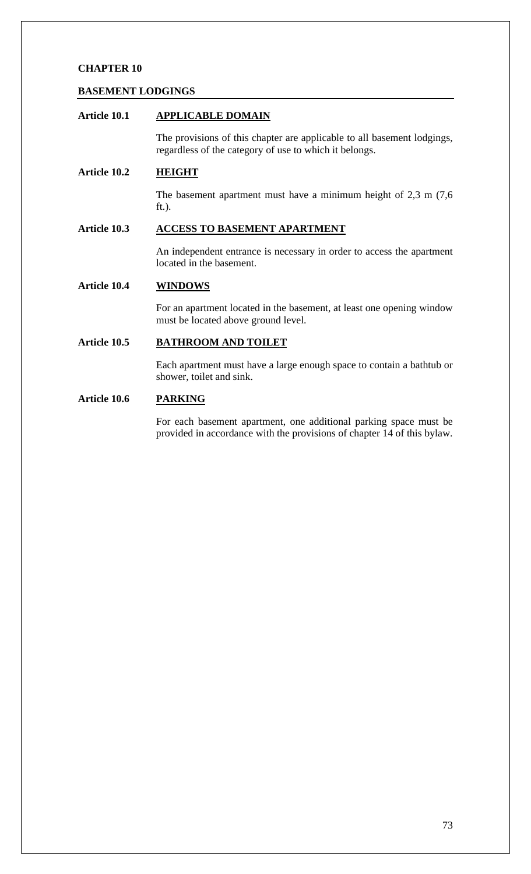### **BASEMENT LODGINGS**

# **Article 10.1 APPLICABLE DOMAIN**

The provisions of this chapter are applicable to all basement lodgings, regardless of the category of use to which it belongs.

## **Article 10.2 HEIGHT**

The basement apartment must have a minimum height of 2,3 m (7,6 ft.).

## **Article 10.3 ACCESS TO BASEMENT APARTMENT**

An independent entrance is necessary in order to access the apartment located in the basement.

## **Article 10.4 WINDOWS**

For an apartment located in the basement, at least one opening window must be located above ground level.

## **Article 10.5 BATHROOM AND TOILET**

Each apartment must have a large enough space to contain a bathtub or shower, toilet and sink.

## **Article 10.6 PARKING**

For each basement apartment, one additional parking space must be provided in accordance with the provisions of chapter 14 of this bylaw.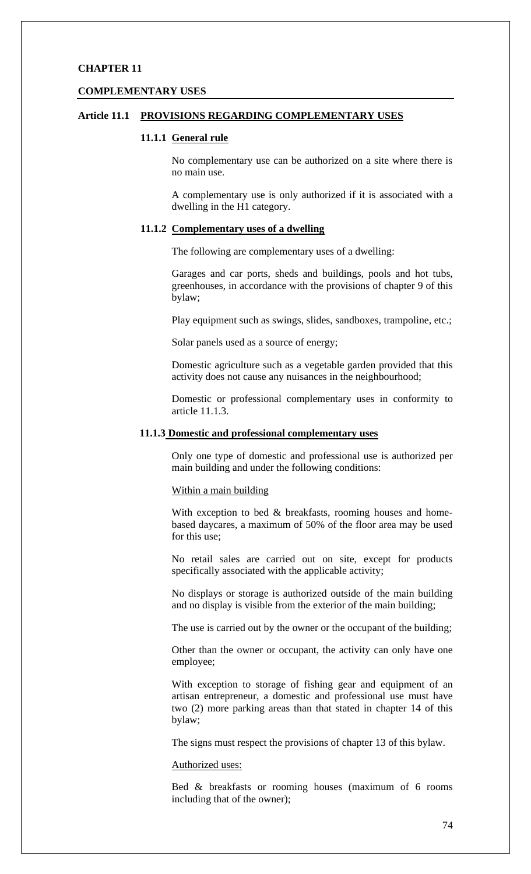#### **COMPLEMENTARY USES**

### **Article 11.1 PROVISIONS REGARDING COMPLEMENTARY USES**

### **11.1.1 General rule**

No complementary use can be authorized on a site where there is no main use.

A complementary use is only authorized if it is associated with a dwelling in the H1 category.

#### **11.1.2 Complementary uses of a dwelling**

The following are complementary uses of a dwelling:

Garages and car ports, sheds and buildings, pools and hot tubs, greenhouses, in accordance with the provisions of chapter 9 of this bylaw;

Play equipment such as swings, slides, sandboxes, trampoline, etc.;

Solar panels used as a source of energy;

Domestic agriculture such as a vegetable garden provided that this activity does not cause any nuisances in the neighbourhood;

Domestic or professional complementary uses in conformity to article 11.1.3.

### **11.1.3 Domestic and professional complementary uses**

Only one type of domestic and professional use is authorized per main building and under the following conditions:

#### Within a main building

With exception to bed & breakfasts, rooming houses and homebased daycares, a maximum of 50% of the floor area may be used for this use;

No retail sales are carried out on site, except for products specifically associated with the applicable activity;

No displays or storage is authorized outside of the main building and no display is visible from the exterior of the main building;

The use is carried out by the owner or the occupant of the building;

Other than the owner or occupant, the activity can only have one employee;

With exception to storage of fishing gear and equipment of an artisan entrepreneur, a domestic and professional use must have two (2) more parking areas than that stated in chapter 14 of this bylaw;

The signs must respect the provisions of chapter 13 of this bylaw.

#### Authorized uses:

Bed & breakfasts or rooming houses (maximum of 6 rooms including that of the owner);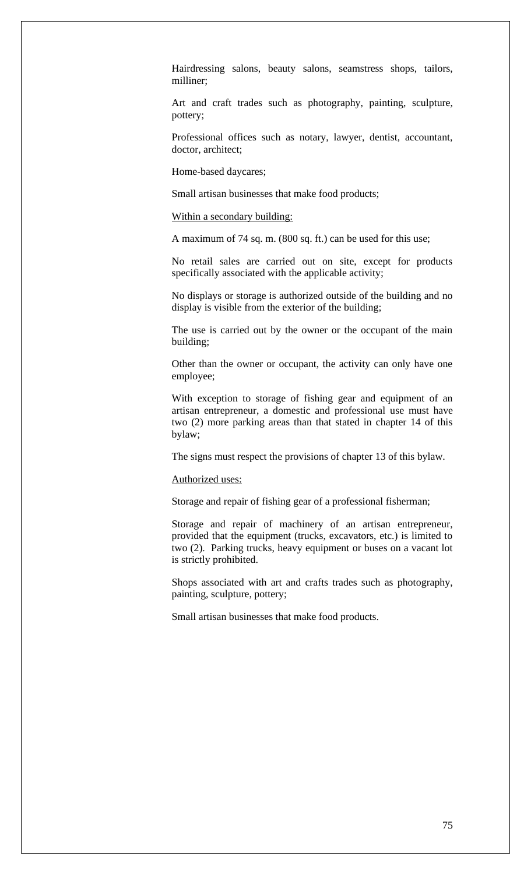Hairdressing salons, beauty salons, seamstress shops, tailors, milliner;

Art and craft trades such as photography, painting, sculpture, pottery;

Professional offices such as notary, lawyer, dentist, accountant, doctor, architect;

Home-based daycares;

Small artisan businesses that make food products;

### Within a secondary building:

A maximum of 74 sq. m. (800 sq. ft.) can be used for this use;

No retail sales are carried out on site, except for products specifically associated with the applicable activity;

No displays or storage is authorized outside of the building and no display is visible from the exterior of the building;

The use is carried out by the owner or the occupant of the main building;

Other than the owner or occupant, the activity can only have one employee;

With exception to storage of fishing gear and equipment of an artisan entrepreneur, a domestic and professional use must have two (2) more parking areas than that stated in chapter 14 of this bylaw;

The signs must respect the provisions of chapter 13 of this bylaw.

#### Authorized uses:

Storage and repair of fishing gear of a professional fisherman;

Storage and repair of machinery of an artisan entrepreneur, provided that the equipment (trucks, excavators, etc.) is limited to two (2). Parking trucks, heavy equipment or buses on a vacant lot is strictly prohibited.

Shops associated with art and crafts trades such as photography, painting, sculpture, pottery;

Small artisan businesses that make food products.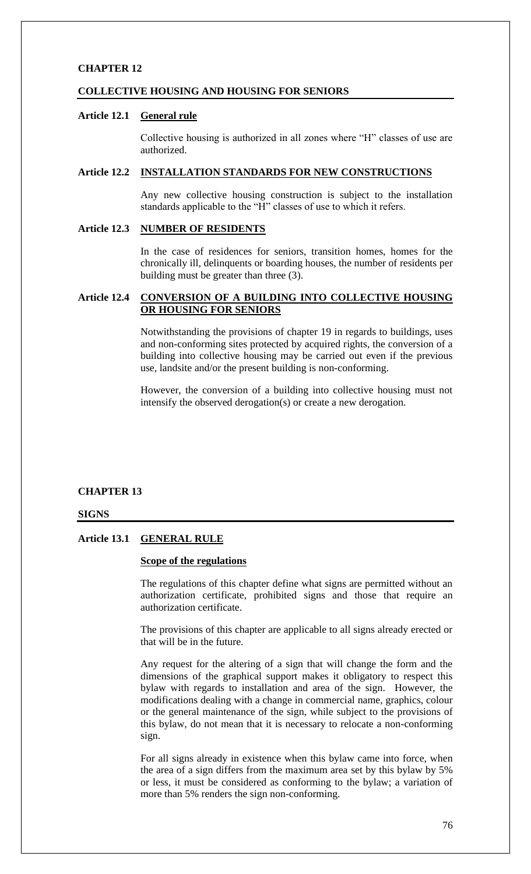#### **COLLECTIVE HOUSING AND HOUSING FOR SENIORS**

## **Article 12.1 General rule**

Collective housing is authorized in all zones where "H" classes of use are authorized.

#### **Article 12.2 INSTALLATION STANDARDS FOR NEW CONSTRUCTIONS**

Any new collective housing construction is subject to the installation standards applicable to the "H" classes of use to which it refers.

## **Article 12.3 NUMBER OF RESIDENTS**

In the case of residences for seniors, transition homes, homes for the chronically ill, delinquents or boarding houses, the number of residents per building must be greater than three (3).

## **Article 12.4 CONVERSION OF A BUILDING INTO COLLECTIVE HOUSING OR HOUSING FOR SENIORS**

Notwithstanding the provisions of chapter 19 in regards to buildings, uses and non-conforming sites protected by acquired rights, the conversion of a building into collective housing may be carried out even if the previous use, landsite and/or the present building is non-conforming.

However, the conversion of a building into collective housing must not intensify the observed derogation(s) or create a new derogation.

### **CHAPTER 13**

#### **SIGNS**

#### **Article 13.1 GENERAL RULE**

## **Scope of the regulations**

The regulations of this chapter define what signs are permitted without an authorization certificate, prohibited signs and those that require an authorization certificate.

The provisions of this chapter are applicable to all signs already erected or that will be in the future.

Any request for the altering of a sign that will change the form and the dimensions of the graphical support makes it obligatory to respect this bylaw with regards to installation and area of the sign. However, the modifications dealing with a change in commercial name, graphics, colour or the general maintenance of the sign, while subject to the provisions of this bylaw, do not mean that it is necessary to relocate a non-conforming sign.

For all signs already in existence when this bylaw came into force, when the area of a sign differs from the maximum area set by this bylaw by 5% or less, it must be considered as conforming to the bylaw; a variation of more than 5% renders the sign non-conforming.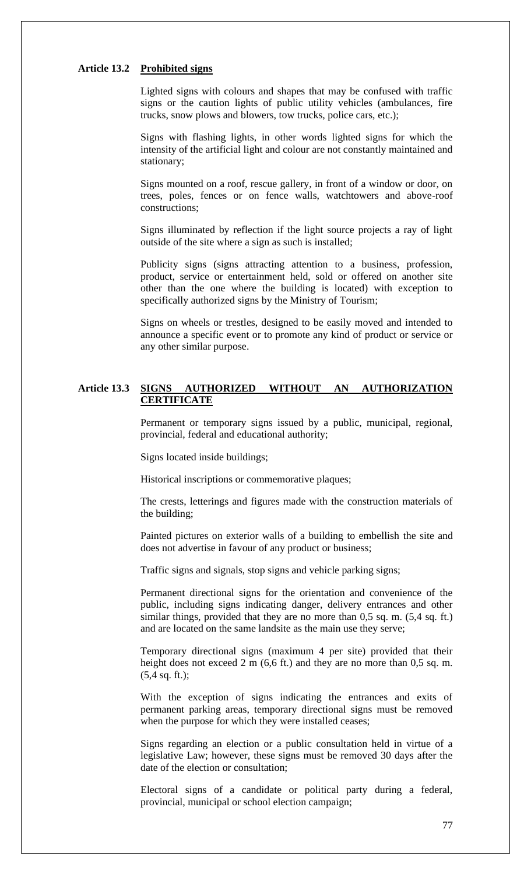#### **Article 13.2 Prohibited signs**

Lighted signs with colours and shapes that may be confused with traffic signs or the caution lights of public utility vehicles (ambulances, fire trucks, snow plows and blowers, tow trucks, police cars, etc.);

Signs with flashing lights, in other words lighted signs for which the intensity of the artificial light and colour are not constantly maintained and stationary;

Signs mounted on a roof, rescue gallery, in front of a window or door, on trees, poles, fences or on fence walls, watchtowers and above-roof constructions;

Signs illuminated by reflection if the light source projects a ray of light outside of the site where a sign as such is installed;

Publicity signs (signs attracting attention to a business, profession, product, service or entertainment held, sold or offered on another site other than the one where the building is located) with exception to specifically authorized signs by the Ministry of Tourism;

Signs on wheels or trestles, designed to be easily moved and intended to announce a specific event or to promote any kind of product or service or any other similar purpose.

## **Article 13.3 SIGNS AUTHORIZED WITHOUT AN AUTHORIZATION CERTIFICATE**

Permanent or temporary signs issued by a public, municipal, regional, provincial, federal and educational authority;

Signs located inside buildings;

Historical inscriptions or commemorative plaques;

The crests, letterings and figures made with the construction materials of the building;

Painted pictures on exterior walls of a building to embellish the site and does not advertise in favour of any product or business;

Traffic signs and signals, stop signs and vehicle parking signs;

Permanent directional signs for the orientation and convenience of the public, including signs indicating danger, delivery entrances and other similar things, provided that they are no more than 0,5 sq. m. (5,4 sq. ft.) and are located on the same landsite as the main use they serve;

Temporary directional signs (maximum 4 per site) provided that their height does not exceed 2 m (6,6 ft.) and they are no more than 0,5 sq. m. (5,4 sq. ft.);

With the exception of signs indicating the entrances and exits of permanent parking areas, temporary directional signs must be removed when the purpose for which they were installed ceases;

Signs regarding an election or a public consultation held in virtue of a legislative Law; however, these signs must be removed 30 days after the date of the election or consultation;

Electoral signs of a candidate or political party during a federal, provincial, municipal or school election campaign;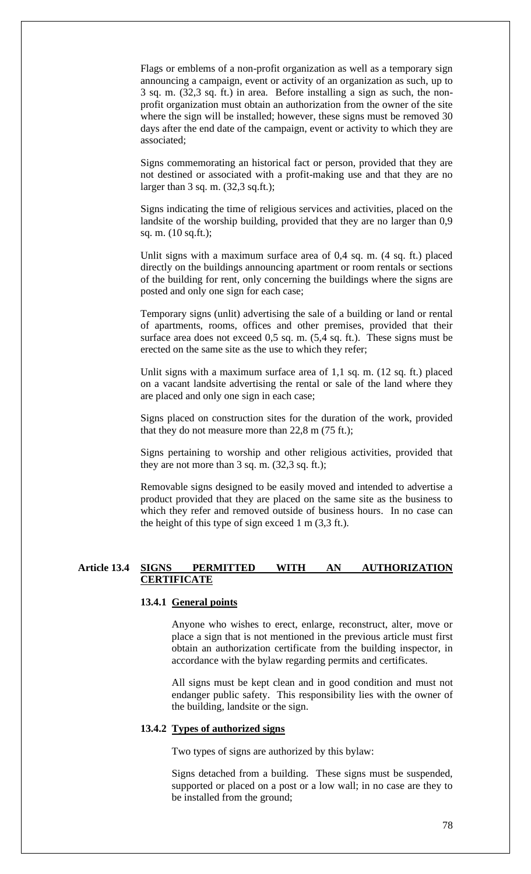Flags or emblems of a non-profit organization as well as a temporary sign announcing a campaign, event or activity of an organization as such, up to 3 sq. m. (32,3 sq. ft.) in area. Before installing a sign as such, the nonprofit organization must obtain an authorization from the owner of the site where the sign will be installed; however, these signs must be removed 30 days after the end date of the campaign, event or activity to which they are associated;

Signs commemorating an historical fact or person, provided that they are not destined or associated with a profit-making use and that they are no larger than 3 sq. m. (32,3 sq.ft.);

Signs indicating the time of religious services and activities, placed on the landsite of the worship building, provided that they are no larger than 0,9 sq. m. (10 sq.ft.);

Unlit signs with a maximum surface area of 0,4 sq. m. (4 sq. ft.) placed directly on the buildings announcing apartment or room rentals or sections of the building for rent, only concerning the buildings where the signs are posted and only one sign for each case;

Temporary signs (unlit) advertising the sale of a building or land or rental of apartments, rooms, offices and other premises, provided that their surface area does not exceed 0,5 sq. m. (5,4 sq. ft.). These signs must be erected on the same site as the use to which they refer;

Unlit signs with a maximum surface area of 1,1 sq. m. (12 sq. ft.) placed on a vacant landsite advertising the rental or sale of the land where they are placed and only one sign in each case;

Signs placed on construction sites for the duration of the work, provided that they do not measure more than 22,8 m (75 ft.);

Signs pertaining to worship and other religious activities, provided that they are not more than 3 sq. m. (32,3 sq. ft.);

Removable signs designed to be easily moved and intended to advertise a product provided that they are placed on the same site as the business to which they refer and removed outside of business hours. In no case can the height of this type of sign exceed 1 m (3,3 ft.).

### **Article 13.4 SIGNS PERMITTED WITH AN AUTHORIZATION CERTIFICATE**

### **13.4.1 General points**

Anyone who wishes to erect, enlarge, reconstruct, alter, move or place a sign that is not mentioned in the previous article must first obtain an authorization certificate from the building inspector, in accordance with the bylaw regarding permits and certificates.

All signs must be kept clean and in good condition and must not endanger public safety. This responsibility lies with the owner of the building, landsite or the sign.

# **13.4.2 Types of authorized signs**

Two types of signs are authorized by this bylaw:

Signs detached from a building. These signs must be suspended, supported or placed on a post or a low wall; in no case are they to be installed from the ground;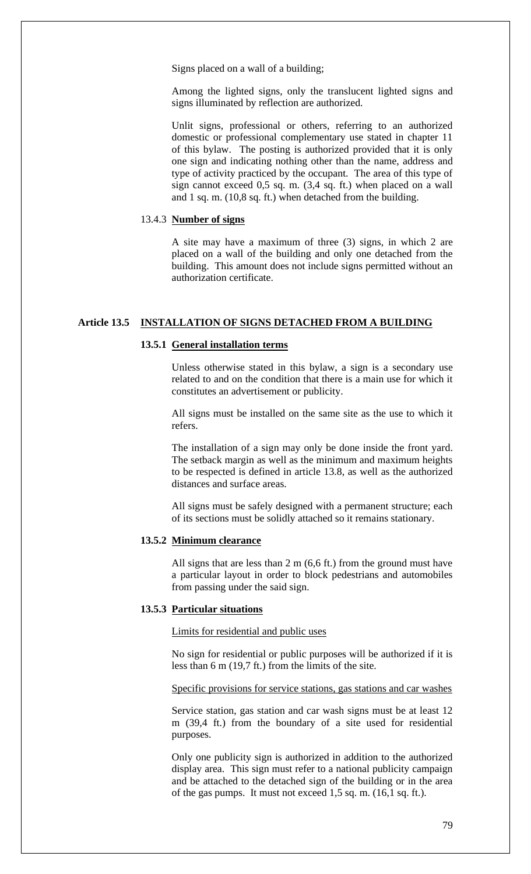Signs placed on a wall of a building;

Among the lighted signs, only the translucent lighted signs and signs illuminated by reflection are authorized.

Unlit signs, professional or others, referring to an authorized domestic or professional complementary use stated in chapter 11 of this bylaw. The posting is authorized provided that it is only one sign and indicating nothing other than the name, address and type of activity practiced by the occupant. The area of this type of sign cannot exceed 0,5 sq. m. (3,4 sq. ft.) when placed on a wall and 1 sq. m. (10,8 sq. ft.) when detached from the building.

## 13.4.3 **Number of signs**

A site may have a maximum of three (3) signs, in which 2 are placed on a wall of the building and only one detached from the building. This amount does not include signs permitted without an authorization certificate.

### **Article 13.5 INSTALLATION OF SIGNS DETACHED FROM A BUILDING**

### **13.5.1 General installation terms**

Unless otherwise stated in this bylaw, a sign is a secondary use related to and on the condition that there is a main use for which it constitutes an advertisement or publicity.

All signs must be installed on the same site as the use to which it refers.

The installation of a sign may only be done inside the front yard. The setback margin as well as the minimum and maximum heights to be respected is defined in article 13.8, as well as the authorized distances and surface areas.

All signs must be safely designed with a permanent structure; each of its sections must be solidly attached so it remains stationary.

#### **13.5.2 Minimum clearance**

All signs that are less than  $2 \text{ m}$  (6,6 ft.) from the ground must have a particular layout in order to block pedestrians and automobiles from passing under the said sign.

#### **13.5.3 Particular situations**

Limits for residential and public uses

No sign for residential or public purposes will be authorized if it is less than 6 m (19,7 ft.) from the limits of the site.

#### Specific provisions for service stations, gas stations and car washes

Service station, gas station and car wash signs must be at least 12 m (39,4 ft.) from the boundary of a site used for residential purposes.

Only one publicity sign is authorized in addition to the authorized display area. This sign must refer to a national publicity campaign and be attached to the detached sign of the building or in the area of the gas pumps. It must not exceed 1,5 sq. m. (16,1 sq. ft.).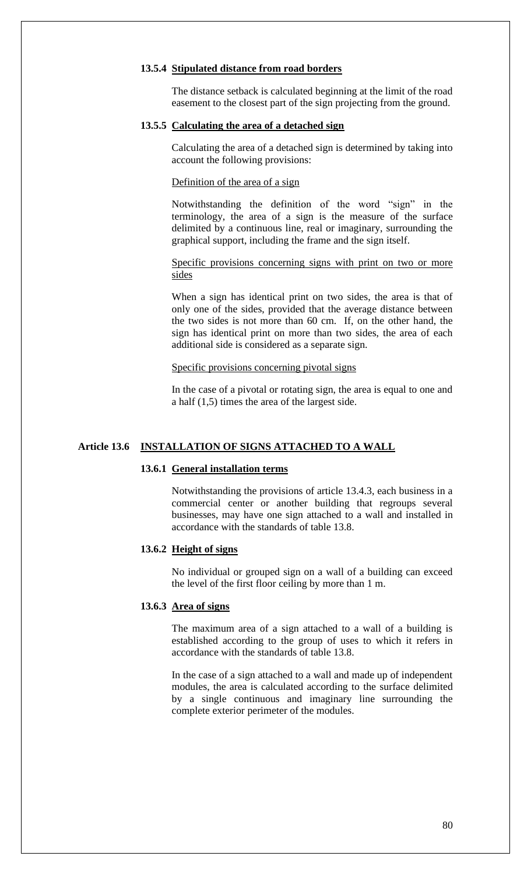#### **13.5.4 Stipulated distance from road borders**

The distance setback is calculated beginning at the limit of the road easement to the closest part of the sign projecting from the ground.

#### **13.5.5 Calculating the area of a detached sign**

Calculating the area of a detached sign is determined by taking into account the following provisions:

### Definition of the area of a sign

Notwithstanding the definition of the word "sign" in the terminology, the area of a sign is the measure of the surface delimited by a continuous line, real or imaginary, surrounding the graphical support, including the frame and the sign itself.

Specific provisions concerning signs with print on two or more sides

When a sign has identical print on two sides, the area is that of only one of the sides, provided that the average distance between the two sides is not more than 60 cm. If, on the other hand, the sign has identical print on more than two sides, the area of each additional side is considered as a separate sign.

### Specific provisions concerning pivotal signs

In the case of a pivotal or rotating sign, the area is equal to one and a half (1,5) times the area of the largest side.

### **Article 13.6 INSTALLATION OF SIGNS ATTACHED TO A WALL**

#### **13.6.1 General installation terms**

Notwithstanding the provisions of article 13.4.3, each business in a commercial center or another building that regroups several businesses, may have one sign attached to a wall and installed in accordance with the standards of table 13.8.

### **13.6.2 Height of signs**

No individual or grouped sign on a wall of a building can exceed the level of the first floor ceiling by more than 1 m.

#### **13.6.3 Area of signs**

The maximum area of a sign attached to a wall of a building is established according to the group of uses to which it refers in accordance with the standards of table 13.8.

In the case of a sign attached to a wall and made up of independent modules, the area is calculated according to the surface delimited by a single continuous and imaginary line surrounding the complete exterior perimeter of the modules.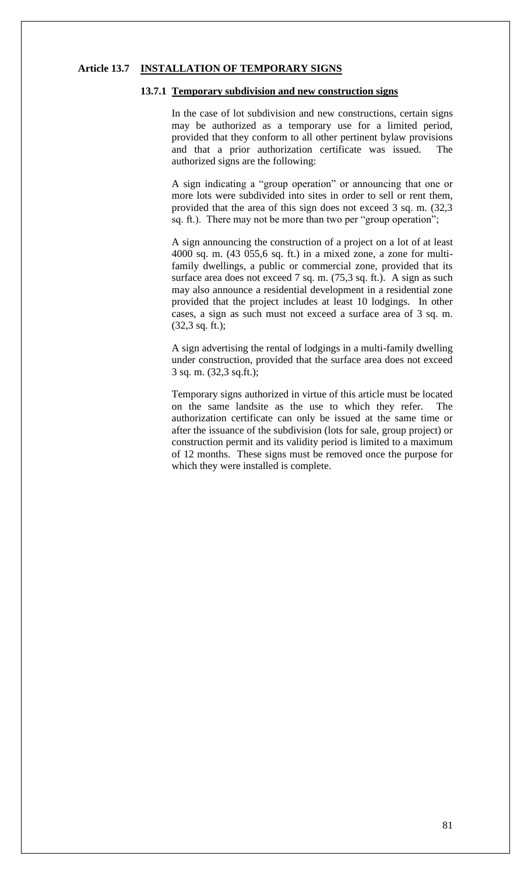#### **Article 13.7 INSTALLATION OF TEMPORARY SIGNS**

### **13.7.1 Temporary subdivision and new construction signs**

In the case of lot subdivision and new constructions, certain signs may be authorized as a temporary use for a limited period, provided that they conform to all other pertinent bylaw provisions and that a prior authorization certificate was issued. The authorized signs are the following:

A sign indicating a "group operation" or announcing that one or more lots were subdivided into sites in order to sell or rent them, provided that the area of this sign does not exceed 3 sq. m. (32,3 sq. ft.). There may not be more than two per "group operation";

A sign announcing the construction of a project on a lot of at least 4000 sq. m. (43 055,6 sq. ft.) in a mixed zone, a zone for multifamily dwellings, a public or commercial zone, provided that its surface area does not exceed 7 sq. m. (75,3 sq. ft.). A sign as such may also announce a residential development in a residential zone provided that the project includes at least 10 lodgings. In other cases, a sign as such must not exceed a surface area of 3 sq. m.  $(32,3 \text{ sq. ft.})$ ;

A sign advertising the rental of lodgings in a multi-family dwelling under construction, provided that the surface area does not exceed 3 sq. m. (32,3 sq.ft.);

Temporary signs authorized in virtue of this article must be located on the same landsite as the use to which they refer. The authorization certificate can only be issued at the same time or after the issuance of the subdivision (lots for sale, group project) or construction permit and its validity period is limited to a maximum of 12 months. These signs must be removed once the purpose for which they were installed is complete.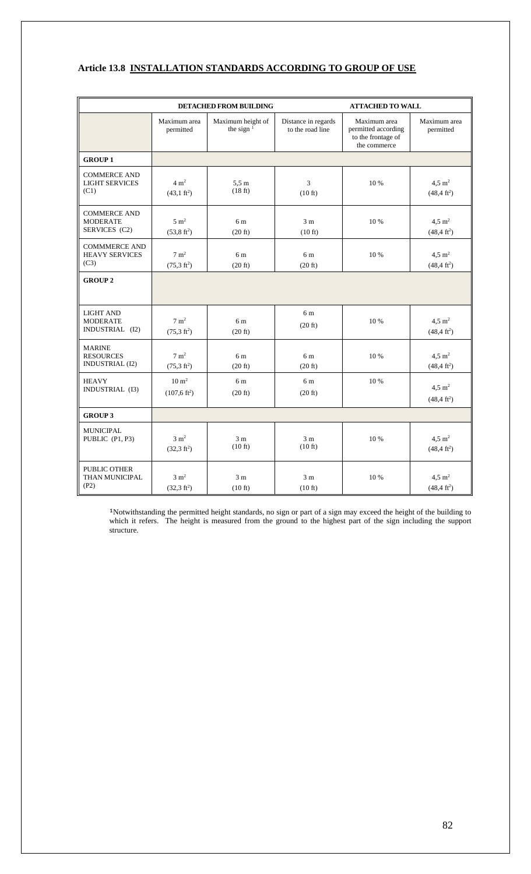## **Article 13.8 INSTALLATION STANDARDS ACCORDING TO GROUP OF USE**

|                                                             | <b>DETACHED FROM BUILDING</b><br><b>ATTACHED TO WALL</b> |                                     |                                         |                                                                           |                                                 |
|-------------------------------------------------------------|----------------------------------------------------------|-------------------------------------|-----------------------------------------|---------------------------------------------------------------------------|-------------------------------------------------|
|                                                             | Maximum area<br>permitted                                | Maximum height of<br>the sign $1$   | Distance in regards<br>to the road line | Maximum area<br>permitted according<br>to the frontage of<br>the commerce | Maximum area<br>permitted                       |
| <b>GROUP1</b>                                               |                                                          |                                     |                                         |                                                                           |                                                 |
| <b>COMMERCE AND</b><br><b>LIGHT SERVICES</b><br>(C1)        | $4 \text{ m}^2$<br>$(43,1 \text{ ft}^2)$                 | 5.5m<br>(18 ft)                     | 3<br>$(10 \text{ ft})$                  | 10 %                                                                      | $4.5 \text{ m}^2$<br>$(48, 4 \text{ ft}^2)$     |
| <b>COMMERCE AND</b><br><b>MODERATE</b><br>SERVICES (C2)     | $5 \text{ m}^2$<br>$(53, 8 \text{ ft}^2)$                | 6 m<br>(20 ft)                      | 3 <sub>m</sub><br>$(10 \text{ ft})$     | 10 %                                                                      | $4.5 \text{ m}^2$<br>$(48, 4 \text{ ft}^2)$     |
| <b>COMMMERCE AND</b><br><b>HEAVY SERVICES</b><br>(C3)       | $7 \text{ m}^2$<br>$(75,3 \text{ ft}^2)$                 | 6 m<br>$(20 \text{ ft})$            | 6 <sub>m</sub><br>(20 ft)               | 10%                                                                       | $4.5 \text{ m}^2$<br>$(48, 4 \text{ ft}^2)$     |
| <b>GROUP 2</b>                                              |                                                          |                                     |                                         |                                                                           |                                                 |
| <b>LIGHT AND</b><br><b>MODERATE</b><br>INDUSTRIAL (I2)      | $7 \text{ m}^2$<br>$(75,3 \text{ ft}^2)$                 | 6 m<br>$(20 \text{ ft})$            | 6 m<br>$(20 \text{ ft})$                | 10 %                                                                      | $4,5 \; \mathrm{m}^2$<br>$(48, 4 \text{ ft}^2)$ |
| <b>MARINE</b><br><b>RESOURCES</b><br><b>INDUSTRIAL (I2)</b> | $7 \text{ m}^2$<br>$(75.3 \text{ ft}^2)$                 | 6 m<br>$(20 \text{ ft})$            | 6 m<br>$(20 \text{ ft})$                | 10 %                                                                      | $4.5 \text{ m}^2$<br>$(48.4 \text{ ft}^2)$      |
| <b>HEAVY</b><br>INDUSTRIAL (I3)                             | $10 \text{ m}^2$<br>$(107, 6 \text{ ft}^2)$              | 6 m<br>$(20 \text{ ft})$            | 6 m<br>$(20 \text{ ft})$                | 10 %                                                                      | $4.5 \text{ m}^2$<br>$(48,4 \text{ ft}^2)$      |
| <b>GROUP 3</b>                                              |                                                          |                                     |                                         |                                                                           |                                                 |
| <b>MUNICIPAL</b><br>PUBLIC (P1, P3)                         | $3 \text{ m}^2$<br>$(32,3 \text{ ft}^2)$                 | 3 <sub>m</sub><br>$(10 \text{ ft})$ | 3 <sub>m</sub><br>$(10 \text{ ft})$     | 10 %                                                                      | $4.5 \text{ m}^2$<br>$(48,4 \text{ ft}^2)$      |
| PUBLIC OTHER<br>THAN MUNICIPAL<br>(P2)                      | $3 \text{ m}^2$<br>$(32,3 \text{ ft}^2)$                 | 3 <sub>m</sub><br>$(10 \text{ ft})$ | 3 <sub>m</sub><br>$(10 \text{ ft})$     | 10 %                                                                      | $4.5 \text{ m}^2$<br>$(48,4 \text{ ft}^2)$      |

<sup>1</sup>Notwithstanding the permitted height standards, no sign or part of a sign may exceed the height of the building to which it refers. The height is measured from the ground to the highest part of the sign including the support structure.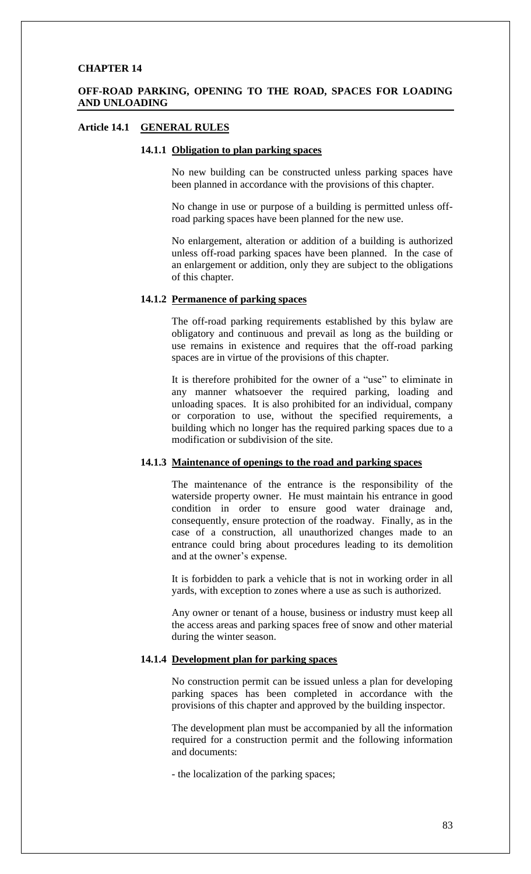## **OFF-ROAD PARKING, OPENING TO THE ROAD, SPACES FOR LOADING AND UNLOADING**

## **Article 14.1 GENERAL RULES**

## **14.1.1 Obligation to plan parking spaces**

No new building can be constructed unless parking spaces have been planned in accordance with the provisions of this chapter.

No change in use or purpose of a building is permitted unless offroad parking spaces have been planned for the new use.

No enlargement, alteration or addition of a building is authorized unless off-road parking spaces have been planned. In the case of an enlargement or addition, only they are subject to the obligations of this chapter.

#### **14.1.2 Permanence of parking spaces**

The off-road parking requirements established by this bylaw are obligatory and continuous and prevail as long as the building or use remains in existence and requires that the off-road parking spaces are in virtue of the provisions of this chapter.

It is therefore prohibited for the owner of a "use" to eliminate in any manner whatsoever the required parking, loading and unloading spaces. It is also prohibited for an individual, company or corporation to use, without the specified requirements, a building which no longer has the required parking spaces due to a modification or subdivision of the site.

#### **14.1.3 Maintenance of openings to the road and parking spaces**

The maintenance of the entrance is the responsibility of the waterside property owner. He must maintain his entrance in good condition in order to ensure good water drainage and, consequently, ensure protection of the roadway. Finally, as in the case of a construction, all unauthorized changes made to an entrance could bring about procedures leading to its demolition and at the owner's expense.

It is forbidden to park a vehicle that is not in working order in all yards, with exception to zones where a use as such is authorized.

Any owner or tenant of a house, business or industry must keep all the access areas and parking spaces free of snow and other material during the winter season.

### **14.1.4 Development plan for parking spaces**

No construction permit can be issued unless a plan for developing parking spaces has been completed in accordance with the provisions of this chapter and approved by the building inspector.

The development plan must be accompanied by all the information required for a construction permit and the following information and documents:

- the localization of the parking spaces;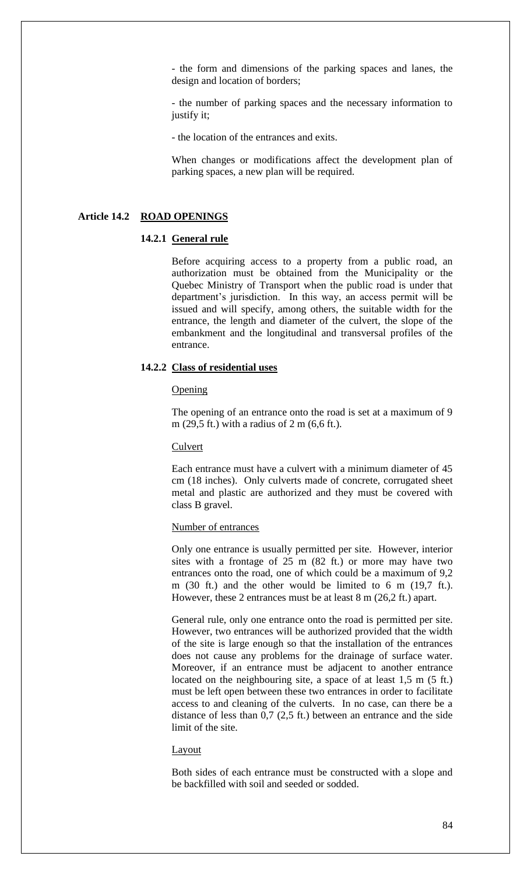- the form and dimensions of the parking spaces and lanes, the design and location of borders;

- the number of parking spaces and the necessary information to justify it;

- the location of the entrances and exits.

When changes or modifications affect the development plan of parking spaces, a new plan will be required.

#### **Article 14.2 ROAD OPENINGS**

#### **14.2.1 General rule**

Before acquiring access to a property from a public road, an authorization must be obtained from the Municipality or the Quebec Ministry of Transport when the public road is under that department's jurisdiction. In this way, an access permit will be issued and will specify, among others, the suitable width for the entrance, the length and diameter of the culvert, the slope of the embankment and the longitudinal and transversal profiles of the entrance.

### **14.2.2 Class of residential uses**

#### **Opening**

The opening of an entrance onto the road is set at a maximum of 9 m (29,5 ft.) with a radius of 2 m (6,6 ft.).

#### Culvert

Each entrance must have a culvert with a minimum diameter of 45 cm (18 inches). Only culverts made of concrete, corrugated sheet metal and plastic are authorized and they must be covered with class B gravel.

#### Number of entrances

Only one entrance is usually permitted per site. However, interior sites with a frontage of 25 m (82 ft.) or more may have two entrances onto the road, one of which could be a maximum of 9,2 m (30 ft.) and the other would be limited to 6 m (19,7 ft.). However, these 2 entrances must be at least 8 m (26,2 ft.) apart.

General rule, only one entrance onto the road is permitted per site. However, two entrances will be authorized provided that the width of the site is large enough so that the installation of the entrances does not cause any problems for the drainage of surface water. Moreover, if an entrance must be adjacent to another entrance located on the neighbouring site, a space of at least 1,5 m (5 ft.) must be left open between these two entrances in order to facilitate access to and cleaning of the culverts. In no case, can there be a distance of less than 0,7 (2,5 ft.) between an entrance and the side limit of the site.

#### Layout

Both sides of each entrance must be constructed with a slope and be backfilled with soil and seeded or sodded.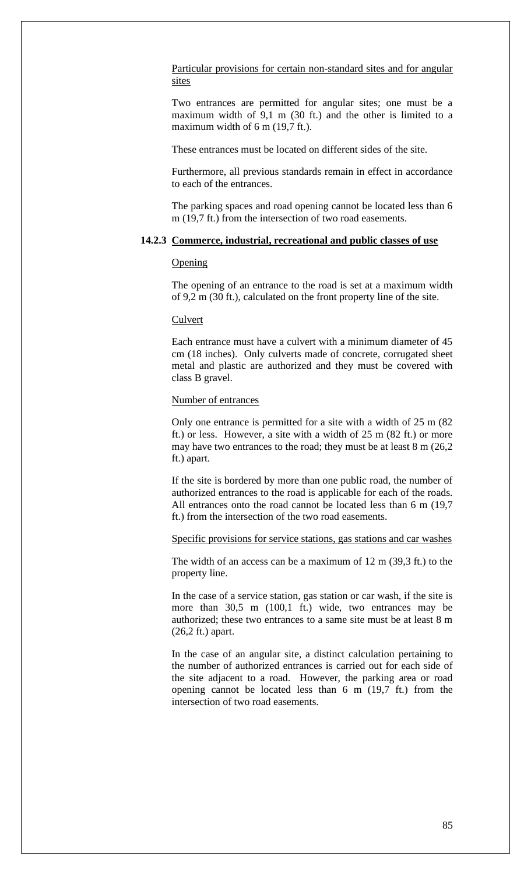Particular provisions for certain non-standard sites and for angular sites

Two entrances are permitted for angular sites; one must be a maximum width of 9,1 m (30 ft.) and the other is limited to a maximum width of 6 m (19,7 ft.).

These entrances must be located on different sides of the site.

Furthermore, all previous standards remain in effect in accordance to each of the entrances.

The parking spaces and road opening cannot be located less than 6 m (19,7 ft.) from the intersection of two road easements.

### **14.2.3 Commerce, industrial, recreational and public classes of use**

#### Opening

The opening of an entrance to the road is set at a maximum width of 9,2 m (30 ft.), calculated on the front property line of the site.

#### Culvert

Each entrance must have a culvert with a minimum diameter of 45 cm (18 inches). Only culverts made of concrete, corrugated sheet metal and plastic are authorized and they must be covered with class B gravel.

### Number of entrances

Only one entrance is permitted for a site with a width of 25 m (82 ft.) or less. However, a site with a width of 25 m (82 ft.) or more may have two entrances to the road; they must be at least 8 m (26,2 ft.) apart.

If the site is bordered by more than one public road, the number of authorized entrances to the road is applicable for each of the roads. All entrances onto the road cannot be located less than 6 m (19,7 ft.) from the intersection of the two road easements.

Specific provisions for service stations, gas stations and car washes

The width of an access can be a maximum of 12 m (39,3 ft.) to the property line.

In the case of a service station, gas station or car wash, if the site is more than 30,5 m (100,1 ft.) wide, two entrances may be authorized; these two entrances to a same site must be at least 8 m (26,2 ft.) apart.

In the case of an angular site, a distinct calculation pertaining to the number of authorized entrances is carried out for each side of the site adjacent to a road. However, the parking area or road opening cannot be located less than 6 m (19,7 ft.) from the intersection of two road easements.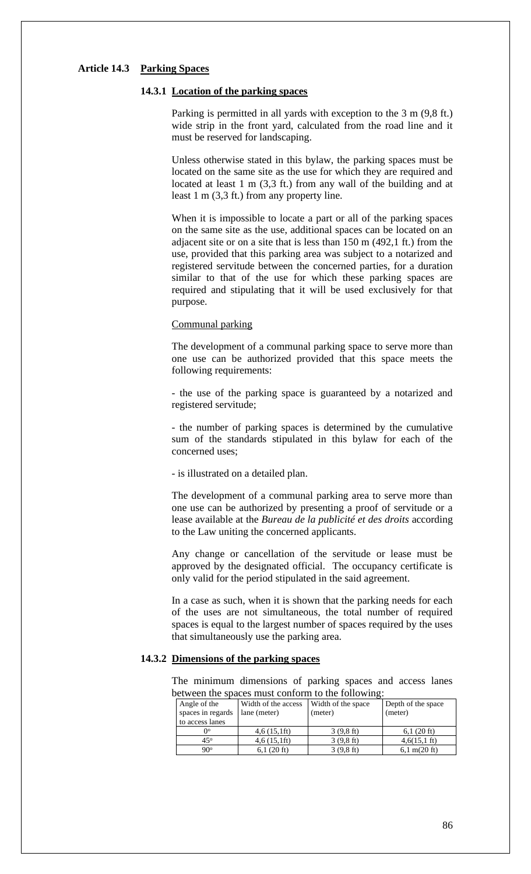#### **Article 14.3 Parking Spaces**

### **14.3.1 Location of the parking spaces**

Parking is permitted in all yards with exception to the 3 m (9,8 ft.) wide strip in the front yard, calculated from the road line and it must be reserved for landscaping.

Unless otherwise stated in this bylaw, the parking spaces must be located on the same site as the use for which they are required and located at least 1 m (3,3 ft.) from any wall of the building and at least 1 m (3,3 ft.) from any property line.

When it is impossible to locate a part or all of the parking spaces on the same site as the use, additional spaces can be located on an adjacent site or on a site that is less than 150 m (492,1 ft.) from the use, provided that this parking area was subject to a notarized and registered servitude between the concerned parties, for a duration similar to that of the use for which these parking spaces are required and stipulating that it will be used exclusively for that purpose.

#### Communal parking

The development of a communal parking space to serve more than one use can be authorized provided that this space meets the following requirements:

- the use of the parking space is guaranteed by a notarized and registered servitude;

- the number of parking spaces is determined by the cumulative sum of the standards stipulated in this bylaw for each of the concerned uses;

- is illustrated on a detailed plan.

The development of a communal parking area to serve more than one use can be authorized by presenting a proof of servitude or a lease available at the *Bureau de la publicité et des droits* according to the Law uniting the concerned applicants.

Any change or cancellation of the servitude or lease must be approved by the designated official. The occupancy certificate is only valid for the period stipulated in the said agreement.

In a case as such, when it is shown that the parking needs for each of the uses are not simultaneous, the total number of required spaces is equal to the largest number of spaces required by the uses that simultaneously use the parking area.

### **14.3.2 Dimensions of the parking spaces**

The minimum dimensions of parking spaces and access lanes between the spaces must conform to the following:

| Angle of the<br>spaces in regards | Width of the access<br>lane (meter) | Width of the space<br>(meter) | Depth of the space<br>(meter)  |
|-----------------------------------|-------------------------------------|-------------------------------|--------------------------------|
| to access lanes                   |                                     |                               |                                |
| O٥                                | 4,6(15,1)                           | $3(9,8)$ ft)                  | 6.1(20 ft)                     |
| $45^\circ$                        | 4,6(15,1)                           | $3(9,8)$ ft)                  | $4,6(15,1)$ ft)                |
| $90^{\circ}$                      | $6,1(20 \text{ ft})$                | $3(9,8)$ ft)                  | $6,1 \text{ m}(20 \text{ ft})$ |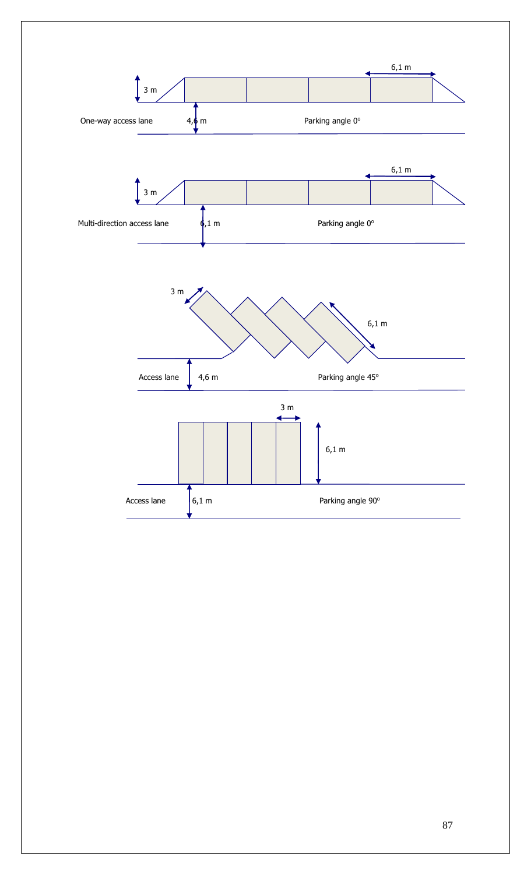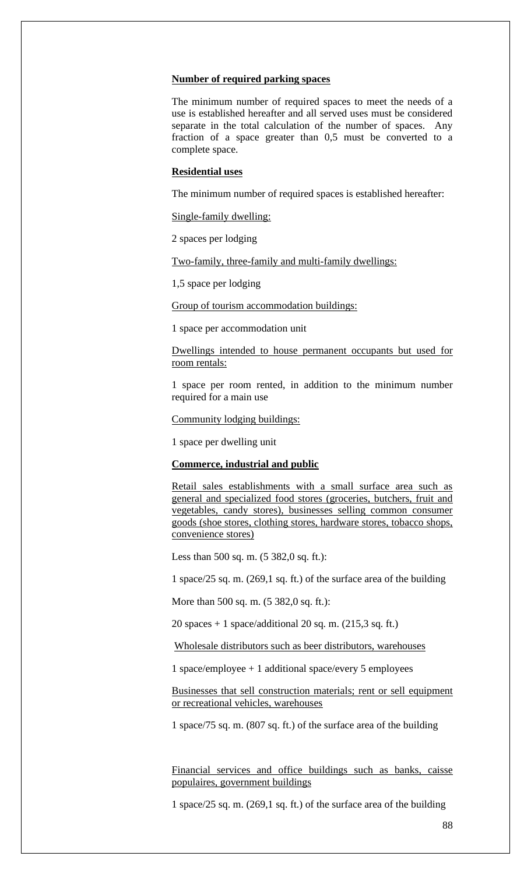#### **Number of required parking spaces**

The minimum number of required spaces to meet the needs of a use is established hereafter and all served uses must be considered separate in the total calculation of the number of spaces. Any fraction of a space greater than 0,5 must be converted to a complete space.

#### **Residential uses**

The minimum number of required spaces is established hereafter:

Single-family dwelling:

2 spaces per lodging

Two-family, three-family and multi-family dwellings:

1,5 space per lodging

Group of tourism accommodation buildings:

1 space per accommodation unit

Dwellings intended to house permanent occupants but used for room rentals:

1 space per room rented, in addition to the minimum number required for a main use

Community lodging buildings:

1 space per dwelling unit

#### **Commerce, industrial and public**

Retail sales establishments with a small surface area such as general and specialized food stores (groceries, butchers, fruit and vegetables, candy stores), businesses selling common consumer goods (shoe stores, clothing stores, hardware stores, tobacco shops, convenience stores)

Less than 500 sq. m. (5 382,0 sq. ft.):

1 space/25 sq. m. (269,1 sq. ft.) of the surface area of the building

More than 500 sq. m. (5 382,0 sq. ft.):

20 spaces  $+ 1$  space/additional 20 sq. m. (215,3 sq. ft.)

Wholesale distributors such as beer distributors, warehouses

1 space/employee + 1 additional space/every 5 employees

Businesses that sell construction materials; rent or sell equipment or recreational vehicles, warehouses

1 space/75 sq. m. (807 sq. ft.) of the surface area of the building

Financial services and office buildings such as banks, caisse populaires, government buildings

1 space/25 sq. m. (269,1 sq. ft.) of the surface area of the building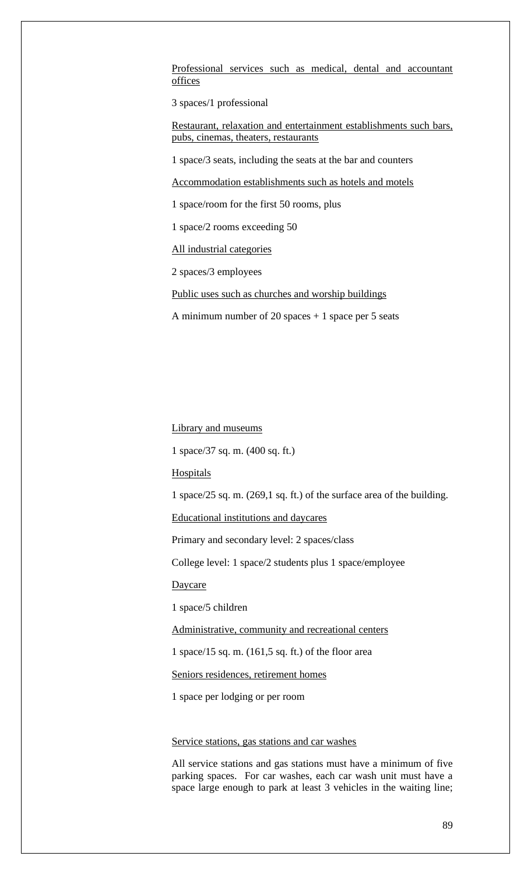Professional services such as medical, dental and accountant offices

3 spaces/1 professional

Restaurant, relaxation and entertainment establishments such bars, pubs, cinemas, theaters, restaurants

1 space/3 seats, including the seats at the bar and counters

Accommodation establishments such as hotels and motels

1 space/room for the first 50 rooms, plus

1 space/2 rooms exceeding 50

All industrial categories

2 spaces/3 employees

Public uses such as churches and worship buildings

A minimum number of 20 spaces  $+1$  space per 5 seats

Library and museums

1 space/37 sq. m. (400 sq. ft.)

**Hospitals** 

1 space/25 sq. m. (269,1 sq. ft.) of the surface area of the building.

Educational institutions and daycares

Primary and secondary level: 2 spaces/class

College level: 1 space/2 students plus 1 space/employee

**Daycare** 

1 space/5 children

Administrative, community and recreational centers

1 space/15 sq. m. (161,5 sq. ft.) of the floor area

Seniors residences, retirement homes

1 space per lodging or per room

### Service stations, gas stations and car washes

All service stations and gas stations must have a minimum of five parking spaces. For car washes, each car wash unit must have a space large enough to park at least 3 vehicles in the waiting line;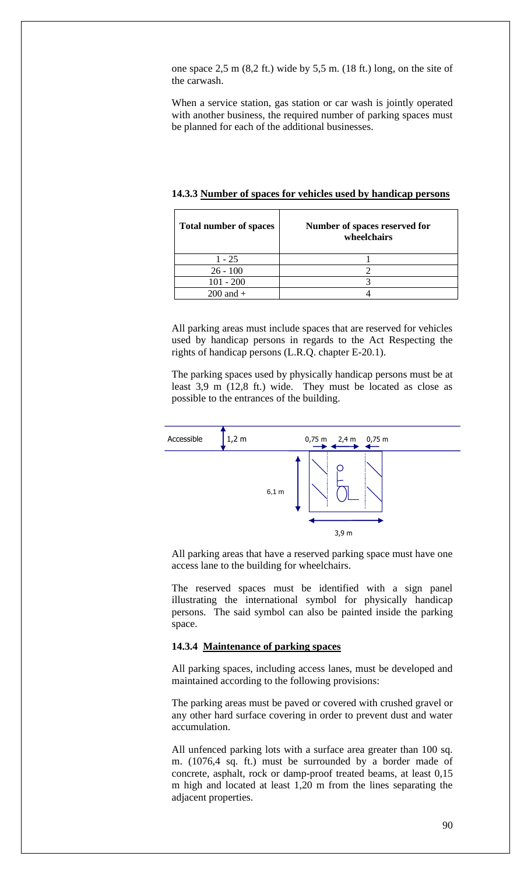one space 2,5 m (8,2 ft.) wide by 5,5 m. (18 ft.) long, on the site of the carwash.

When a service station, gas station or car wash is jointly operated with another business, the required number of parking spaces must be planned for each of the additional businesses.

| <b>Total number of spaces</b> | Number of spaces reserved for<br>wheelchairs |
|-------------------------------|----------------------------------------------|
| $1 - 25$                      |                                              |
| $26 - 100$                    |                                              |
| $101 - 200$                   |                                              |
| $200$ and $+$                 |                                              |

**14.3.3 Number of spaces for vehicles used by handicap persons**

All parking areas must include spaces that are reserved for vehicles used by handicap persons in regards to the Act Respecting the rights of handicap persons (L.R.Q. chapter E-20.1).

The parking spaces used by physically handicap persons must be at least 3,9 m (12,8 ft.) wide. They must be located as close as possible to the entrances of the building.



All parking areas that have a reserved parking space must have one access lane to the building for wheelchairs.

The reserved spaces must be identified with a sign panel illustrating the international symbol for physically handicap persons. The said symbol can also be painted inside the parking space.

#### **14.3.4 Maintenance of parking spaces**

All parking spaces, including access lanes, must be developed and maintained according to the following provisions:

The parking areas must be paved or covered with crushed gravel or any other hard surface covering in order to prevent dust and water accumulation.

All unfenced parking lots with a surface area greater than 100 sq. m. (1076,4 sq. ft.) must be surrounded by a border made of concrete, asphalt, rock or damp-proof treated beams, at least 0,15 m high and located at least 1,20 m from the lines separating the adjacent properties.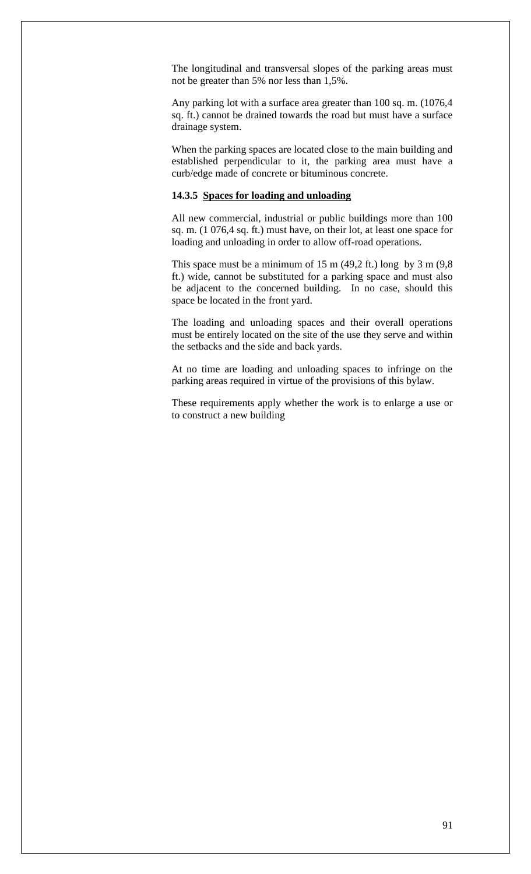The longitudinal and transversal slopes of the parking areas must not be greater than 5% nor less than 1,5%.

Any parking lot with a surface area greater than 100 sq. m. (1076,4 sq. ft.) cannot be drained towards the road but must have a surface drainage system.

When the parking spaces are located close to the main building and established perpendicular to it, the parking area must have a curb/edge made of concrete or bituminous concrete.

#### **14.3.5 Spaces for loading and unloading**

All new commercial, industrial or public buildings more than 100 sq. m. (1 076,4 sq. ft.) must have, on their lot, at least one space for loading and unloading in order to allow off-road operations.

This space must be a minimum of 15 m  $(49,2 \text{ ft.})$  long by 3 m  $(9,8)$ ft.) wide, cannot be substituted for a parking space and must also be adjacent to the concerned building. In no case, should this space be located in the front yard.

The loading and unloading spaces and their overall operations must be entirely located on the site of the use they serve and within the setbacks and the side and back yards.

At no time are loading and unloading spaces to infringe on the parking areas required in virtue of the provisions of this bylaw.

These requirements apply whether the work is to enlarge a use or to construct a new building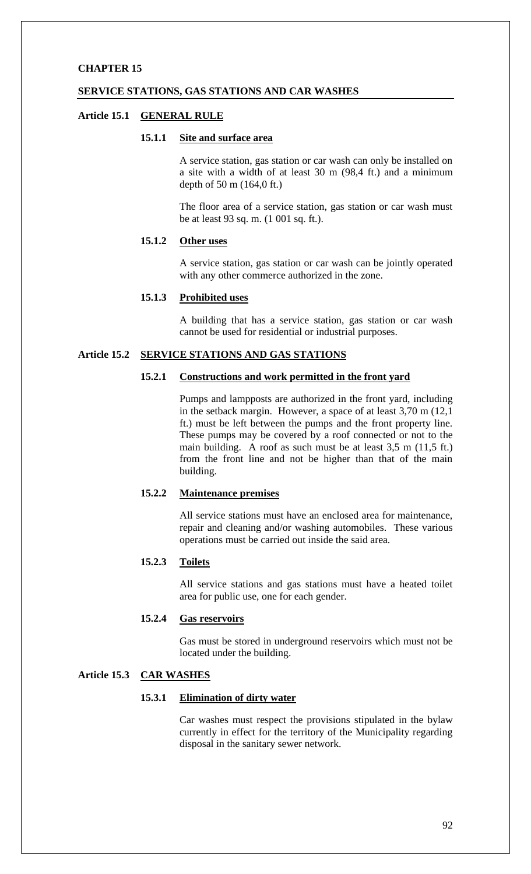### **SERVICE STATIONS, GAS STATIONS AND CAR WASHES**

#### **Article 15.1 GENERAL RULE**

### **15.1.1 Site and surface area**

A service station, gas station or car wash can only be installed on a site with a width of at least 30 m (98,4 ft.) and a minimum depth of 50 m (164,0 ft.)

The floor area of a service station, gas station or car wash must be at least 93 sq. m. (1 001 sq. ft.).

## **15.1.2 Other uses**

A service station, gas station or car wash can be jointly operated with any other commerce authorized in the zone.

#### **15.1.3 Prohibited uses**

A building that has a service station, gas station or car wash cannot be used for residential or industrial purposes.

# **Article 15.2 SERVICE STATIONS AND GAS STATIONS**

#### **15.2.1 Constructions and work permitted in the front yard**

Pumps and lampposts are authorized in the front yard, including in the setback margin. However, a space of at least 3,70 m (12,1 ft.) must be left between the pumps and the front property line. These pumps may be covered by a roof connected or not to the main building. A roof as such must be at least 3,5 m (11,5 ft.) from the front line and not be higher than that of the main building.

#### **15.2.2 Maintenance premises**

All service stations must have an enclosed area for maintenance, repair and cleaning and/or washing automobiles. These various operations must be carried out inside the said area.

## **15.2.3 Toilets**

All service stations and gas stations must have a heated toilet area for public use, one for each gender.

### **15.2.4 Gas reservoirs**

Gas must be stored in underground reservoirs which must not be located under the building.

## **Article 15.3 CAR WASHES**

#### **15.3.1 Elimination of dirty water**

Car washes must respect the provisions stipulated in the bylaw currently in effect for the territory of the Municipality regarding disposal in the sanitary sewer network.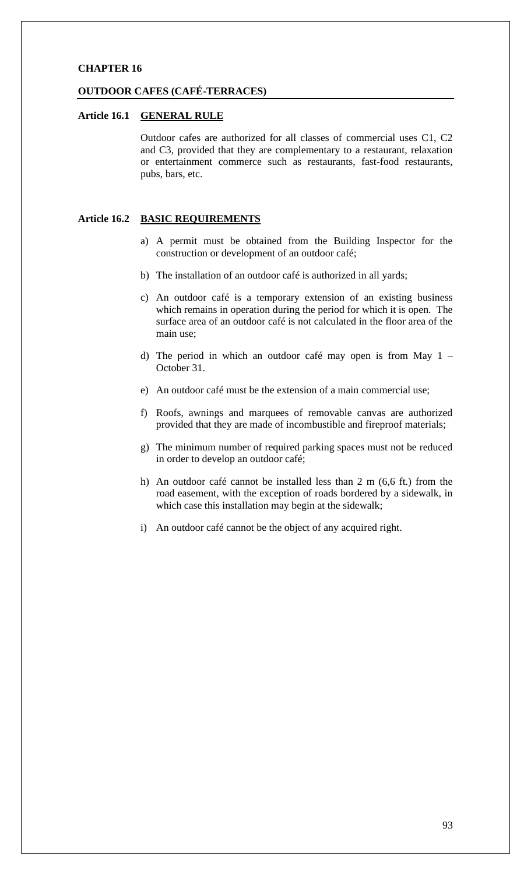#### **OUTDOOR CAFES (CAFÉ-TERRACES)**

## **Article 16.1 GENERAL RULE**

Outdoor cafes are authorized for all classes of commercial uses C1, C2 and C3, provided that they are complementary to a restaurant, relaxation or entertainment commerce such as restaurants, fast-food restaurants, pubs, bars, etc.

### **Article 16.2 BASIC REQUIREMENTS**

- a) A permit must be obtained from the Building Inspector for the construction or development of an outdoor café;
- b) The installation of an outdoor café is authorized in all yards;
- c) An outdoor café is a temporary extension of an existing business which remains in operation during the period for which it is open. The surface area of an outdoor café is not calculated in the floor area of the main use;
- d) The period in which an outdoor café may open is from May 1 October 31.
- e) An outdoor café must be the extension of a main commercial use;
- f) Roofs, awnings and marquees of removable canvas are authorized provided that they are made of incombustible and fireproof materials;
- g) The minimum number of required parking spaces must not be reduced in order to develop an outdoor café;
- h) An outdoor café cannot be installed less than 2 m (6,6 ft.) from the road easement, with the exception of roads bordered by a sidewalk, in which case this installation may begin at the sidewalk;
- i) An outdoor café cannot be the object of any acquired right.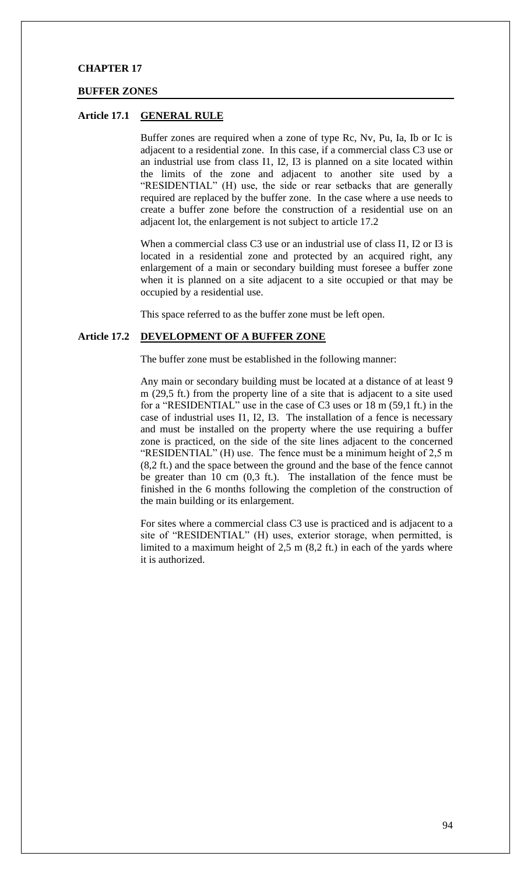#### **BUFFER ZONES**

#### **Article 17.1 GENERAL RULE**

Buffer zones are required when a zone of type Rc, Nv, Pu, Ia, Ib or Ic is adjacent to a residential zone. In this case, if a commercial class C3 use or an industrial use from class I1, I2, I3 is planned on a site located within the limits of the zone and adjacent to another site used by a "RESIDENTIAL" (H) use, the side or rear setbacks that are generally required are replaced by the buffer zone. In the case where a use needs to create a buffer zone before the construction of a residential use on an adjacent lot, the enlargement is not subject to article 17.2

When a commercial class C3 use or an industrial use of class I1, I2 or I3 is located in a residential zone and protected by an acquired right, any enlargement of a main or secondary building must foresee a buffer zone when it is planned on a site adjacent to a site occupied or that may be occupied by a residential use.

This space referred to as the buffer zone must be left open.

### **Article 17.2 DEVELOPMENT OF A BUFFER ZONE**

The buffer zone must be established in the following manner:

Any main or secondary building must be located at a distance of at least 9 m (29,5 ft.) from the property line of a site that is adjacent to a site used for a "RESIDENTIAL" use in the case of C3 uses or 18 m (59,1 ft.) in the case of industrial uses I1, I2, I3. The installation of a fence is necessary and must be installed on the property where the use requiring a buffer zone is practiced, on the side of the site lines adjacent to the concerned "RESIDENTIAL" (H) use. The fence must be a minimum height of 2,5 m (8,2 ft.) and the space between the ground and the base of the fence cannot be greater than 10 cm (0,3 ft.). The installation of the fence must be finished in the 6 months following the completion of the construction of the main building or its enlargement.

For sites where a commercial class C3 use is practiced and is adjacent to a site of "RESIDENTIAL" (H) uses, exterior storage, when permitted, is limited to a maximum height of 2,5 m (8,2 ft.) in each of the yards where it is authorized.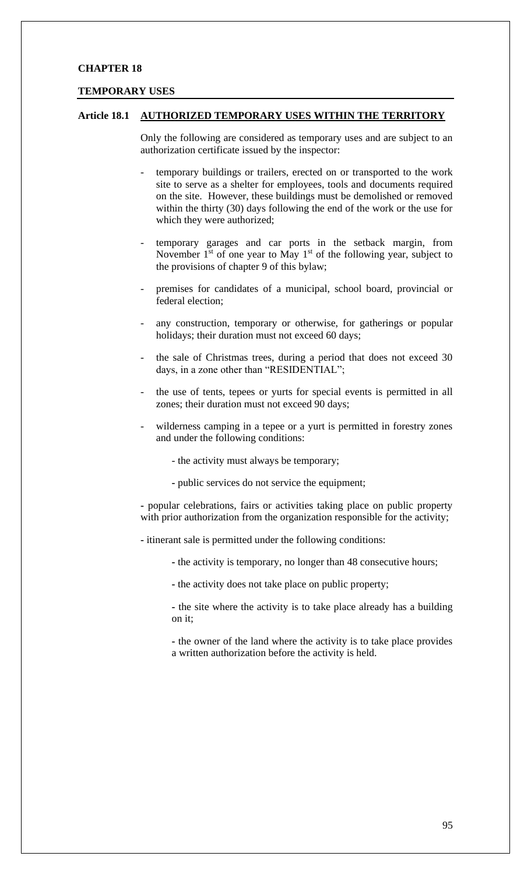#### **TEMPORARY USES**

### **Article 18.1 AUTHORIZED TEMPORARY USES WITHIN THE TERRITORY**

Only the following are considered as temporary uses and are subject to an authorization certificate issued by the inspector:

- temporary buildings or trailers, erected on or transported to the work site to serve as a shelter for employees, tools and documents required on the site. However, these buildings must be demolished or removed within the thirty (30) days following the end of the work or the use for which they were authorized;
- temporary garages and car ports in the setback margin, from November  $1<sup>st</sup>$  of one year to May  $1<sup>st</sup>$  of the following year, subject to the provisions of chapter 9 of this bylaw;
- premises for candidates of a municipal, school board, provincial or federal election;
- any construction, temporary or otherwise, for gatherings or popular holidays; their duration must not exceed 60 days;
- the sale of Christmas trees, during a period that does not exceed 30 days, in a zone other than "RESIDENTIAL";
- the use of tents, tepees or yurts for special events is permitted in all zones; their duration must not exceed 90 days;
- wilderness camping in a tepee or a yurt is permitted in forestry zones and under the following conditions:
	- the activity must always be temporary;
	- **-** public services do not service the equipment;

**-** popular celebrations, fairs or activities taking place on public property with prior authorization from the organization responsible for the activity;

**-** itinerant sale is permitted under the following conditions:

- **-** the activity is temporary, no longer than 48 consecutive hours;
- **-** the activity does not take place on public property;
- **-** the site where the activity is to take place already has a building on it;

**-** the owner of the land where the activity is to take place provides a written authorization before the activity is held.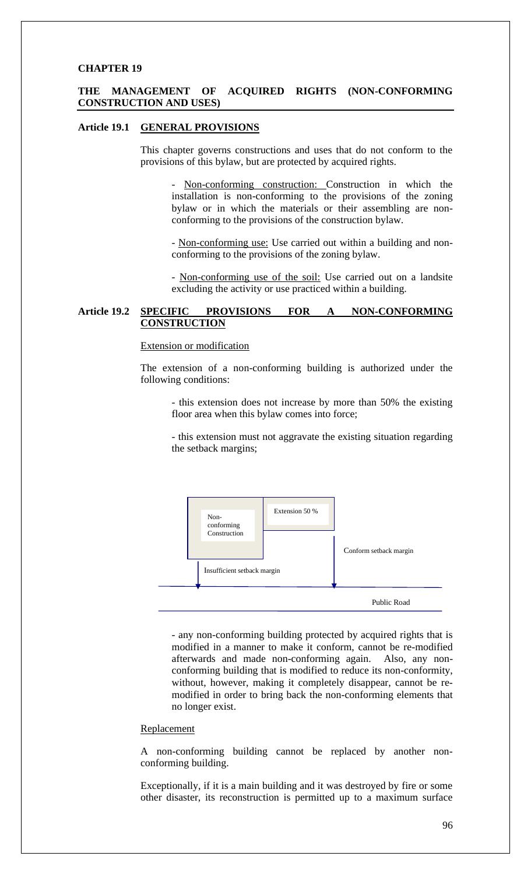#### **THE MANAGEMENT OF ACQUIRED RIGHTS (NON-CONFORMING CONSTRUCTION AND USES)**

#### **Article 19.1 GENERAL PROVISIONS**

This chapter governs constructions and uses that do not conform to the provisions of this bylaw, but are protected by acquired rights.

Non-conforming construction: Construction in which the installation is non-conforming to the provisions of the zoning bylaw or in which the materials or their assembling are nonconforming to the provisions of the construction bylaw.

- Non-conforming use: Use carried out within a building and nonconforming to the provisions of the zoning bylaw.

- Non-conforming use of the soil: Use carried out on a landsite excluding the activity or use practiced within a building.

### **Article 19.2 SPECIFIC PROVISIONS FOR A NON-CONFORMING CONSTRUCTION**

#### Extension or modification

The extension of a non-conforming building is authorized under the following conditions:

- this extension does not increase by more than 50% the existing floor area when this bylaw comes into force;

- this extension must not aggravate the existing situation regarding the setback margins;



- any non-conforming building protected by acquired rights that is modified in a manner to make it conform, cannot be re-modified afterwards and made non-conforming again. Also, any nonconforming building that is modified to reduce its non-conformity, without, however, making it completely disappear, cannot be remodified in order to bring back the non-conforming elements that no longer exist.

## Replacement

A non-conforming building cannot be replaced by another nonconforming building.

Exceptionally, if it is a main building and it was destroyed by fire or some other disaster, its reconstruction is permitted up to a maximum surface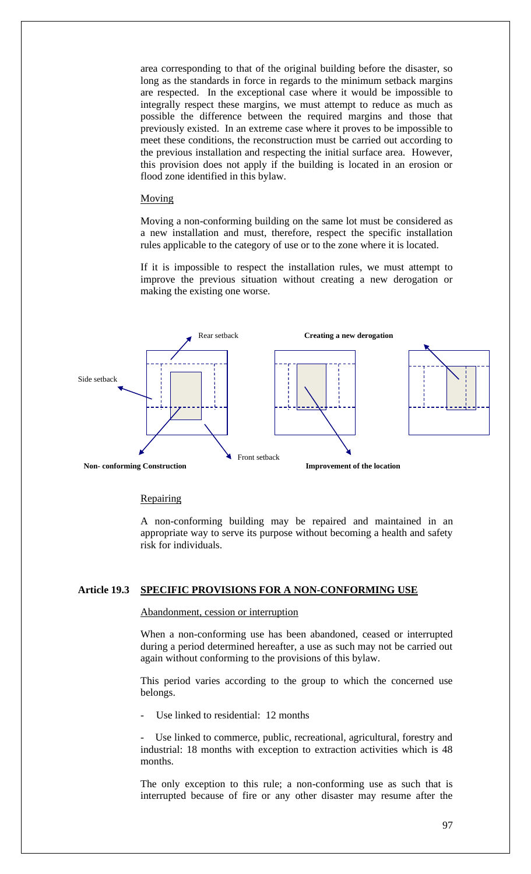area corresponding to that of the original building before the disaster, so long as the standards in force in regards to the minimum setback margins are respected. In the exceptional case where it would be impossible to integrally respect these margins, we must attempt to reduce as much as possible the difference between the required margins and those that previously existed. In an extreme case where it proves to be impossible to meet these conditions, the reconstruction must be carried out according to the previous installation and respecting the initial surface area. However, this provision does not apply if the building is located in an erosion or flood zone identified in this bylaw.

#### Moving

Moving a non-conforming building on the same lot must be considered as a new installation and must, therefore, respect the specific installation rules applicable to the category of use or to the zone where it is located.

If it is impossible to respect the installation rules, we must attempt to improve the previous situation without creating a new derogation or making the existing one worse.



#### **Repairing**

A non-conforming building may be repaired and maintained in an appropriate way to serve its purpose without becoming a health and safety risk for individuals.

#### **Article 19.3 SPECIFIC PROVISIONS FOR A NON-CONFORMING USE**

#### Abandonment, cession or interruption

When a non-conforming use has been abandoned, ceased or interrupted during a period determined hereafter, a use as such may not be carried out again without conforming to the provisions of this bylaw.

This period varies according to the group to which the concerned use belongs.

Use linked to residential: 12 months

Use linked to commerce, public, recreational, agricultural, forestry and industrial: 18 months with exception to extraction activities which is 48 months.

The only exception to this rule; a non-conforming use as such that is interrupted because of fire or any other disaster may resume after the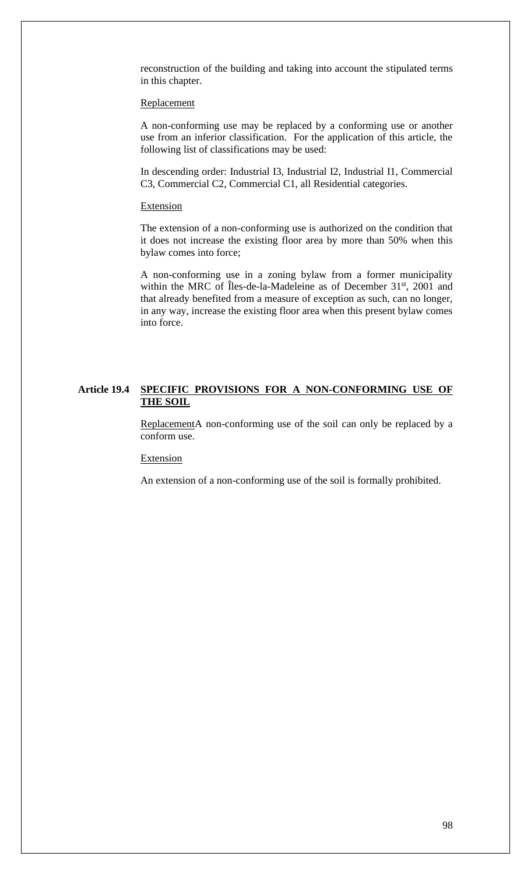reconstruction of the building and taking into account the stipulated terms in this chapter.

#### Replacement

A non-conforming use may be replaced by a conforming use or another use from an inferior classification. For the application of this article, the following list of classifications may be used:

In descending order: Industrial I3, Industrial I2, Industrial I1, Commercial C3, Commercial C2, Commercial C1, all Residential categories.

#### Extension

The extension of a non-conforming use is authorized on the condition that it does not increase the existing floor area by more than 50% when this bylaw comes into force;

A non-conforming use in a zoning bylaw from a former municipality within the MRC of Îles-de-la-Madeleine as of December 31<sup>st</sup>, 2001 and that already benefited from a measure of exception as such, can no longer, in any way, increase the existing floor area when this present bylaw comes into force.

### **Article 19.4 SPECIFIC PROVISIONS FOR A NON-CONFORMING USE OF THE SOIL**

ReplacementA non-conforming use of the soil can only be replaced by a conform use.

Extension

An extension of a non-conforming use of the soil is formally prohibited.